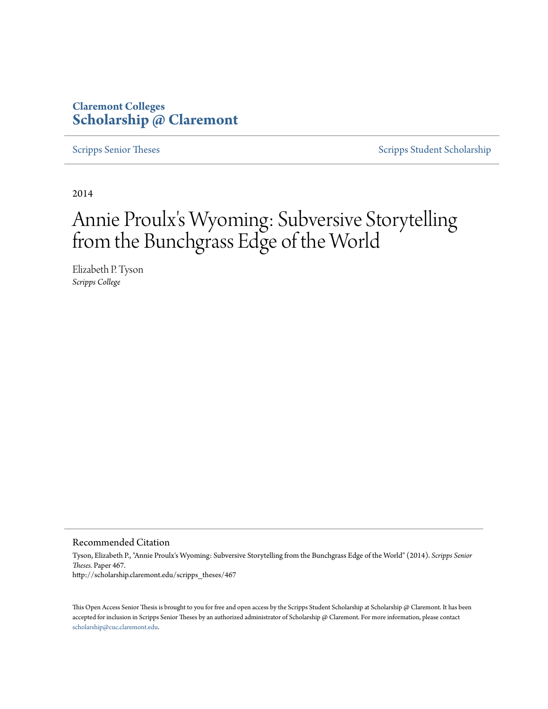# **Claremont Colleges [Scholarship @ Claremont](http://scholarship.claremont.edu)**

[Scripps Senior Theses](http://scholarship.claremont.edu/scripps_theses) [Scripps Student Scholarship](http://scholarship.claremont.edu/scripps_student)

2014

# Annie Proulx 's Wyoming: Subversive Storytelling from the Bunchgrass Edge of the World

Elizabeth P. Tyson *Scripps College*

Recommended Citation

Tyson, Elizabeth P., "Annie Proulx's Wyoming: Subversive Storytelling from the Bunchgrass Edge of the World" (2014). *Scripps Senior Theses.* Paper 467. http://scholarship.claremont.edu/scripps\_theses/467

This Open Access Senior Thesis is brought to you for free and open access by the Scripps Student Scholarship at Scholarship @ Claremont. It has been accepted for inclusion in Scripps Senior Theses by an authorized administrator of Scholarship @ Claremont. For more information, please contact [scholarship@cuc.claremont.edu.](mailto:scholarship@cuc.claremont.edu)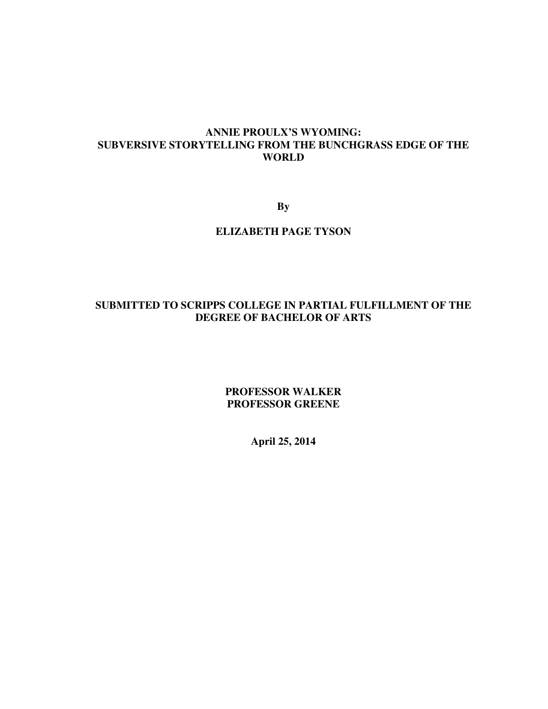### **ANNIE PROULX'S WYOMING: SUBVERSIVE STORYTELLING FROM THE BUNCHGRASS EDGE OF THE WORLD**

**By** 

## **ELIZABETH PAGE TYSON**

## **SUBMITTED TO SCRIPPS COLLEGE IN PARTIAL FULFILLMENT OF THE DEGREE OF BACHELOR OF ARTS**

**PROFESSOR WALKER PROFESSOR GREENE** 

**April 25, 2014**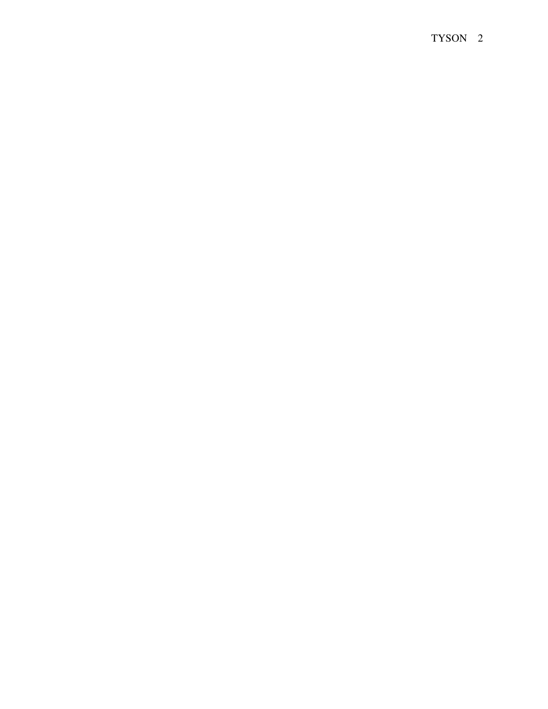## TYSON 2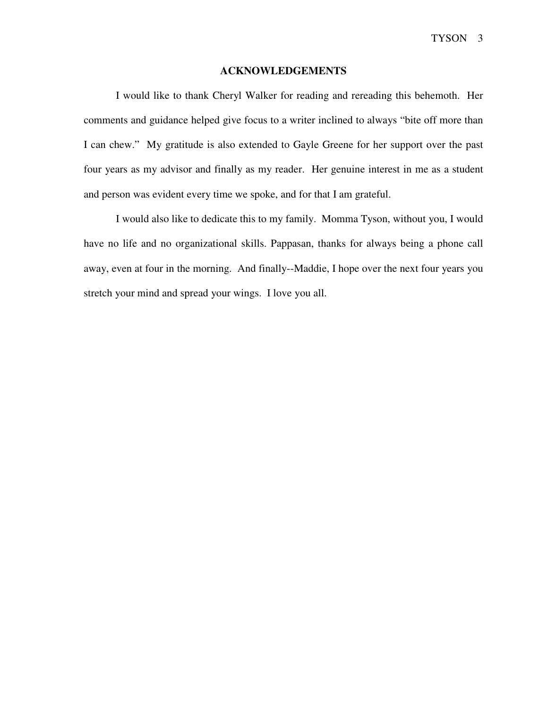#### **ACKNOWLEDGEMENTS**

I would like to thank Cheryl Walker for reading and rereading this behemoth. Her comments and guidance helped give focus to a writer inclined to always "bite off more than I can chew." My gratitude is also extended to Gayle Greene for her support over the past four years as my advisor and finally as my reader. Her genuine interest in me as a student and person was evident every time we spoke, and for that I am grateful.

 I would also like to dedicate this to my family. Momma Tyson, without you, I would have no life and no organizational skills. Pappasan, thanks for always being a phone call away, even at four in the morning. And finally--Maddie, I hope over the next four years you stretch your mind and spread your wings. I love you all.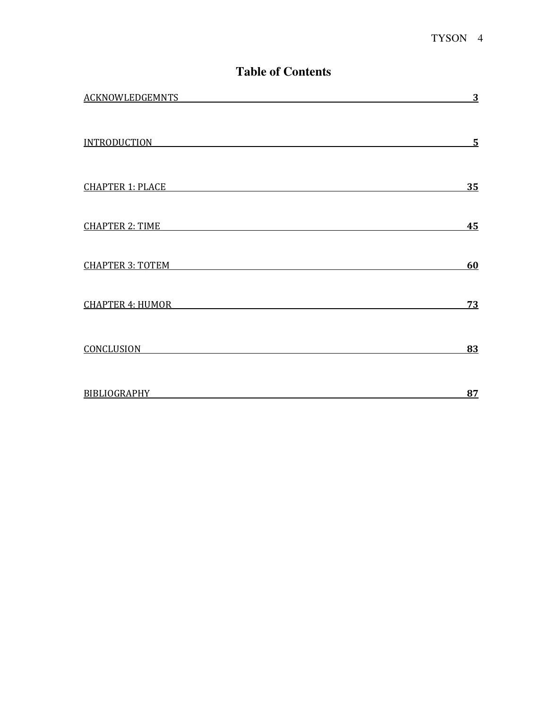# **Table of Contents**

| <b>ACKNOWLEDGEMNTS</b>  | $\overline{3}$ |
|-------------------------|----------------|
| <b>INTRODUCTION</b>     | 5              |
| <b>CHAPTER 1: PLACE</b> | 35             |
| <b>CHAPTER 2: TIME</b>  | 45             |
| <b>CHAPTER 3: TOTEM</b> | 60             |
| <b>CHAPTER 4: HUMOR</b> | 73             |
| <b>CONCLUSION</b>       | 83             |
| BIBLIOGRAPHY            | 87             |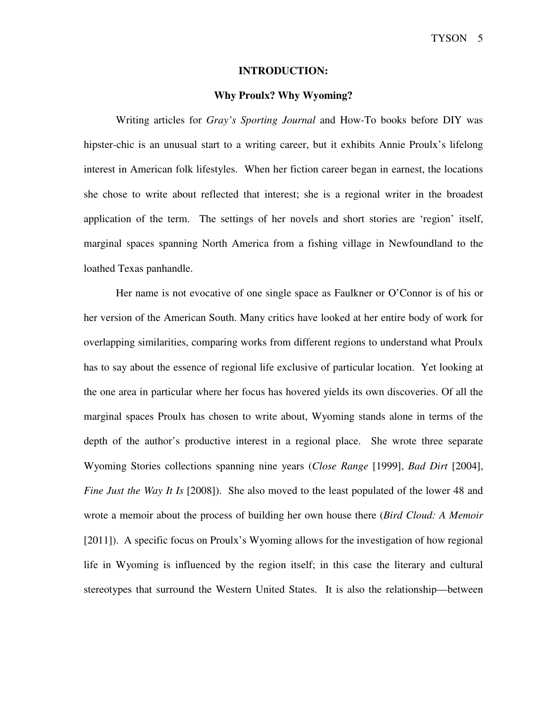#### **INTRODUCTION:**

#### **Why Proulx? Why Wyoming?**

 Writing articles for *Gray's Sporting Journal* and How-To books before DIY was hipster-chic is an unusual start to a writing career, but it exhibits Annie Proulx's lifelong interest in American folk lifestyles. When her fiction career began in earnest, the locations she chose to write about reflected that interest; she is a regional writer in the broadest application of the term. The settings of her novels and short stories are 'region' itself, marginal spaces spanning North America from a fishing village in Newfoundland to the loathed Texas panhandle.

Her name is not evocative of one single space as Faulkner or O'Connor is of his or her version of the American South. Many critics have looked at her entire body of work for overlapping similarities, comparing works from different regions to understand what Proulx has to say about the essence of regional life exclusive of particular location. Yet looking at the one area in particular where her focus has hovered yields its own discoveries. Of all the marginal spaces Proulx has chosen to write about, Wyoming stands alone in terms of the depth of the author's productive interest in a regional place. She wrote three separate Wyoming Stories collections spanning nine years (*Close Range* [1999], *Bad Dirt* [2004], *Fine Just the Way It Is* [2008]). She also moved to the least populated of the lower 48 and wrote a memoir about the process of building her own house there (*Bird Cloud: A Memoir* [2011]). A specific focus on Proulx's Wyoming allows for the investigation of how regional life in Wyoming is influenced by the region itself; in this case the literary and cultural stereotypes that surround the Western United States. It is also the relationship—between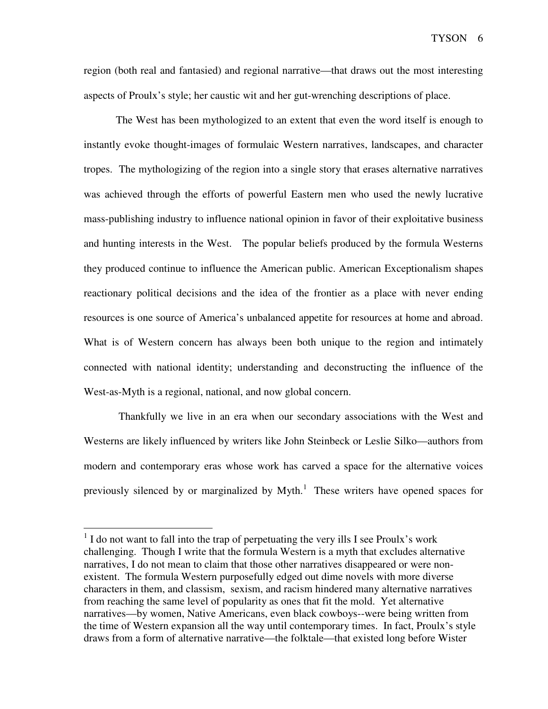region (both real and fantasied) and regional narrative—that draws out the most interesting aspects of Proulx's style; her caustic wit and her gut-wrenching descriptions of place.

 The West has been mythologized to an extent that even the word itself is enough to instantly evoke thought-images of formulaic Western narratives, landscapes, and character tropes. The mythologizing of the region into a single story that erases alternative narratives was achieved through the efforts of powerful Eastern men who used the newly lucrative mass-publishing industry to influence national opinion in favor of their exploitative business and hunting interests in the West. The popular beliefs produced by the formula Westerns they produced continue to influence the American public. American Exceptionalism shapes reactionary political decisions and the idea of the frontier as a place with never ending resources is one source of America's unbalanced appetite for resources at home and abroad. What is of Western concern has always been both unique to the region and intimately connected with national identity; understanding and deconstructing the influence of the West-as-Myth is a regional, national, and now global concern.

 Thankfully we live in an era when our secondary associations with the West and Westerns are likely influenced by writers like John Steinbeck or Leslie Silko—authors from modern and contemporary eras whose work has carved a space for the alternative voices previously silenced by or marginalized by  $Myth<sup>1</sup>$ . These writers have opened spaces for

-

 $<sup>1</sup>$  I do not want to fall into the trap of perpetuating the very ills I see Proulx's work</sup> challenging. Though I write that the formula Western is a myth that excludes alternative narratives, I do not mean to claim that those other narratives disappeared or were nonexistent. The formula Western purposefully edged out dime novels with more diverse characters in them, and classism, sexism, and racism hindered many alternative narratives from reaching the same level of popularity as ones that fit the mold. Yet alternative narratives—by women, Native Americans, even black cowboys--were being written from the time of Western expansion all the way until contemporary times. In fact, Proulx's style draws from a form of alternative narrative—the folktale—that existed long before Wister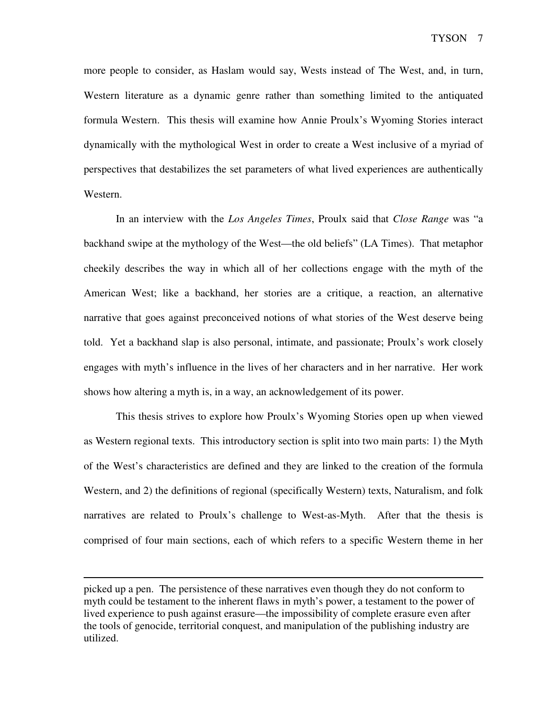more people to consider, as Haslam would say, Wests instead of The West, and, in turn, Western literature as a dynamic genre rather than something limited to the antiquated formula Western. This thesis will examine how Annie Proulx's Wyoming Stories interact dynamically with the mythological West in order to create a West inclusive of a myriad of perspectives that destabilizes the set parameters of what lived experiences are authentically Western.

 In an interview with the *Los Angeles Times*, Proulx said that *Close Range* was "a backhand swipe at the mythology of the West—the old beliefs" (LA Times). That metaphor cheekily describes the way in which all of her collections engage with the myth of the American West; like a backhand, her stories are a critique, a reaction, an alternative narrative that goes against preconceived notions of what stories of the West deserve being told. Yet a backhand slap is also personal, intimate, and passionate; Proulx's work closely engages with myth's influence in the lives of her characters and in her narrative. Her work shows how altering a myth is, in a way, an acknowledgement of its power.

 This thesis strives to explore how Proulx's Wyoming Stories open up when viewed as Western regional texts. This introductory section is split into two main parts: 1) the Myth of the West's characteristics are defined and they are linked to the creation of the formula Western, and 2) the definitions of regional (specifically Western) texts, Naturalism, and folk narratives are related to Proulx's challenge to West-as-Myth. After that the thesis is comprised of four main sections, each of which refers to a specific Western theme in her

 $\overline{a}$ 

picked up a pen. The persistence of these narratives even though they do not conform to myth could be testament to the inherent flaws in myth's power, a testament to the power of lived experience to push against erasure—the impossibility of complete erasure even after the tools of genocide, territorial conquest, and manipulation of the publishing industry are utilized.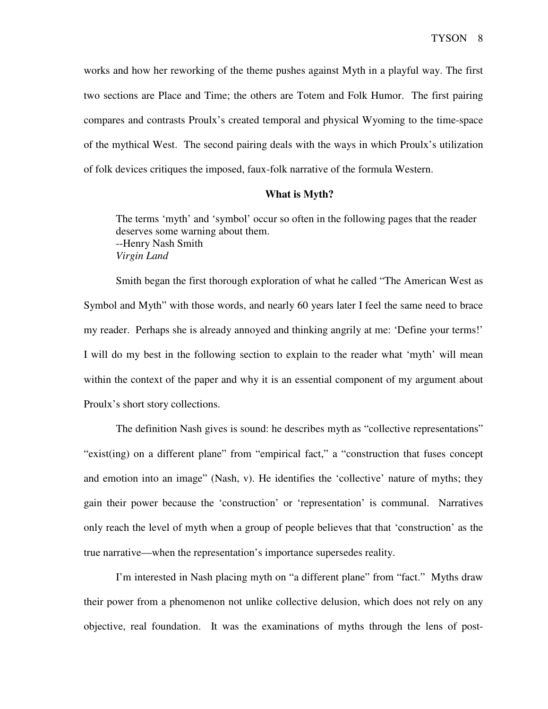works and how her reworking of the theme pushes against Myth in a playful way. The first two sections are Place and Time; the others are Totem and Folk Humor. The first pairing compares and contrasts Proulx's created temporal and physical Wyoming to the time-space of the mythical West. The second pairing deals with the ways in which Proulx's utilization of folk devices critiques the imposed, faux-folk narrative of the formula Western.

#### **What is Myth?**

The terms 'myth' and 'symbol' occur so often in the following pages that the reader deserves some warning about them. --Henry Nash Smith *Virgin Land* 

Smith began the first thorough exploration of what he called "The American West as Symbol and Myth" with those words, and nearly 60 years later I feel the same need to brace my reader. Perhaps she is already annoyed and thinking angrily at me: 'Define your terms!' I will do my best in the following section to explain to the reader what 'myth' will mean within the context of the paper and why it is an essential component of my argument about Proulx's short story collections.

The definition Nash gives is sound: he describes myth as "collective representations" "exist(ing) on a different plane" from "empirical fact," a "construction that fuses concept and emotion into an image" (Nash, v). He identifies the 'collective' nature of myths; they gain their power because the 'construction' or 'representation' is communal. Narratives only reach the level of myth when a group of people believes that that 'construction' as the true narrative—when the representation's importance supersedes reality.

I'm interested in Nash placing myth on "a different plane" from "fact." Myths draw their power from a phenomenon not unlike collective delusion, which does not rely on any objective, real foundation. It was the examinations of myths through the lens of post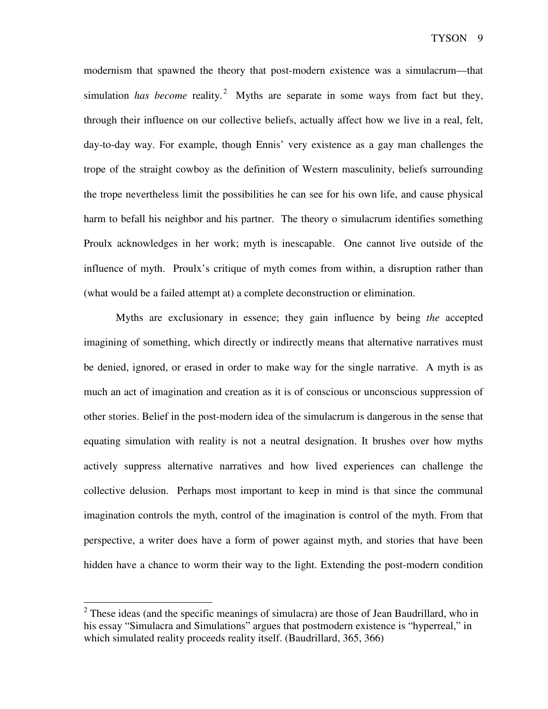modernism that spawned the theory that post-modern existence was a simulacrum—that simulation *has become* reality.<sup>2</sup> Myths are separate in some ways from fact but they, through their influence on our collective beliefs, actually affect how we live in a real, felt, day-to-day way. For example, though Ennis' very existence as a gay man challenges the trope of the straight cowboy as the definition of Western masculinity, beliefs surrounding the trope nevertheless limit the possibilities he can see for his own life, and cause physical harm to befall his neighbor and his partner. The theory o simulacrum identifies something Proulx acknowledges in her work; myth is inescapable. One cannot live outside of the influence of myth. Proulx's critique of myth comes from within, a disruption rather than (what would be a failed attempt at) a complete deconstruction or elimination.

Myths are exclusionary in essence; they gain influence by being *the* accepted imagining of something, which directly or indirectly means that alternative narratives must be denied, ignored, or erased in order to make way for the single narrative. A myth is as much an act of imagination and creation as it is of conscious or unconscious suppression of other stories. Belief in the post-modern idea of the simulacrum is dangerous in the sense that equating simulation with reality is not a neutral designation. It brushes over how myths actively suppress alternative narratives and how lived experiences can challenge the collective delusion. Perhaps most important to keep in mind is that since the communal imagination controls the myth, control of the imagination is control of the myth. From that perspective, a writer does have a form of power against myth, and stories that have been hidden have a chance to worm their way to the light. Extending the post-modern condition

-

 $2$  These ideas (and the specific meanings of simulacra) are those of Jean Baudrillard, who in his essay "Simulacra and Simulations" argues that postmodern existence is "hyperreal," in which simulated reality proceeds reality itself. (Baudrillard, 365, 366)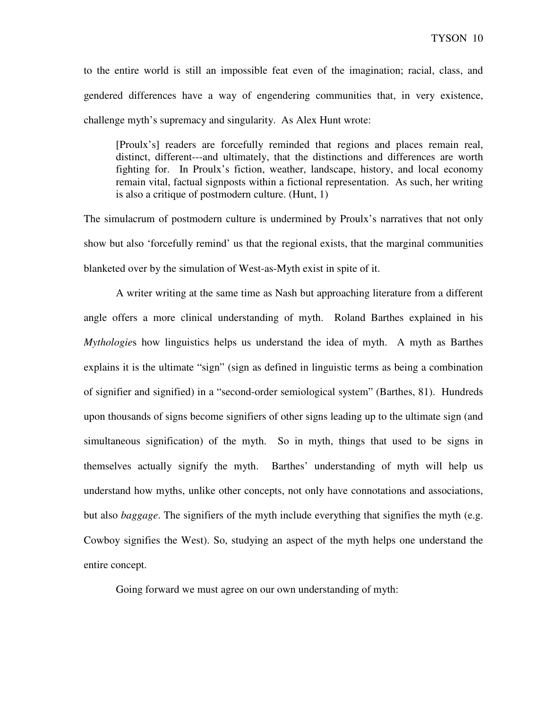to the entire world is still an impossible feat even of the imagination; racial, class, and gendered differences have a way of engendering communities that, in very existence, challenge myth's supremacy and singularity. As Alex Hunt wrote:

[Proulx's] readers are forcefully reminded that regions and places remain real, distinct, different---and ultimately, that the distinctions and differences are worth fighting for. In Proulx's fiction, weather, landscape, history, and local economy remain vital, factual signposts within a fictional representation. As such, her writing is also a critique of postmodern culture. (Hunt, 1)

The simulacrum of postmodern culture is undermined by Proulx's narratives that not only show but also 'forcefully remind' us that the regional exists, that the marginal communities blanketed over by the simulation of West-as-Myth exist in spite of it.

A writer writing at the same time as Nash but approaching literature from a different angle offers a more clinical understanding of myth. Roland Barthes explained in his *Mythologie*s how linguistics helps us understand the idea of myth. A myth as Barthes explains it is the ultimate "sign" (sign as defined in linguistic terms as being a combination of signifier and signified) in a "second-order semiological system" (Barthes, 81). Hundreds upon thousands of signs become signifiers of other signs leading up to the ultimate sign (and simultaneous signification) of the myth. So in myth, things that used to be signs in themselves actually signify the myth. Barthes' understanding of myth will help us understand how myths, unlike other concepts, not only have connotations and associations, but also *baggage*. The signifiers of the myth include everything that signifies the myth (e.g. Cowboy signifies the West). So, studying an aspect of the myth helps one understand the entire concept.

Going forward we must agree on our own understanding of myth: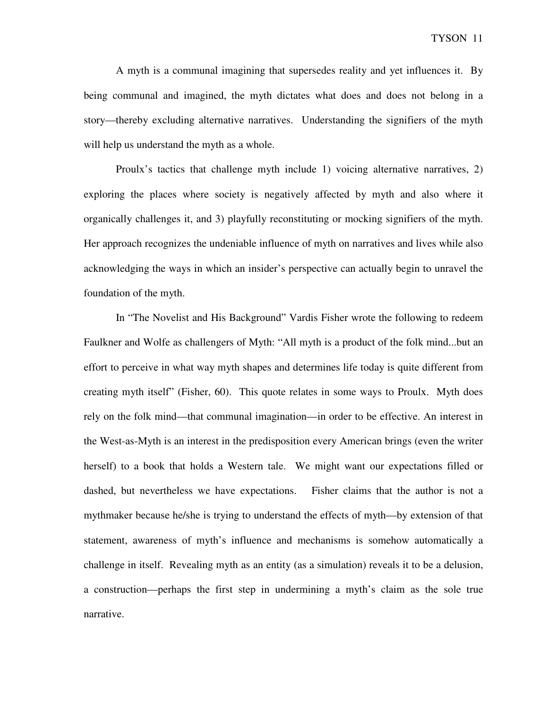A myth is a communal imagining that supersedes reality and yet influences it. By being communal and imagined, the myth dictates what does and does not belong in a story—thereby excluding alternative narratives. Understanding the signifiers of the myth will help us understand the myth as a whole.

 Proulx's tactics that challenge myth include 1) voicing alternative narratives, 2) exploring the places where society is negatively affected by myth and also where it organically challenges it, and 3) playfully reconstituting or mocking signifiers of the myth. Her approach recognizes the undeniable influence of myth on narratives and lives while also acknowledging the ways in which an insider's perspective can actually begin to unravel the foundation of the myth.

 In "The Novelist and His Background" Vardis Fisher wrote the following to redeem Faulkner and Wolfe as challengers of Myth: "All myth is a product of the folk mind...but an effort to perceive in what way myth shapes and determines life today is quite different from creating myth itself" (Fisher, 60). This quote relates in some ways to Proulx. Myth does rely on the folk mind—that communal imagination—in order to be effective. An interest in the West-as-Myth is an interest in the predisposition every American brings (even the writer herself) to a book that holds a Western tale. We might want our expectations filled or dashed, but nevertheless we have expectations. Fisher claims that the author is not a mythmaker because he/she is trying to understand the effects of myth—by extension of that statement, awareness of myth's influence and mechanisms is somehow automatically a challenge in itself. Revealing myth as an entity (as a simulation) reveals it to be a delusion, a construction—perhaps the first step in undermining a myth's claim as the sole true narrative.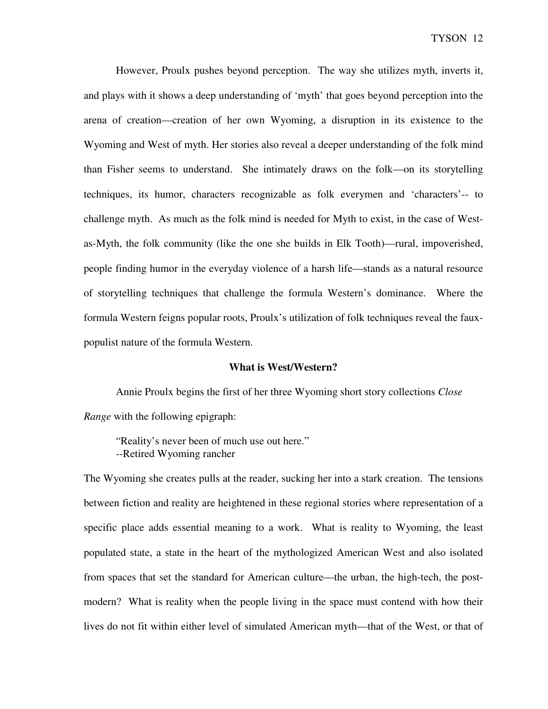However, Proulx pushes beyond perception. The way she utilizes myth, inverts it, and plays with it shows a deep understanding of 'myth' that goes beyond perception into the arena of creation—creation of her own Wyoming, a disruption in its existence to the Wyoming and West of myth. Her stories also reveal a deeper understanding of the folk mind than Fisher seems to understand. She intimately draws on the folk—on its storytelling techniques, its humor, characters recognizable as folk everymen and 'characters'-- to challenge myth. As much as the folk mind is needed for Myth to exist, in the case of Westas-Myth, the folk community (like the one she builds in Elk Tooth)—rural, impoverished, people finding humor in the everyday violence of a harsh life—stands as a natural resource of storytelling techniques that challenge the formula Western's dominance. Where the formula Western feigns popular roots, Proulx's utilization of folk techniques reveal the fauxpopulist nature of the formula Western.

#### **What is West/Western?**

Annie Proulx begins the first of her three Wyoming short story collections *Close Range* with the following epigraph:

 "Reality's never been of much use out here." --Retired Wyoming rancher

The Wyoming she creates pulls at the reader, sucking her into a stark creation. The tensions between fiction and reality are heightened in these regional stories where representation of a specific place adds essential meaning to a work. What is reality to Wyoming, the least populated state, a state in the heart of the mythologized American West and also isolated from spaces that set the standard for American culture—the urban, the high-tech, the postmodern? What is reality when the people living in the space must contend with how their lives do not fit within either level of simulated American myth—that of the West, or that of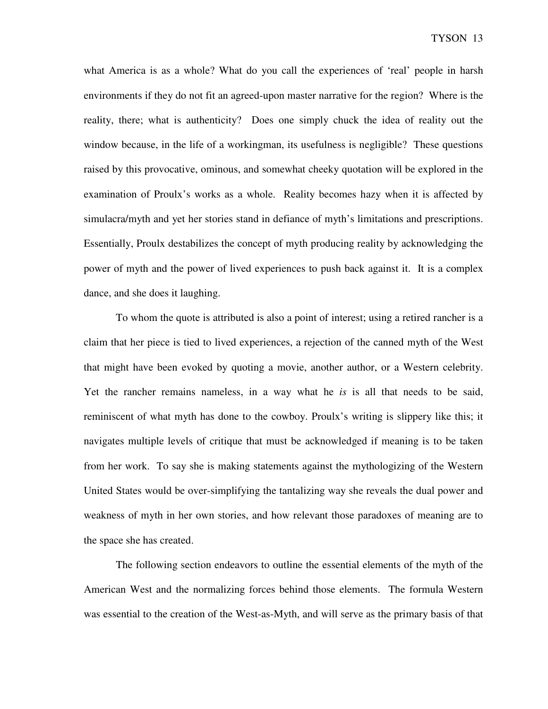what America is as a whole? What do you call the experiences of 'real' people in harsh environments if they do not fit an agreed-upon master narrative for the region? Where is the reality, there; what is authenticity? Does one simply chuck the idea of reality out the window because, in the life of a workingman, its usefulness is negligible? These questions raised by this provocative, ominous, and somewhat cheeky quotation will be explored in the examination of Proulx's works as a whole. Reality becomes hazy when it is affected by simulacra/myth and yet her stories stand in defiance of myth's limitations and prescriptions. Essentially, Proulx destabilizes the concept of myth producing reality by acknowledging the power of myth and the power of lived experiences to push back against it. It is a complex dance, and she does it laughing.

To whom the quote is attributed is also a point of interest; using a retired rancher is a claim that her piece is tied to lived experiences, a rejection of the canned myth of the West that might have been evoked by quoting a movie, another author, or a Western celebrity. Yet the rancher remains nameless, in a way what he *is* is all that needs to be said, reminiscent of what myth has done to the cowboy. Proulx's writing is slippery like this; it navigates multiple levels of critique that must be acknowledged if meaning is to be taken from her work. To say she is making statements against the mythologizing of the Western United States would be over-simplifying the tantalizing way she reveals the dual power and weakness of myth in her own stories, and how relevant those paradoxes of meaning are to the space she has created.

 The following section endeavors to outline the essential elements of the myth of the American West and the normalizing forces behind those elements. The formula Western was essential to the creation of the West-as-Myth, and will serve as the primary basis of that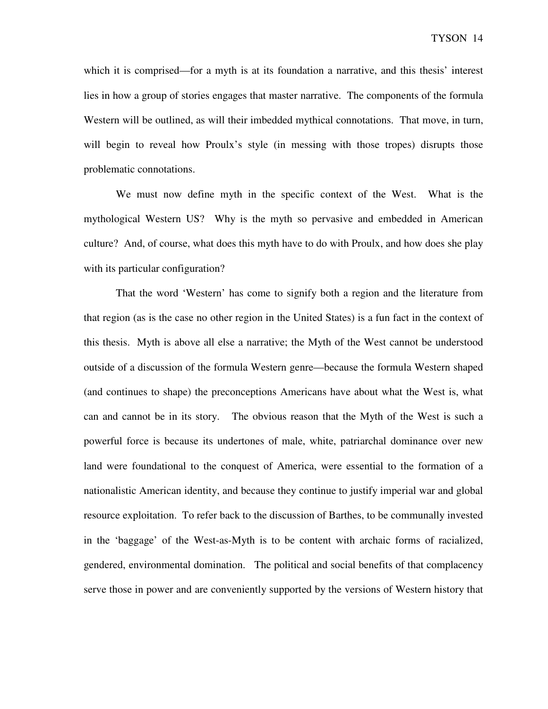which it is comprised—for a myth is at its foundation a narrative, and this thesis' interest lies in how a group of stories engages that master narrative. The components of the formula Western will be outlined, as will their imbedded mythical connotations. That move, in turn, will begin to reveal how Proulx's style (in messing with those tropes) disrupts those problematic connotations.

We must now define myth in the specific context of the West. What is the mythological Western US? Why is the myth so pervasive and embedded in American culture? And, of course, what does this myth have to do with Proulx, and how does she play with its particular configuration?

That the word 'Western' has come to signify both a region and the literature from that region (as is the case no other region in the United States) is a fun fact in the context of this thesis. Myth is above all else a narrative; the Myth of the West cannot be understood outside of a discussion of the formula Western genre—because the formula Western shaped (and continues to shape) the preconceptions Americans have about what the West is, what can and cannot be in its story. The obvious reason that the Myth of the West is such a powerful force is because its undertones of male, white, patriarchal dominance over new land were foundational to the conquest of America, were essential to the formation of a nationalistic American identity, and because they continue to justify imperial war and global resource exploitation. To refer back to the discussion of Barthes, to be communally invested in the 'baggage' of the West-as-Myth is to be content with archaic forms of racialized, gendered, environmental domination. The political and social benefits of that complacency serve those in power and are conveniently supported by the versions of Western history that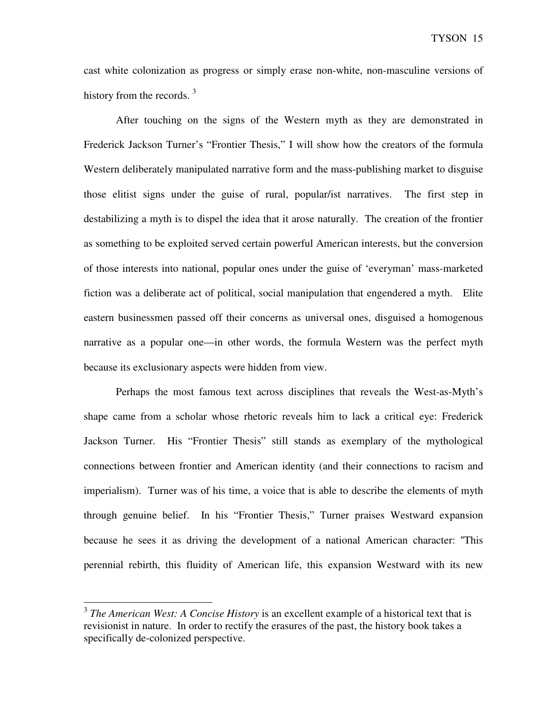cast white colonization as progress or simply erase non-white, non-masculine versions of history from the records.<sup>3</sup>

After touching on the signs of the Western myth as they are demonstrated in Frederick Jackson Turner's "Frontier Thesis," I will show how the creators of the formula Western deliberately manipulated narrative form and the mass-publishing market to disguise those elitist signs under the guise of rural, popular/ist narratives. The first step in destabilizing a myth is to dispel the idea that it arose naturally. The creation of the frontier as something to be exploited served certain powerful American interests, but the conversion of those interests into national, popular ones under the guise of 'everyman' mass-marketed fiction was a deliberate act of political, social manipulation that engendered a myth. Elite eastern businessmen passed off their concerns as universal ones, disguised a homogenous narrative as a popular one—in other words, the formula Western was the perfect myth because its exclusionary aspects were hidden from view.

Perhaps the most famous text across disciplines that reveals the West-as-Myth's shape came from a scholar whose rhetoric reveals him to lack a critical eye: Frederick Jackson Turner. His "Frontier Thesis" still stands as exemplary of the mythological connections between frontier and American identity (and their connections to racism and imperialism). Turner was of his time, a voice that is able to describe the elements of myth through genuine belief. In his "Frontier Thesis," Turner praises Westward expansion because he sees it as driving the development of a national American character: "This perennial rebirth, this fluidity of American life, this expansion Westward with its new

-

<sup>&</sup>lt;sup>3</sup> The American West: A Concise History is an excellent example of a historical text that is revisionist in nature. In order to rectify the erasures of the past, the history book takes a specifically de-colonized perspective.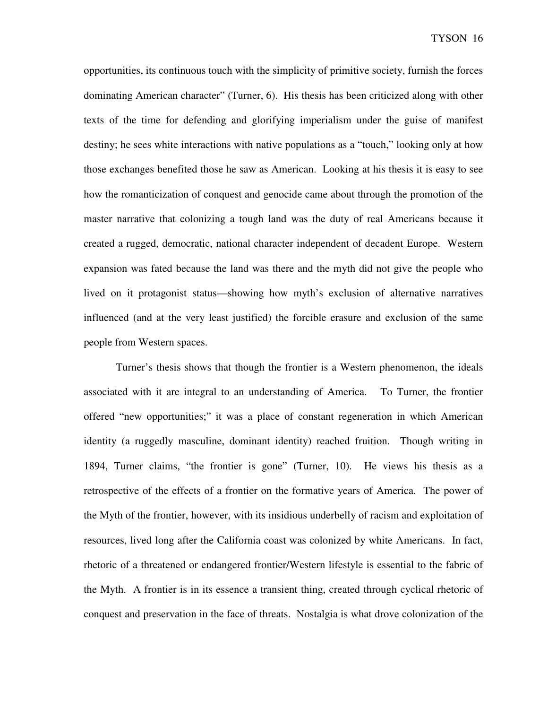opportunities, its continuous touch with the simplicity of primitive society, furnish the forces dominating American character" (Turner, 6). His thesis has been criticized along with other texts of the time for defending and glorifying imperialism under the guise of manifest destiny; he sees white interactions with native populations as a "touch," looking only at how those exchanges benefited those he saw as American. Looking at his thesis it is easy to see how the romanticization of conquest and genocide came about through the promotion of the master narrative that colonizing a tough land was the duty of real Americans because it created a rugged, democratic, national character independent of decadent Europe. Western expansion was fated because the land was there and the myth did not give the people who lived on it protagonist status—showing how myth's exclusion of alternative narratives influenced (and at the very least justified) the forcible erasure and exclusion of the same people from Western spaces.

Turner's thesis shows that though the frontier is a Western phenomenon, the ideals associated with it are integral to an understanding of America. To Turner, the frontier offered "new opportunities;" it was a place of constant regeneration in which American identity (a ruggedly masculine, dominant identity) reached fruition. Though writing in 1894, Turner claims, "the frontier is gone" (Turner, 10). He views his thesis as a retrospective of the effects of a frontier on the formative years of America. The power of the Myth of the frontier, however, with its insidious underbelly of racism and exploitation of resources, lived long after the California coast was colonized by white Americans. In fact, rhetoric of a threatened or endangered frontier/Western lifestyle is essential to the fabric of the Myth. A frontier is in its essence a transient thing, created through cyclical rhetoric of conquest and preservation in the face of threats. Nostalgia is what drove colonization of the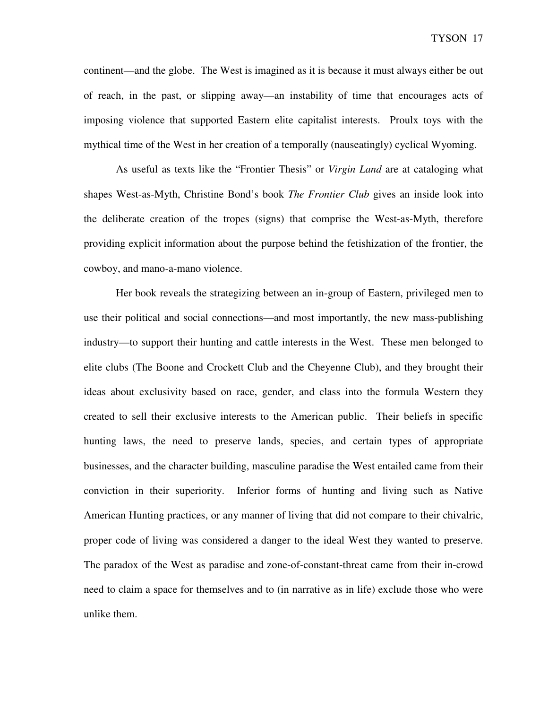continent—and the globe. The West is imagined as it is because it must always either be out of reach, in the past, or slipping away—an instability of time that encourages acts of imposing violence that supported Eastern elite capitalist interests. Proulx toys with the mythical time of the West in her creation of a temporally (nauseatingly) cyclical Wyoming.

As useful as texts like the "Frontier Thesis" or *Virgin Land* are at cataloging what shapes West-as-Myth, Christine Bond's book *The Frontier Club* gives an inside look into the deliberate creation of the tropes (signs) that comprise the West-as-Myth, therefore providing explicit information about the purpose behind the fetishization of the frontier, the cowboy, and mano-a-mano violence.

Her book reveals the strategizing between an in-group of Eastern, privileged men to use their political and social connections—and most importantly, the new mass-publishing industry—to support their hunting and cattle interests in the West. These men belonged to elite clubs (The Boone and Crockett Club and the Cheyenne Club), and they brought their ideas about exclusivity based on race, gender, and class into the formula Western they created to sell their exclusive interests to the American public. Their beliefs in specific hunting laws, the need to preserve lands, species, and certain types of appropriate businesses, and the character building, masculine paradise the West entailed came from their conviction in their superiority. Inferior forms of hunting and living such as Native American Hunting practices, or any manner of living that did not compare to their chivalric, proper code of living was considered a danger to the ideal West they wanted to preserve. The paradox of the West as paradise and zone-of-constant-threat came from their in-crowd need to claim a space for themselves and to (in narrative as in life) exclude those who were unlike them.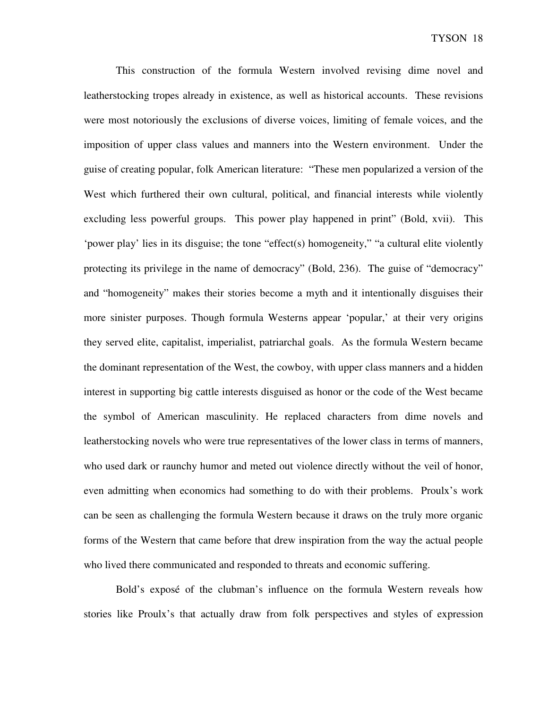This construction of the formula Western involved revising dime novel and leatherstocking tropes already in existence, as well as historical accounts. These revisions were most notoriously the exclusions of diverse voices, limiting of female voices, and the imposition of upper class values and manners into the Western environment. Under the guise of creating popular, folk American literature: "These men popularized a version of the West which furthered their own cultural, political, and financial interests while violently excluding less powerful groups. This power play happened in print" (Bold, xvii). This 'power play' lies in its disguise; the tone "effect(s) homogeneity," "a cultural elite violently protecting its privilege in the name of democracy" (Bold, 236). The guise of "democracy" and "homogeneity" makes their stories become a myth and it intentionally disguises their more sinister purposes. Though formula Westerns appear 'popular,' at their very origins they served elite, capitalist, imperialist, patriarchal goals. As the formula Western became the dominant representation of the West, the cowboy, with upper class manners and a hidden interest in supporting big cattle interests disguised as honor or the code of the West became the symbol of American masculinity. He replaced characters from dime novels and leatherstocking novels who were true representatives of the lower class in terms of manners, who used dark or raunchy humor and meted out violence directly without the veil of honor, even admitting when economics had something to do with their problems. Proulx's work can be seen as challenging the formula Western because it draws on the truly more organic forms of the Western that came before that drew inspiration from the way the actual people who lived there communicated and responded to threats and economic suffering.

Bold's exposé of the clubman's influence on the formula Western reveals how stories like Proulx's that actually draw from folk perspectives and styles of expression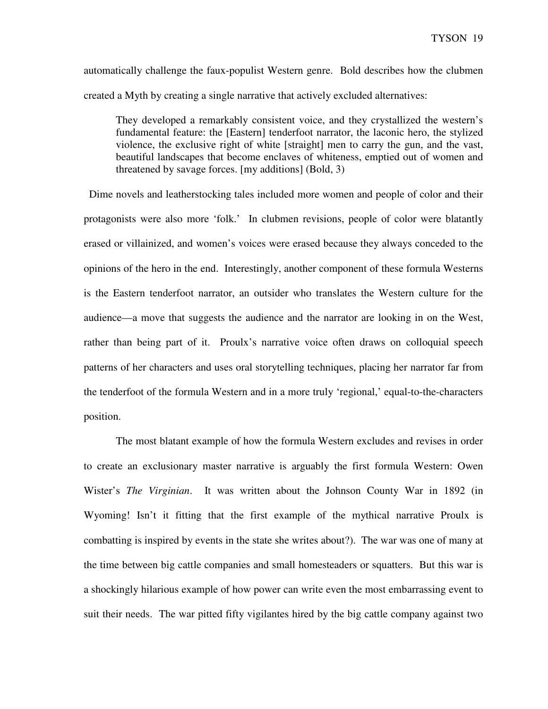automatically challenge the faux-populist Western genre. Bold describes how the clubmen created a Myth by creating a single narrative that actively excluded alternatives:

They developed a remarkably consistent voice, and they crystallized the western's fundamental feature: the [Eastern] tenderfoot narrator, the laconic hero, the stylized violence, the exclusive right of white [straight] men to carry the gun, and the vast, beautiful landscapes that become enclaves of whiteness, emptied out of women and threatened by savage forces. [my additions] (Bold, 3)

 Dime novels and leatherstocking tales included more women and people of color and their protagonists were also more 'folk.' In clubmen revisions, people of color were blatantly erased or villainized, and women's voices were erased because they always conceded to the opinions of the hero in the end. Interestingly, another component of these formula Westerns is the Eastern tenderfoot narrator, an outsider who translates the Western culture for the audience—a move that suggests the audience and the narrator are looking in on the West, rather than being part of it. Proulx's narrative voice often draws on colloquial speech patterns of her characters and uses oral storytelling techniques, placing her narrator far from the tenderfoot of the formula Western and in a more truly 'regional,' equal-to-the-characters position.

The most blatant example of how the formula Western excludes and revises in order to create an exclusionary master narrative is arguably the first formula Western: Owen Wister's *The Virginian*. It was written about the Johnson County War in 1892 (in Wyoming! Isn't it fitting that the first example of the mythical narrative Proulx is combatting is inspired by events in the state she writes about?). The war was one of many at the time between big cattle companies and small homesteaders or squatters. But this war is a shockingly hilarious example of how power can write even the most embarrassing event to suit their needs. The war pitted fifty vigilantes hired by the big cattle company against two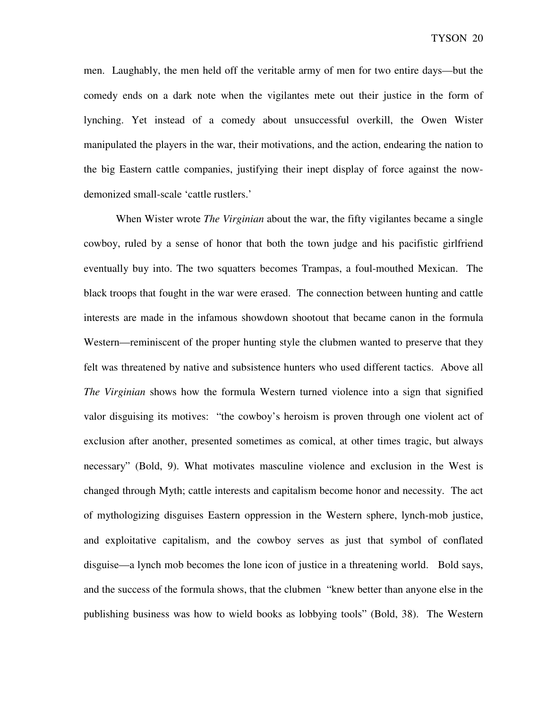men. Laughably, the men held off the veritable army of men for two entire days—but the comedy ends on a dark note when the vigilantes mete out their justice in the form of lynching. Yet instead of a comedy about unsuccessful overkill, the Owen Wister manipulated the players in the war, their motivations, and the action, endearing the nation to the big Eastern cattle companies, justifying their inept display of force against the nowdemonized small-scale 'cattle rustlers.'

When Wister wrote *The Virginian* about the war, the fifty vigilantes became a single cowboy, ruled by a sense of honor that both the town judge and his pacifistic girlfriend eventually buy into. The two squatters becomes Trampas, a foul-mouthed Mexican. The black troops that fought in the war were erased. The connection between hunting and cattle interests are made in the infamous showdown shootout that became canon in the formula Western—reminiscent of the proper hunting style the clubmen wanted to preserve that they felt was threatened by native and subsistence hunters who used different tactics. Above all *The Virginian* shows how the formula Western turned violence into a sign that signified valor disguising its motives: "the cowboy's heroism is proven through one violent act of exclusion after another, presented sometimes as comical, at other times tragic, but always necessary" (Bold, 9). What motivates masculine violence and exclusion in the West is changed through Myth; cattle interests and capitalism become honor and necessity. The act of mythologizing disguises Eastern oppression in the Western sphere, lynch-mob justice, and exploitative capitalism, and the cowboy serves as just that symbol of conflated disguise—a lynch mob becomes the lone icon of justice in a threatening world. Bold says, and the success of the formula shows, that the clubmen "knew better than anyone else in the publishing business was how to wield books as lobbying tools" (Bold, 38). The Western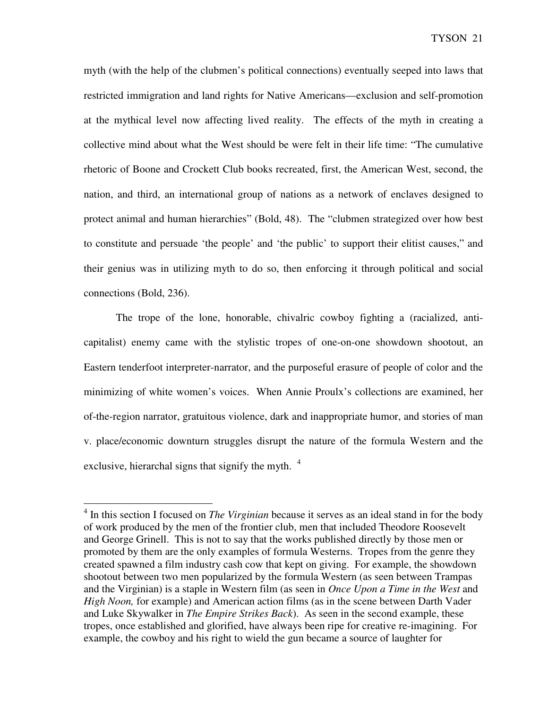myth (with the help of the clubmen's political connections) eventually seeped into laws that restricted immigration and land rights for Native Americans—exclusion and self-promotion at the mythical level now affecting lived reality. The effects of the myth in creating a collective mind about what the West should be were felt in their life time: "The cumulative rhetoric of Boone and Crockett Club books recreated, first, the American West, second, the nation, and third, an international group of nations as a network of enclaves designed to protect animal and human hierarchies" (Bold, 48). The "clubmen strategized over how best to constitute and persuade 'the people' and 'the public' to support their elitist causes," and their genius was in utilizing myth to do so, then enforcing it through political and social connections (Bold, 236).

 The trope of the lone, honorable, chivalric cowboy fighting a (racialized, anticapitalist) enemy came with the stylistic tropes of one-on-one showdown shootout, an Eastern tenderfoot interpreter-narrator, and the purposeful erasure of people of color and the minimizing of white women's voices. When Annie Proulx's collections are examined, her of-the-region narrator, gratuitous violence, dark and inappropriate humor, and stories of man v. place/economic downturn struggles disrupt the nature of the formula Western and the exclusive, hierarchal signs that signify the myth. <sup>4</sup>

<u>.</u>

<sup>4</sup> In this section I focused on *The Virginian* because it serves as an ideal stand in for the body of work produced by the men of the frontier club, men that included Theodore Roosevelt and George Grinell. This is not to say that the works published directly by those men or promoted by them are the only examples of formula Westerns. Tropes from the genre they created spawned a film industry cash cow that kept on giving. For example, the showdown shootout between two men popularized by the formula Western (as seen between Trampas and the Virginian) is a staple in Western film (as seen in *Once Upon a Time in the West* and *High Noon*, for example) and American action films (as in the scene between Darth Vader and Luke Skywalker in *The Empire Strikes Back*). As seen in the second example, these tropes, once established and glorified, have always been ripe for creative re-imagining. For example, the cowboy and his right to wield the gun became a source of laughter for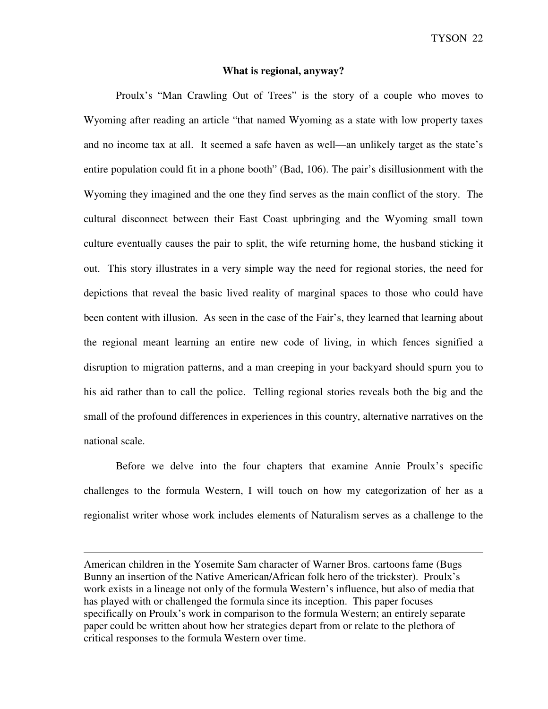#### **What is regional, anyway?**

Proulx's "Man Crawling Out of Trees" is the story of a couple who moves to Wyoming after reading an article "that named Wyoming as a state with low property taxes and no income tax at all. It seemed a safe haven as well—an unlikely target as the state's entire population could fit in a phone booth" (Bad, 106). The pair's disillusionment with the Wyoming they imagined and the one they find serves as the main conflict of the story. The cultural disconnect between their East Coast upbringing and the Wyoming small town culture eventually causes the pair to split, the wife returning home, the husband sticking it out. This story illustrates in a very simple way the need for regional stories, the need for depictions that reveal the basic lived reality of marginal spaces to those who could have been content with illusion. As seen in the case of the Fair's, they learned that learning about the regional meant learning an entire new code of living, in which fences signified a disruption to migration patterns, and a man creeping in your backyard should spurn you to his aid rather than to call the police. Telling regional stories reveals both the big and the small of the profound differences in experiences in this country, alternative narratives on the national scale.

 Before we delve into the four chapters that examine Annie Proulx's specific challenges to the formula Western, I will touch on how my categorization of her as a regionalist writer whose work includes elements of Naturalism serves as a challenge to the

 $\overline{a}$ 

American children in the Yosemite Sam character of Warner Bros. cartoons fame (Bugs Bunny an insertion of the Native American/African folk hero of the trickster). Proulx's work exists in a lineage not only of the formula Western's influence, but also of media that has played with or challenged the formula since its inception. This paper focuses specifically on Proulx's work in comparison to the formula Western; an entirely separate paper could be written about how her strategies depart from or relate to the plethora of critical responses to the formula Western over time.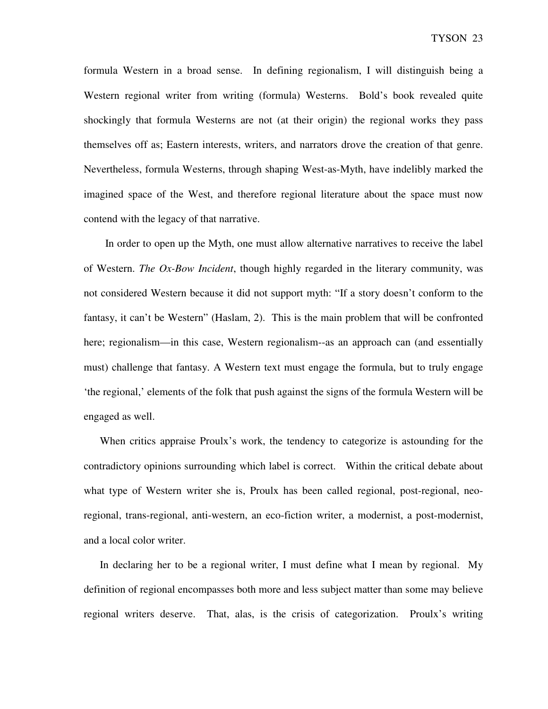formula Western in a broad sense. In defining regionalism, I will distinguish being a Western regional writer from writing (formula) Westerns. Bold's book revealed quite shockingly that formula Westerns are not (at their origin) the regional works they pass themselves off as; Eastern interests, writers, and narrators drove the creation of that genre. Nevertheless, formula Westerns, through shaping West-as-Myth, have indelibly marked the imagined space of the West, and therefore regional literature about the space must now contend with the legacy of that narrative.

 In order to open up the Myth, one must allow alternative narratives to receive the label of Western. *The Ox-Bow Incident*, though highly regarded in the literary community, was not considered Western because it did not support myth: "If a story doesn't conform to the fantasy, it can't be Western" (Haslam, 2). This is the main problem that will be confronted here; regionalism—in this case, Western regionalism—as an approach can (and essentially must) challenge that fantasy. A Western text must engage the formula, but to truly engage 'the regional,' elements of the folk that push against the signs of the formula Western will be engaged as well.

When critics appraise Proulx's work, the tendency to categorize is astounding for the contradictory opinions surrounding which label is correct. Within the critical debate about what type of Western writer she is, Proulx has been called regional, post-regional, neoregional, trans-regional, anti-western, an eco-fiction writer, a modernist, a post-modernist, and a local color writer.

In declaring her to be a regional writer, I must define what I mean by regional. My definition of regional encompasses both more and less subject matter than some may believe regional writers deserve. That, alas, is the crisis of categorization. Proulx's writing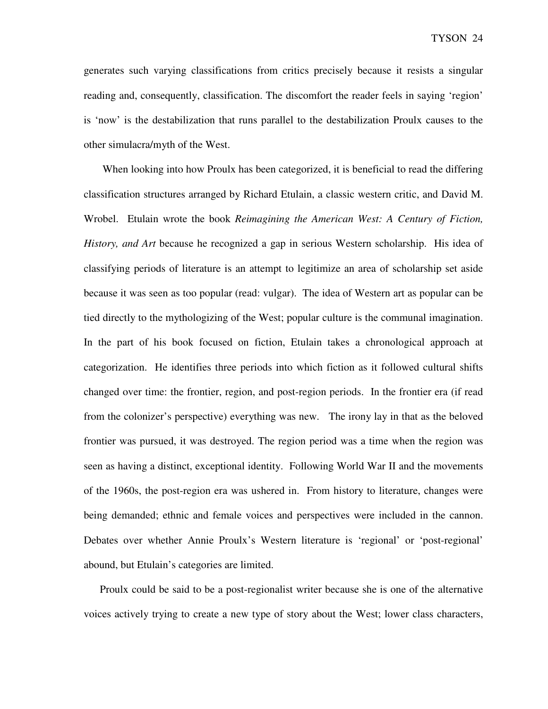generates such varying classifications from critics precisely because it resists a singular reading and, consequently, classification. The discomfort the reader feels in saying 'region' is 'now' is the destabilization that runs parallel to the destabilization Proulx causes to the other simulacra/myth of the West.

 When looking into how Proulx has been categorized, it is beneficial to read the differing classification structures arranged by Richard Etulain, a classic western critic, and David M. Wrobel. Etulain wrote the book *Reimagining the American West: A Century of Fiction, History, and Art* because he recognized a gap in serious Western scholarship. His idea of classifying periods of literature is an attempt to legitimize an area of scholarship set aside because it was seen as too popular (read: vulgar). The idea of Western art as popular can be tied directly to the mythologizing of the West; popular culture is the communal imagination. In the part of his book focused on fiction, Etulain takes a chronological approach at categorization. He identifies three periods into which fiction as it followed cultural shifts changed over time: the frontier, region, and post-region periods. In the frontier era (if read from the colonizer's perspective) everything was new. The irony lay in that as the beloved frontier was pursued, it was destroyed. The region period was a time when the region was seen as having a distinct, exceptional identity. Following World War II and the movements of the 1960s, the post-region era was ushered in. From history to literature, changes were being demanded; ethnic and female voices and perspectives were included in the cannon. Debates over whether Annie Proulx's Western literature is 'regional' or 'post-regional' abound, but Etulain's categories are limited.

Proulx could be said to be a post-regionalist writer because she is one of the alternative voices actively trying to create a new type of story about the West; lower class characters,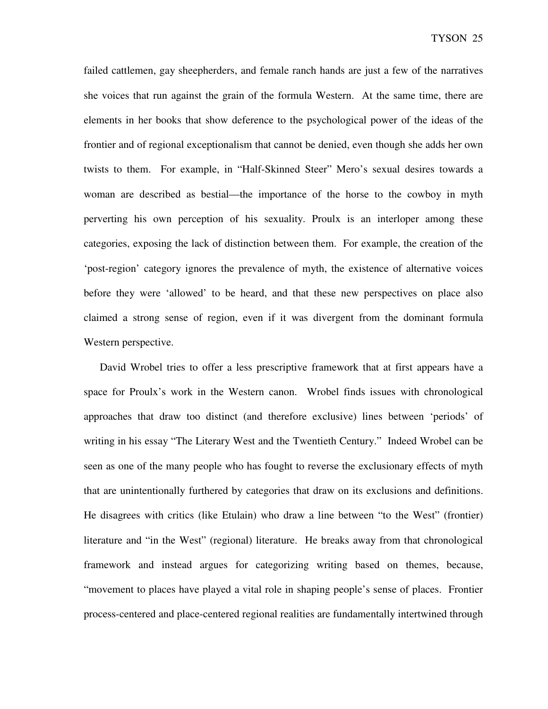failed cattlemen, gay sheepherders, and female ranch hands are just a few of the narratives she voices that run against the grain of the formula Western. At the same time, there are elements in her books that show deference to the psychological power of the ideas of the frontier and of regional exceptionalism that cannot be denied, even though she adds her own twists to them. For example, in "Half-Skinned Steer" Mero's sexual desires towards a woman are described as bestial—the importance of the horse to the cowboy in myth perverting his own perception of his sexuality. Proulx is an interloper among these categories, exposing the lack of distinction between them. For example, the creation of the 'post-region' category ignores the prevalence of myth, the existence of alternative voices before they were 'allowed' to be heard, and that these new perspectives on place also claimed a strong sense of region, even if it was divergent from the dominant formula Western perspective.

David Wrobel tries to offer a less prescriptive framework that at first appears have a space for Proulx's work in the Western canon. Wrobel finds issues with chronological approaches that draw too distinct (and therefore exclusive) lines between 'periods' of writing in his essay "The Literary West and the Twentieth Century." Indeed Wrobel can be seen as one of the many people who has fought to reverse the exclusionary effects of myth that are unintentionally furthered by categories that draw on its exclusions and definitions. He disagrees with critics (like Etulain) who draw a line between "to the West" (frontier) literature and "in the West" (regional) literature. He breaks away from that chronological framework and instead argues for categorizing writing based on themes, because, "movement to places have played a vital role in shaping people's sense of places. Frontier process-centered and place-centered regional realities are fundamentally intertwined through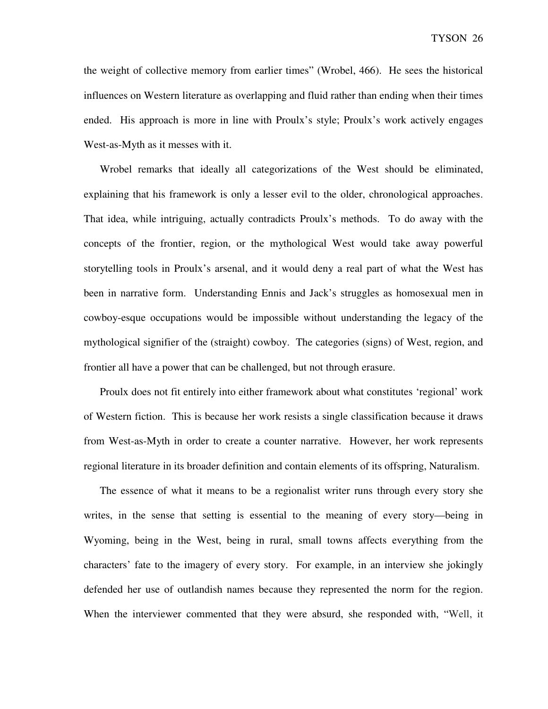the weight of collective memory from earlier times" (Wrobel, 466). He sees the historical influences on Western literature as overlapping and fluid rather than ending when their times ended. His approach is more in line with Proulx's style; Proulx's work actively engages West-as-Myth as it messes with it.

Wrobel remarks that ideally all categorizations of the West should be eliminated, explaining that his framework is only a lesser evil to the older, chronological approaches. That idea, while intriguing, actually contradicts Proulx's methods. To do away with the concepts of the frontier, region, or the mythological West would take away powerful storytelling tools in Proulx's arsenal, and it would deny a real part of what the West has been in narrative form. Understanding Ennis and Jack's struggles as homosexual men in cowboy-esque occupations would be impossible without understanding the legacy of the mythological signifier of the (straight) cowboy. The categories (signs) of West, region, and frontier all have a power that can be challenged, but not through erasure.

Proulx does not fit entirely into either framework about what constitutes 'regional' work of Western fiction. This is because her work resists a single classification because it draws from West-as-Myth in order to create a counter narrative. However, her work represents regional literature in its broader definition and contain elements of its offspring, Naturalism.

The essence of what it means to be a regionalist writer runs through every story she writes, in the sense that setting is essential to the meaning of every story—being in Wyoming, being in the West, being in rural, small towns affects everything from the characters' fate to the imagery of every story. For example, in an interview she jokingly defended her use of outlandish names because they represented the norm for the region. When the interviewer commented that they were absurd, she responded with, "Well, it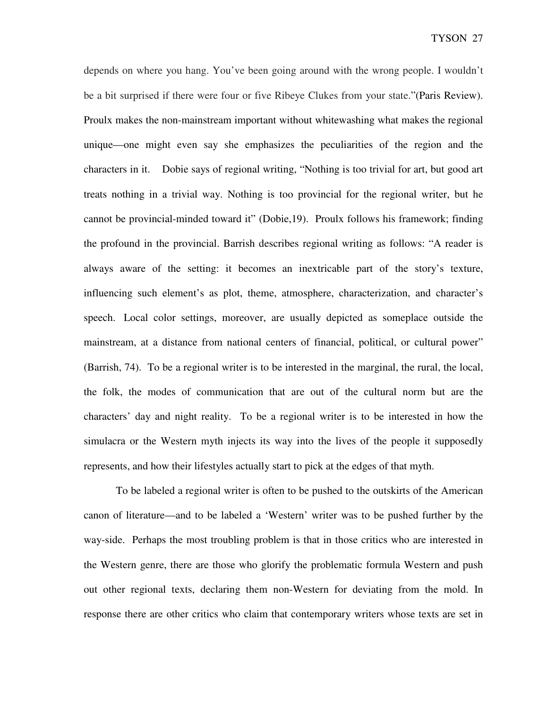depends on where you hang. You've been going around with the wrong people. I wouldn't be a bit surprised if there were four or five Ribeye Clukes from your state."(Paris Review). Proulx makes the non-mainstream important without whitewashing what makes the regional unique—one might even say she emphasizes the peculiarities of the region and the characters in it. Dobie says of regional writing, "Nothing is too trivial for art, but good art treats nothing in a trivial way. Nothing is too provincial for the regional writer, but he cannot be provincial-minded toward it" (Dobie,19). Proulx follows his framework; finding the profound in the provincial. Barrish describes regional writing as follows: "A reader is always aware of the setting: it becomes an inextricable part of the story's texture, influencing such element's as plot, theme, atmosphere, characterization, and character's speech. Local color settings, moreover, are usually depicted as someplace outside the mainstream, at a distance from national centers of financial, political, or cultural power" (Barrish, 74). To be a regional writer is to be interested in the marginal, the rural, the local, the folk, the modes of communication that are out of the cultural norm but are the characters' day and night reality. To be a regional writer is to be interested in how the simulacra or the Western myth injects its way into the lives of the people it supposedly represents, and how their lifestyles actually start to pick at the edges of that myth.

 To be labeled a regional writer is often to be pushed to the outskirts of the American canon of literature—and to be labeled a 'Western' writer was to be pushed further by the way-side. Perhaps the most troubling problem is that in those critics who are interested in the Western genre, there are those who glorify the problematic formula Western and push out other regional texts, declaring them non-Western for deviating from the mold. In response there are other critics who claim that contemporary writers whose texts are set in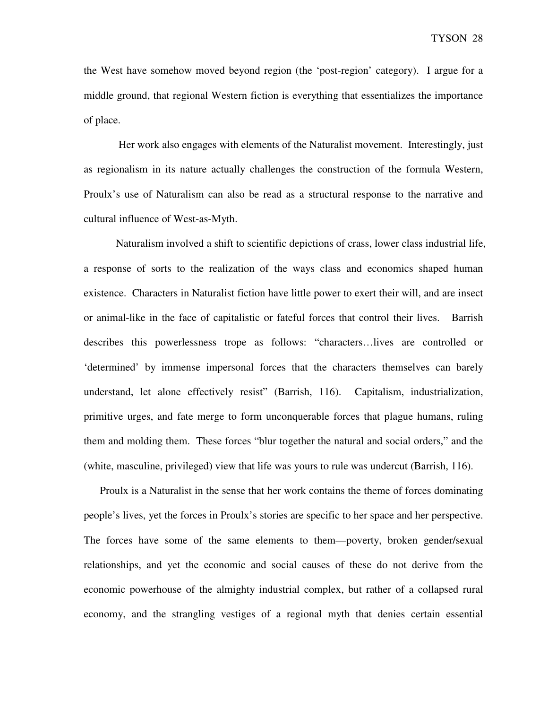the West have somehow moved beyond region (the 'post-region' category). I argue for a middle ground, that regional Western fiction is everything that essentializes the importance of place.

 Her work also engages with elements of the Naturalist movement. Interestingly, just as regionalism in its nature actually challenges the construction of the formula Western, Proulx's use of Naturalism can also be read as a structural response to the narrative and cultural influence of West-as-Myth.

Naturalism involved a shift to scientific depictions of crass, lower class industrial life, a response of sorts to the realization of the ways class and economics shaped human existence. Characters in Naturalist fiction have little power to exert their will, and are insect or animal-like in the face of capitalistic or fateful forces that control their lives. Barrish describes this powerlessness trope as follows: "characters…lives are controlled or 'determined' by immense impersonal forces that the characters themselves can barely understand, let alone effectively resist" (Barrish, 116). Capitalism, industrialization, primitive urges, and fate merge to form unconquerable forces that plague humans, ruling them and molding them. These forces "blur together the natural and social orders," and the (white, masculine, privileged) view that life was yours to rule was undercut (Barrish, 116).

Proulx is a Naturalist in the sense that her work contains the theme of forces dominating people's lives, yet the forces in Proulx's stories are specific to her space and her perspective. The forces have some of the same elements to them—poverty, broken gender/sexual relationships, and yet the economic and social causes of these do not derive from the economic powerhouse of the almighty industrial complex, but rather of a collapsed rural economy, and the strangling vestiges of a regional myth that denies certain essential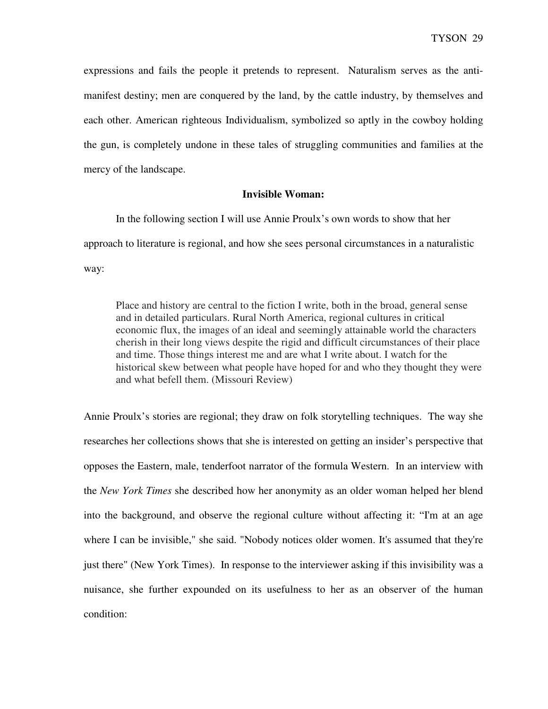expressions and fails the people it pretends to represent. Naturalism serves as the antimanifest destiny; men are conquered by the land, by the cattle industry, by themselves and each other. American righteous Individualism, symbolized so aptly in the cowboy holding the gun, is completely undone in these tales of struggling communities and families at the mercy of the landscape.

#### **Invisible Woman:**

 In the following section I will use Annie Proulx's own words to show that her approach to literature is regional, and how she sees personal circumstances in a naturalistic way:

Place and history are central to the fiction I write, both in the broad, general sense and in detailed particulars. Rural North America, regional cultures in critical economic flux, the images of an ideal and seemingly attainable world the characters cherish in their long views despite the rigid and difficult circumstances of their place and time. Those things interest me and are what I write about. I watch for the historical skew between what people have hoped for and who they thought they were and what befell them. (Missouri Review)

Annie Proulx's stories are regional; they draw on folk storytelling techniques. The way she researches her collections shows that she is interested on getting an insider's perspective that opposes the Eastern, male, tenderfoot narrator of the formula Western. In an interview with the *New York Times* she described how her anonymity as an older woman helped her blend into the background, and observe the regional culture without affecting it: "I'm at an age where I can be invisible," she said. "Nobody notices older women. It's assumed that they're just there" (New York Times). In response to the interviewer asking if this invisibility was a nuisance, she further expounded on its usefulness to her as an observer of the human condition: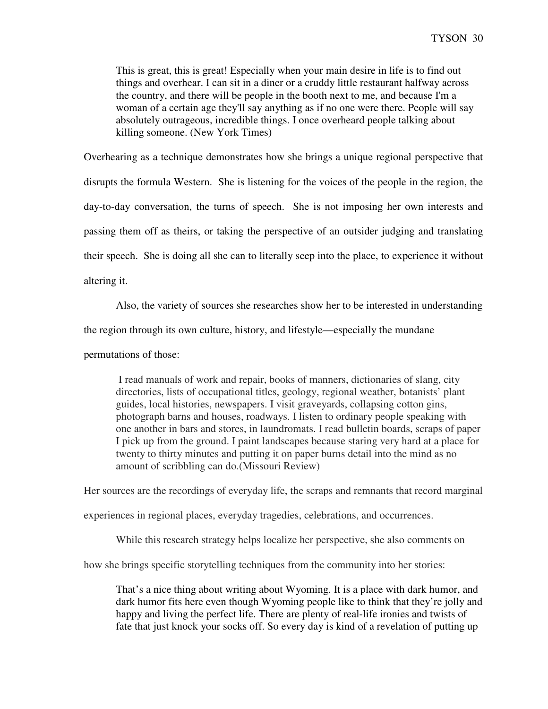This is great, this is great! Especially when your main desire in life is to find out things and overhear. I can sit in a diner or a cruddy little restaurant halfway across the country, and there will be people in the booth next to me, and because I'm a woman of a certain age they'll say anything as if no one were there. People will say absolutely outrageous, incredible things. I once overheard people talking about killing someone. (New York Times)

Overhearing as a technique demonstrates how she brings a unique regional perspective that disrupts the formula Western. She is listening for the voices of the people in the region, the day-to-day conversation, the turns of speech. She is not imposing her own interests and passing them off as theirs, or taking the perspective of an outsider judging and translating their speech. She is doing all she can to literally seep into the place, to experience it without altering it.

Also, the variety of sources she researches show her to be interested in understanding

the region through its own culture, history, and lifestyle—especially the mundane

permutations of those:

I read manuals of work and repair, books of manners, dictionaries of slang, city directories, lists of occupational titles, geology, regional weather, botanists' plant guides, local histories, newspapers. I visit graveyards, collapsing cotton gins, photograph barns and houses, roadways. I listen to ordinary people speaking with one another in bars and stores, in laundromats. I read bulletin boards, scraps of paper I pick up from the ground. I paint landscapes because staring very hard at a place for twenty to thirty minutes and putting it on paper burns detail into the mind as no amount of scribbling can do.(Missouri Review)

Her sources are the recordings of everyday life, the scraps and remnants that record marginal

experiences in regional places, everyday tragedies, celebrations, and occurrences.

While this research strategy helps localize her perspective, she also comments on

how she brings specific storytelling techniques from the community into her stories:

That's a nice thing about writing about Wyoming. It is a place with dark humor, and dark humor fits here even though Wyoming people like to think that they're jolly and happy and living the perfect life. There are plenty of real-life ironies and twists of fate that just knock your socks off. So every day is kind of a revelation of putting up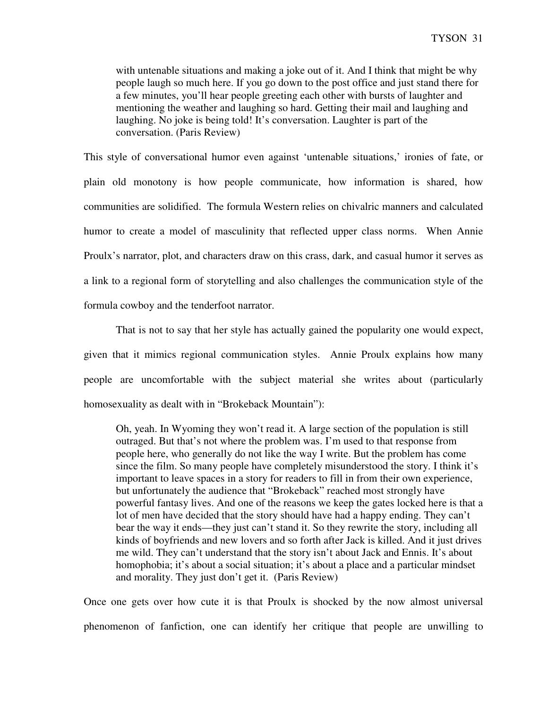with untenable situations and making a joke out of it. And I think that might be why people laugh so much here. If you go down to the post office and just stand there for a few minutes, you'll hear people greeting each other with bursts of laughter and mentioning the weather and laughing so hard. Getting their mail and laughing and laughing. No joke is being told! It's conversation. Laughter is part of the conversation. (Paris Review)

This style of conversational humor even against 'untenable situations,' ironies of fate, or plain old monotony is how people communicate, how information is shared, how communities are solidified. The formula Western relies on chivalric manners and calculated humor to create a model of masculinity that reflected upper class norms. When Annie Proulx's narrator, plot, and characters draw on this crass, dark, and casual humor it serves as a link to a regional form of storytelling and also challenges the communication style of the formula cowboy and the tenderfoot narrator.

 That is not to say that her style has actually gained the popularity one would expect, given that it mimics regional communication styles. Annie Proulx explains how many people are uncomfortable with the subject material she writes about (particularly homosexuality as dealt with in "Brokeback Mountain"):

Oh, yeah. In Wyoming they won't read it. A large section of the population is still outraged. But that's not where the problem was. I'm used to that response from people here, who generally do not like the way I write. But the problem has come since the film. So many people have completely misunderstood the story. I think it's important to leave spaces in a story for readers to fill in from their own experience, but unfortunately the audience that "Brokeback" reached most strongly have powerful fantasy lives. And one of the reasons we keep the gates locked here is that a lot of men have decided that the story should have had a happy ending. They can't bear the way it ends—they just can't stand it. So they rewrite the story, including all kinds of boyfriends and new lovers and so forth after Jack is killed. And it just drives me wild. They can't understand that the story isn't about Jack and Ennis. It's about homophobia; it's about a social situation; it's about a place and a particular mindset and morality. They just don't get it. (Paris Review)

Once one gets over how cute it is that Proulx is shocked by the now almost universal phenomenon of fanfiction, one can identify her critique that people are unwilling to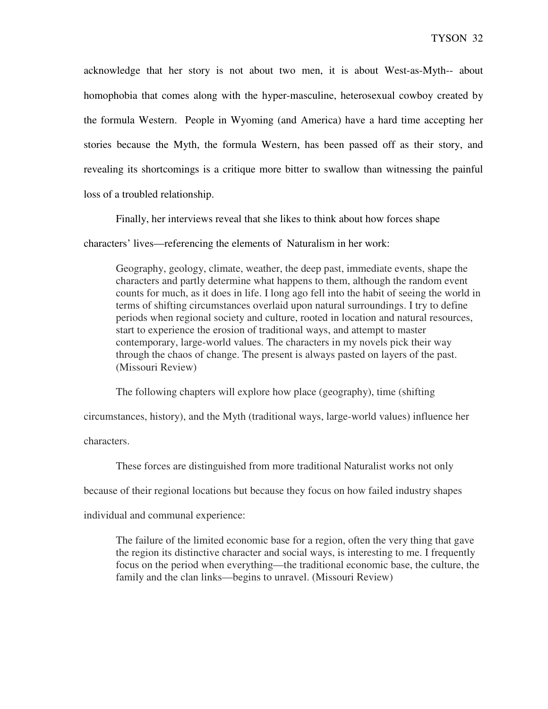acknowledge that her story is not about two men, it is about West-as-Myth-- about homophobia that comes along with the hyper-masculine, heterosexual cowboy created by the formula Western. People in Wyoming (and America) have a hard time accepting her stories because the Myth, the formula Western, has been passed off as their story, and revealing its shortcomings is a critique more bitter to swallow than witnessing the painful loss of a troubled relationship.

Finally, her interviews reveal that she likes to think about how forces shape

characters' lives—referencing the elements of Naturalism in her work:

Geography, geology, climate, weather, the deep past, immediate events, shape the characters and partly determine what happens to them, although the random event counts for much, as it does in life. I long ago fell into the habit of seeing the world in terms of shifting circumstances overlaid upon natural surroundings. I try to define periods when regional society and culture, rooted in location and natural resources, start to experience the erosion of traditional ways, and attempt to master contemporary, large-world values. The characters in my novels pick their way through the chaos of change. The present is always pasted on layers of the past. (Missouri Review)

The following chapters will explore how place (geography), time (shifting

circumstances, history), and the Myth (traditional ways, large-world values) influence her

characters.

These forces are distinguished from more traditional Naturalist works not only

because of their regional locations but because they focus on how failed industry shapes

individual and communal experience:

The failure of the limited economic base for a region, often the very thing that gave the region its distinctive character and social ways, is interesting to me. I frequently focus on the period when everything—the traditional economic base, the culture, the family and the clan links—begins to unravel. (Missouri Review)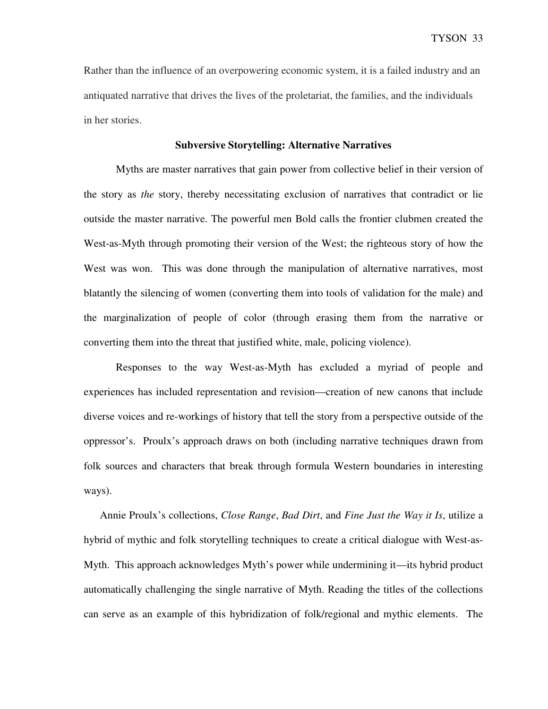Rather than the influence of an overpowering economic system, it is a failed industry and an antiquated narrative that drives the lives of the proletariat, the families, and the individuals in her stories.

#### **Subversive Storytelling: Alternative Narratives**

Myths are master narratives that gain power from collective belief in their version of the story as *the* story, thereby necessitating exclusion of narratives that contradict or lie outside the master narrative. The powerful men Bold calls the frontier clubmen created the West-as-Myth through promoting their version of the West; the righteous story of how the West was won. This was done through the manipulation of alternative narratives, most blatantly the silencing of women (converting them into tools of validation for the male) and the marginalization of people of color (through erasing them from the narrative or converting them into the threat that justified white, male, policing violence).

Responses to the way West-as-Myth has excluded a myriad of people and experiences has included representation and revision—creation of new canons that include diverse voices and re-workings of history that tell the story from a perspective outside of the oppressor's. Proulx's approach draws on both (including narrative techniques drawn from folk sources and characters that break through formula Western boundaries in interesting ways).

Annie Proulx's collections, *Close Range*, *Bad Dirt*, and *Fine Just the Way it Is*, utilize a hybrid of mythic and folk storytelling techniques to create a critical dialogue with West-as-Myth. This approach acknowledges Myth's power while undermining it—its hybrid product automatically challenging the single narrative of Myth. Reading the titles of the collections can serve as an example of this hybridization of folk/regional and mythic elements. The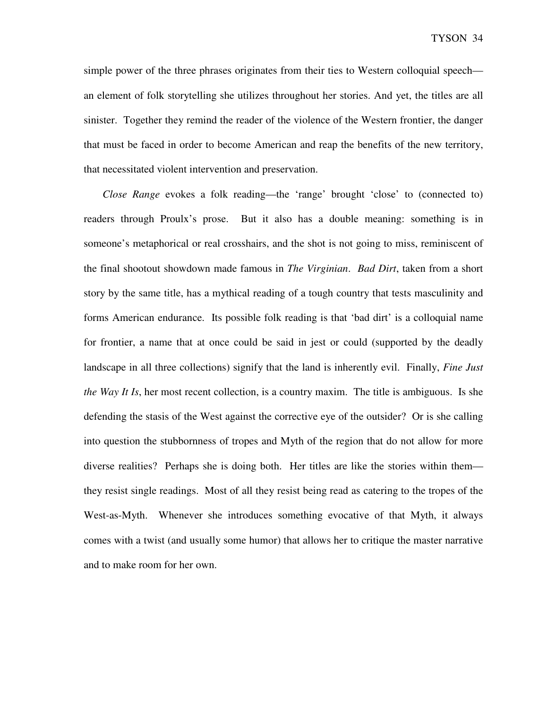simple power of the three phrases originates from their ties to Western colloquial speech an element of folk storytelling she utilizes throughout her stories. And yet, the titles are all sinister. Together they remind the reader of the violence of the Western frontier, the danger that must be faced in order to become American and reap the benefits of the new territory, that necessitated violent intervention and preservation.

*Close Range* evokes a folk reading—the 'range' brought 'close' to (connected to) readers through Proulx's prose. But it also has a double meaning: something is in someone's metaphorical or real crosshairs, and the shot is not going to miss, reminiscent of the final shootout showdown made famous in *The Virginian*. *Bad Dirt*, taken from a short story by the same title, has a mythical reading of a tough country that tests masculinity and forms American endurance. Its possible folk reading is that 'bad dirt' is a colloquial name for frontier, a name that at once could be said in jest or could (supported by the deadly landscape in all three collections) signify that the land is inherently evil. Finally, *Fine Just the Way It Is*, her most recent collection, is a country maxim. The title is ambiguous. Is she defending the stasis of the West against the corrective eye of the outsider? Or is she calling into question the stubbornness of tropes and Myth of the region that do not allow for more diverse realities? Perhaps she is doing both. Her titles are like the stories within them they resist single readings. Most of all they resist being read as catering to the tropes of the West-as-Myth. Whenever she introduces something evocative of that Myth, it always comes with a twist (and usually some humor) that allows her to critique the master narrative and to make room for her own.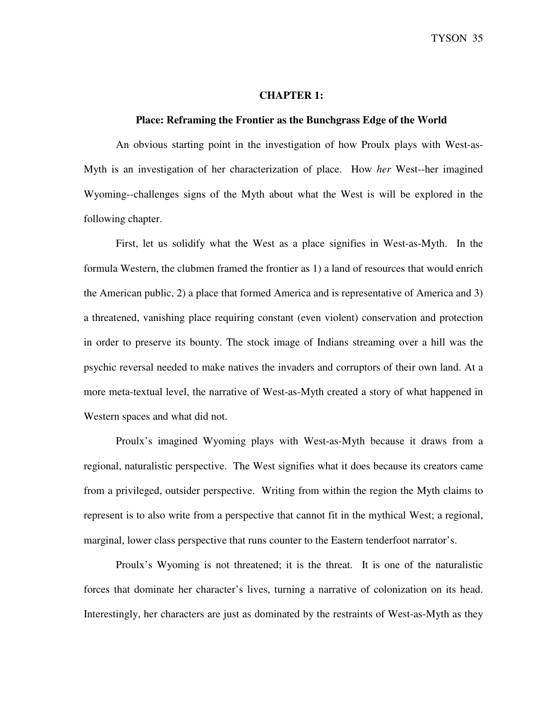#### **CHAPTER 1:**

#### **Place: Reframing the Frontier as the Bunchgrass Edge of the World**

 An obvious starting point in the investigation of how Proulx plays with West-as-Myth is an investigation of her characterization of place. How *her* West--her imagined Wyoming--challenges signs of the Myth about what the West is will be explored in the following chapter.

First, let us solidify what the West as a place signifies in West-as-Myth. In the formula Western, the clubmen framed the frontier as 1) a land of resources that would enrich the American public, 2) a place that formed America and is representative of America and 3) a threatened, vanishing place requiring constant (even violent) conservation and protection in order to preserve its bounty. The stock image of Indians streaming over a hill was the psychic reversal needed to make natives the invaders and corruptors of their own land. At a more meta-textual level, the narrative of West-as-Myth created a story of what happened in Western spaces and what did not.

Proulx's imagined Wyoming plays with West-as-Myth because it draws from a regional, naturalistic perspective. The West signifies what it does because its creators came from a privileged, outsider perspective. Writing from within the region the Myth claims to represent is to also write from a perspective that cannot fit in the mythical West; a regional, marginal, lower class perspective that runs counter to the Eastern tenderfoot narrator's.

Proulx's Wyoming is not threatened; it is the threat. It is one of the naturalistic forces that dominate her character's lives, turning a narrative of colonization on its head. Interestingly, her characters are just as dominated by the restraints of West-as-Myth as they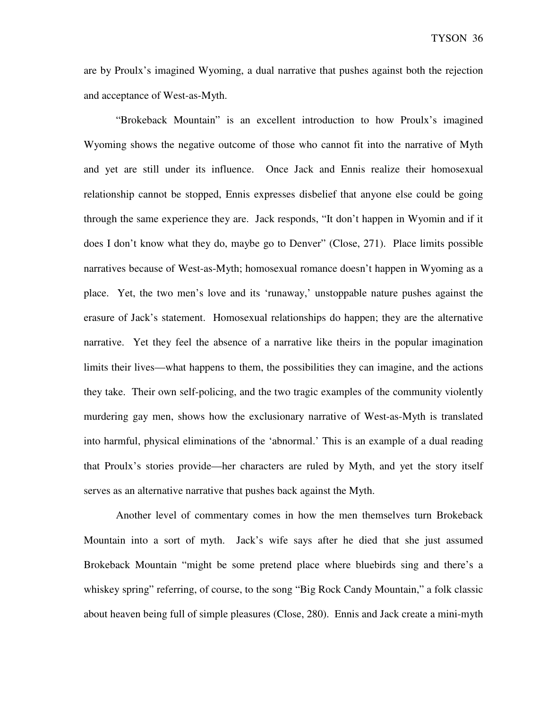are by Proulx's imagined Wyoming, a dual narrative that pushes against both the rejection and acceptance of West-as-Myth.

"Brokeback Mountain" is an excellent introduction to how Proulx's imagined Wyoming shows the negative outcome of those who cannot fit into the narrative of Myth and yet are still under its influence. Once Jack and Ennis realize their homosexual relationship cannot be stopped, Ennis expresses disbelief that anyone else could be going through the same experience they are. Jack responds, "It don't happen in Wyomin and if it does I don't know what they do, maybe go to Denver" (Close, 271). Place limits possible narratives because of West-as-Myth; homosexual romance doesn't happen in Wyoming as a place. Yet, the two men's love and its 'runaway,' unstoppable nature pushes against the erasure of Jack's statement. Homosexual relationships do happen; they are the alternative narrative. Yet they feel the absence of a narrative like theirs in the popular imagination limits their lives—what happens to them, the possibilities they can imagine, and the actions they take. Their own self-policing, and the two tragic examples of the community violently murdering gay men, shows how the exclusionary narrative of West-as-Myth is translated into harmful, physical eliminations of the 'abnormal.' This is an example of a dual reading that Proulx's stories provide—her characters are ruled by Myth, and yet the story itself serves as an alternative narrative that pushes back against the Myth.

Another level of commentary comes in how the men themselves turn Brokeback Mountain into a sort of myth. Jack's wife says after he died that she just assumed Brokeback Mountain "might be some pretend place where bluebirds sing and there's a whiskey spring" referring, of course, to the song "Big Rock Candy Mountain," a folk classic about heaven being full of simple pleasures (Close, 280). Ennis and Jack create a mini-myth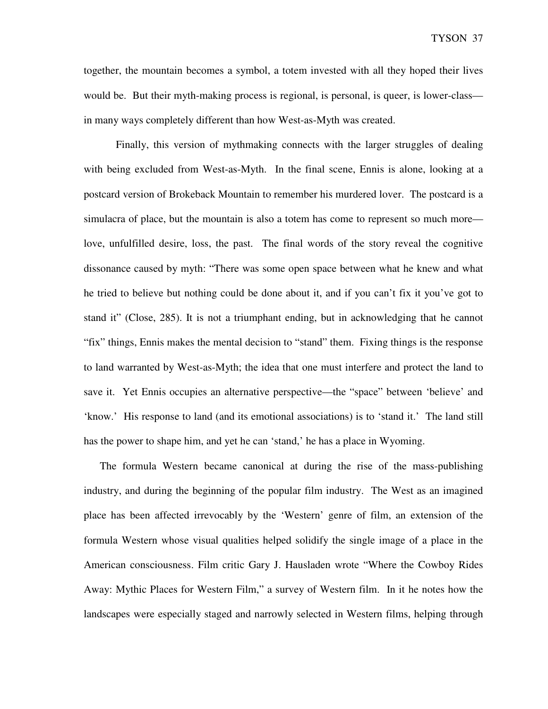TYSON 37

together, the mountain becomes a symbol, a totem invested with all they hoped their lives would be. But their myth-making process is regional, is personal, is queer, is lower-class in many ways completely different than how West-as-Myth was created.

Finally, this version of mythmaking connects with the larger struggles of dealing with being excluded from West-as-Myth. In the final scene, Ennis is alone, looking at a postcard version of Brokeback Mountain to remember his murdered lover. The postcard is a simulacra of place, but the mountain is also a totem has come to represent so much more love, unfulfilled desire, loss, the past. The final words of the story reveal the cognitive dissonance caused by myth: "There was some open space between what he knew and what he tried to believe but nothing could be done about it, and if you can't fix it you've got to stand it" (Close, 285). It is not a triumphant ending, but in acknowledging that he cannot "fix" things, Ennis makes the mental decision to "stand" them. Fixing things is the response to land warranted by West-as-Myth; the idea that one must interfere and protect the land to save it. Yet Ennis occupies an alternative perspective—the "space" between 'believe' and 'know.' His response to land (and its emotional associations) is to 'stand it.' The land still has the power to shape him, and yet he can 'stand,' he has a place in Wyoming.

The formula Western became canonical at during the rise of the mass-publishing industry, and during the beginning of the popular film industry. The West as an imagined place has been affected irrevocably by the 'Western' genre of film, an extension of the formula Western whose visual qualities helped solidify the single image of a place in the American consciousness. Film critic Gary J. Hausladen wrote "Where the Cowboy Rides Away: Mythic Places for Western Film," a survey of Western film. In it he notes how the landscapes were especially staged and narrowly selected in Western films, helping through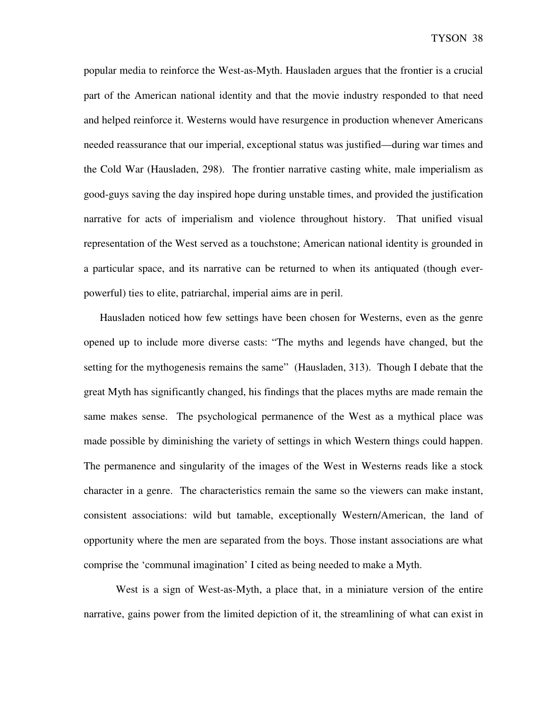popular media to reinforce the West-as-Myth. Hausladen argues that the frontier is a crucial part of the American national identity and that the movie industry responded to that need and helped reinforce it. Westerns would have resurgence in production whenever Americans needed reassurance that our imperial, exceptional status was justified—during war times and the Cold War (Hausladen, 298). The frontier narrative casting white, male imperialism as good-guys saving the day inspired hope during unstable times, and provided the justification narrative for acts of imperialism and violence throughout history. That unified visual representation of the West served as a touchstone; American national identity is grounded in a particular space, and its narrative can be returned to when its antiquated (though everpowerful) ties to elite, patriarchal, imperial aims are in peril.

Hausladen noticed how few settings have been chosen for Westerns, even as the genre opened up to include more diverse casts: "The myths and legends have changed, but the setting for the mythogenesis remains the same" (Hausladen, 313). Though I debate that the great Myth has significantly changed, his findings that the places myths are made remain the same makes sense. The psychological permanence of the West as a mythical place was made possible by diminishing the variety of settings in which Western things could happen. The permanence and singularity of the images of the West in Westerns reads like a stock character in a genre. The characteristics remain the same so the viewers can make instant, consistent associations: wild but tamable, exceptionally Western/American, the land of opportunity where the men are separated from the boys. Those instant associations are what comprise the 'communal imagination' I cited as being needed to make a Myth.

 West is a sign of West-as-Myth, a place that, in a miniature version of the entire narrative, gains power from the limited depiction of it, the streamlining of what can exist in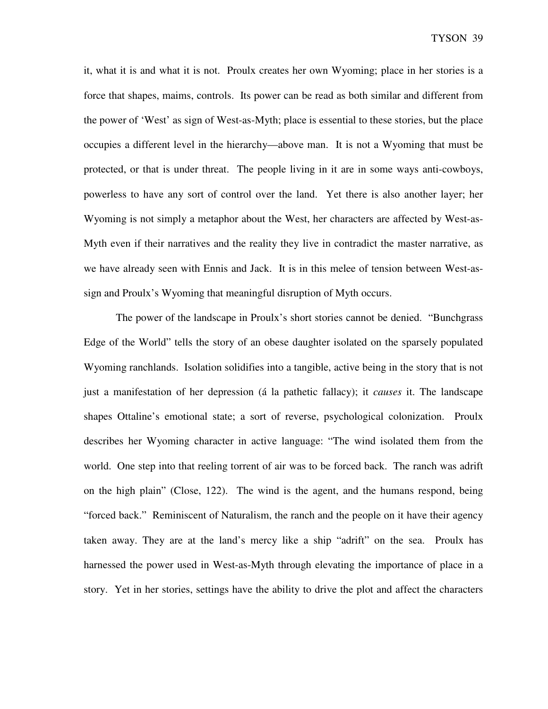it, what it is and what it is not. Proulx creates her own Wyoming; place in her stories is a force that shapes, maims, controls. Its power can be read as both similar and different from the power of 'West' as sign of West-as-Myth; place is essential to these stories, but the place occupies a different level in the hierarchy—above man. It is not a Wyoming that must be protected, or that is under threat. The people living in it are in some ways anti-cowboys, powerless to have any sort of control over the land. Yet there is also another layer; her Wyoming is not simply a metaphor about the West, her characters are affected by West-as-Myth even if their narratives and the reality they live in contradict the master narrative, as we have already seen with Ennis and Jack. It is in this melee of tension between West-assign and Proulx's Wyoming that meaningful disruption of Myth occurs.

The power of the landscape in Proulx's short stories cannot be denied. "Bunchgrass Edge of the World" tells the story of an obese daughter isolated on the sparsely populated Wyoming ranchlands. Isolation solidifies into a tangible, active being in the story that is not just a manifestation of her depression (á la pathetic fallacy); it *causes* it. The landscape shapes Ottaline's emotional state; a sort of reverse, psychological colonization. Proulx describes her Wyoming character in active language: "The wind isolated them from the world. One step into that reeling torrent of air was to be forced back. The ranch was adrift on the high plain" (Close, 122). The wind is the agent, and the humans respond, being "forced back." Reminiscent of Naturalism, the ranch and the people on it have their agency taken away. They are at the land's mercy like a ship "adrift" on the sea. Proulx has harnessed the power used in West-as-Myth through elevating the importance of place in a story. Yet in her stories, settings have the ability to drive the plot and affect the characters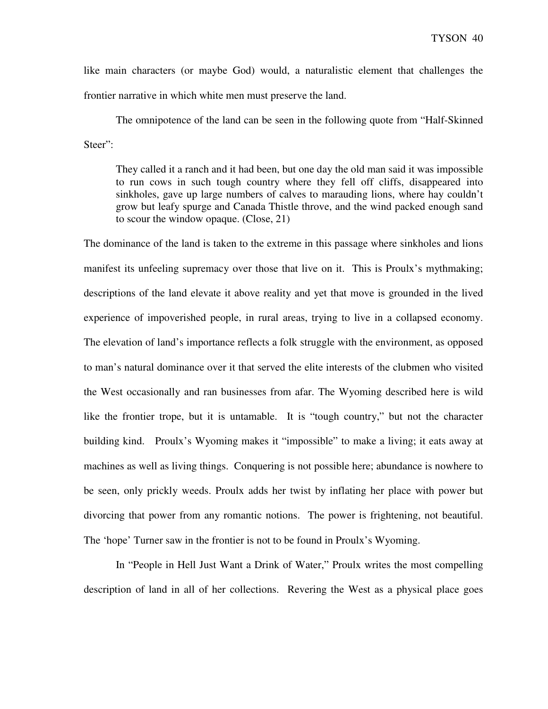like main characters (or maybe God) would, a naturalistic element that challenges the frontier narrative in which white men must preserve the land.

The omnipotence of the land can be seen in the following quote from "Half-Skinned Steer":

They called it a ranch and it had been, but one day the old man said it was impossible to run cows in such tough country where they fell off cliffs, disappeared into sinkholes, gave up large numbers of calves to marauding lions, where hay couldn't grow but leafy spurge and Canada Thistle throve, and the wind packed enough sand to scour the window opaque. (Close, 21)

The dominance of the land is taken to the extreme in this passage where sinkholes and lions manifest its unfeeling supremacy over those that live on it. This is Proulx's mythmaking; descriptions of the land elevate it above reality and yet that move is grounded in the lived experience of impoverished people, in rural areas, trying to live in a collapsed economy. The elevation of land's importance reflects a folk struggle with the environment, as opposed to man's natural dominance over it that served the elite interests of the clubmen who visited the West occasionally and ran businesses from afar. The Wyoming described here is wild like the frontier trope, but it is untamable. It is "tough country," but not the character building kind. Proulx's Wyoming makes it "impossible" to make a living; it eats away at machines as well as living things. Conquering is not possible here; abundance is nowhere to be seen, only prickly weeds. Proulx adds her twist by inflating her place with power but divorcing that power from any romantic notions. The power is frightening, not beautiful. The 'hope' Turner saw in the frontier is not to be found in Proulx's Wyoming.

In "People in Hell Just Want a Drink of Water," Proulx writes the most compelling description of land in all of her collections. Revering the West as a physical place goes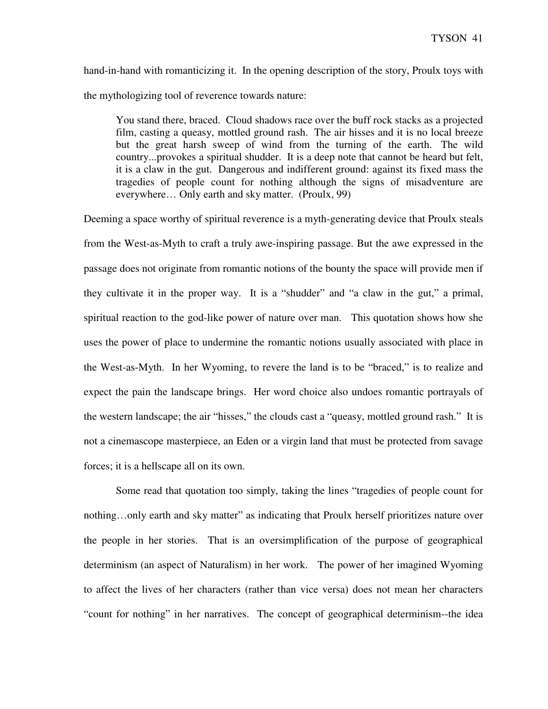hand-in-hand with romanticizing it. In the opening description of the story, Proulx toys with the mythologizing tool of reverence towards nature:

You stand there, braced. Cloud shadows race over the buff rock stacks as a projected film, casting a queasy, mottled ground rash. The air hisses and it is no local breeze but the great harsh sweep of wind from the turning of the earth. The wild country...provokes a spiritual shudder. It is a deep note that cannot be heard but felt, it is a claw in the gut. Dangerous and indifferent ground: against its fixed mass the tragedies of people count for nothing although the signs of misadventure are everywhere… Only earth and sky matter. (Proulx, 99)

Deeming a space worthy of spiritual reverence is a myth-generating device that Proulx steals from the West-as-Myth to craft a truly awe-inspiring passage. But the awe expressed in the passage does not originate from romantic notions of the bounty the space will provide men if they cultivate it in the proper way. It is a "shudder" and "a claw in the gut," a primal, spiritual reaction to the god-like power of nature over man. This quotation shows how she uses the power of place to undermine the romantic notions usually associated with place in the West-as-Myth. In her Wyoming, to revere the land is to be "braced," is to realize and expect the pain the landscape brings. Her word choice also undoes romantic portrayals of the western landscape; the air "hisses," the clouds cast a "queasy, mottled ground rash." It is not a cinemascope masterpiece, an Eden or a virgin land that must be protected from savage forces; it is a hellscape all on its own.

Some read that quotation too simply, taking the lines "tragedies of people count for nothing…only earth and sky matter" as indicating that Proulx herself prioritizes nature over the people in her stories. That is an oversimplification of the purpose of geographical determinism (an aspect of Naturalism) in her work. The power of her imagined Wyoming to affect the lives of her characters (rather than vice versa) does not mean her characters "count for nothing" in her narratives. The concept of geographical determinism--the idea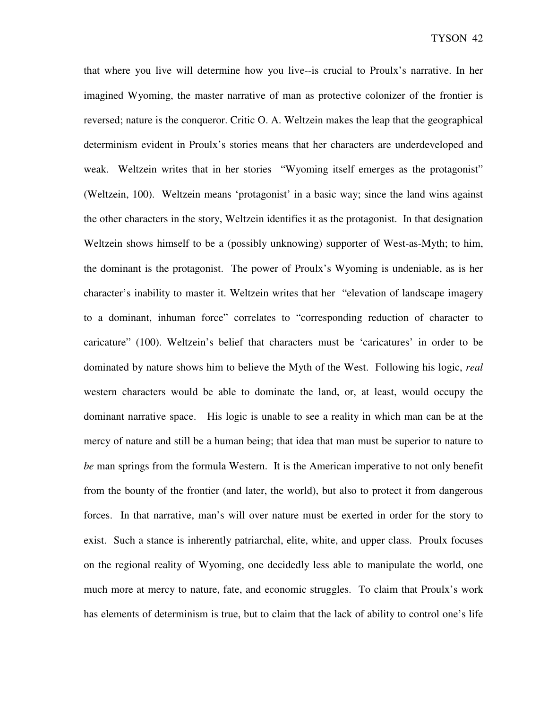that where you live will determine how you live--is crucial to Proulx's narrative. In her imagined Wyoming, the master narrative of man as protective colonizer of the frontier is reversed; nature is the conqueror. Critic O. A. Weltzein makes the leap that the geographical determinism evident in Proulx's stories means that her characters are underdeveloped and weak. Weltzein writes that in her stories "Wyoming itself emerges as the protagonist" (Weltzein, 100). Weltzein means 'protagonist' in a basic way; since the land wins against the other characters in the story, Weltzein identifies it as the protagonist. In that designation Weltzein shows himself to be a (possibly unknowing) supporter of West-as-Myth; to him, the dominant is the protagonist. The power of Proulx's Wyoming is undeniable, as is her character's inability to master it. Weltzein writes that her "elevation of landscape imagery to a dominant, inhuman force" correlates to "corresponding reduction of character to caricature" (100). Weltzein's belief that characters must be 'caricatures' in order to be dominated by nature shows him to believe the Myth of the West. Following his logic, *real* western characters would be able to dominate the land, or, at least, would occupy the dominant narrative space. His logic is unable to see a reality in which man can be at the mercy of nature and still be a human being; that idea that man must be superior to nature to *be* man springs from the formula Western. It is the American imperative to not only benefit from the bounty of the frontier (and later, the world), but also to protect it from dangerous forces. In that narrative, man's will over nature must be exerted in order for the story to exist. Such a stance is inherently patriarchal, elite, white, and upper class. Proulx focuses on the regional reality of Wyoming, one decidedly less able to manipulate the world, one much more at mercy to nature, fate, and economic struggles. To claim that Proulx's work has elements of determinism is true, but to claim that the lack of ability to control one's life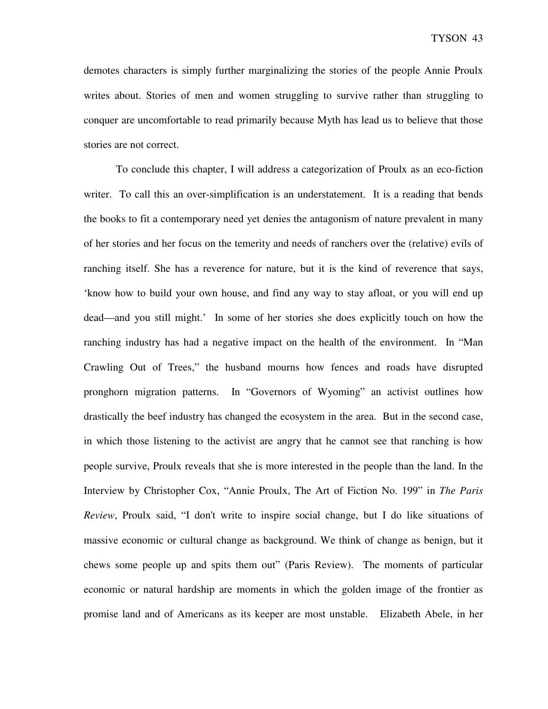demotes characters is simply further marginalizing the stories of the people Annie Proulx writes about. Stories of men and women struggling to survive rather than struggling to conquer are uncomfortable to read primarily because Myth has lead us to believe that those stories are not correct.

To conclude this chapter, I will address a categorization of Proulx as an eco-fiction writer. To call this an over-simplification is an understatement. It is a reading that bends the books to fit a contemporary need yet denies the antagonism of nature prevalent in many of her stories and her focus on the temerity and needs of ranchers over the (relative) evils of ranching itself. She has a reverence for nature, but it is the kind of reverence that says, 'know how to build your own house, and find any way to stay afloat, or you will end up dead—and you still might.' In some of her stories she does explicitly touch on how the ranching industry has had a negative impact on the health of the environment. In "Man Crawling Out of Trees," the husband mourns how fences and roads have disrupted pronghorn migration patterns. In "Governors of Wyoming" an activist outlines how drastically the beef industry has changed the ecosystem in the area. But in the second case, in which those listening to the activist are angry that he cannot see that ranching is how people survive, Proulx reveals that she is more interested in the people than the land. In the Interview by Christopher Cox, "Annie Proulx, The Art of Fiction No. 199" in *The Paris Review*, Proulx said, "I don't write to inspire social change, but I do like situations of massive economic or cultural change as background. We think of change as benign, but it chews some people up and spits them out" (Paris Review). The moments of particular economic or natural hardship are moments in which the golden image of the frontier as promise land and of Americans as its keeper are most unstable. Elizabeth Abele, in her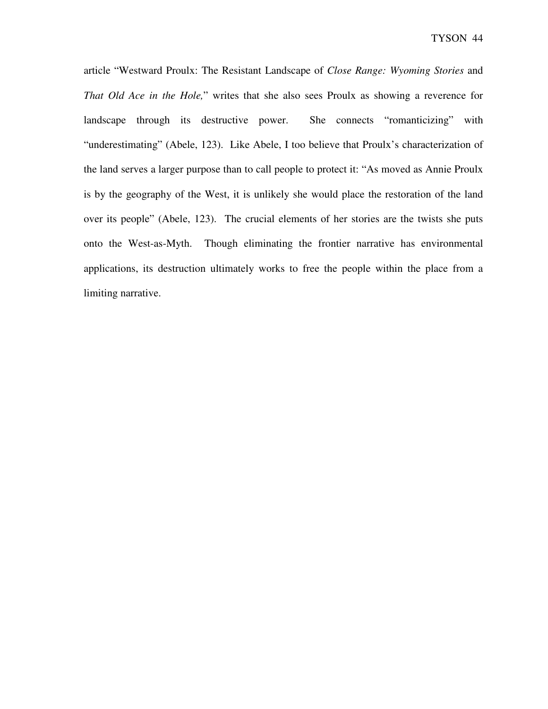article "Westward Proulx: The Resistant Landscape of *Close Range: Wyoming Stories* and *That Old Ace in the Hole,*" writes that she also sees Proulx as showing a reverence for landscape through its destructive power. She connects "romanticizing" with "underestimating" (Abele, 123). Like Abele, I too believe that Proulx's characterization of the land serves a larger purpose than to call people to protect it: "As moved as Annie Proulx is by the geography of the West, it is unlikely she would place the restoration of the land over its people" (Abele, 123). The crucial elements of her stories are the twists she puts onto the West-as-Myth. Though eliminating the frontier narrative has environmental applications, its destruction ultimately works to free the people within the place from a limiting narrative.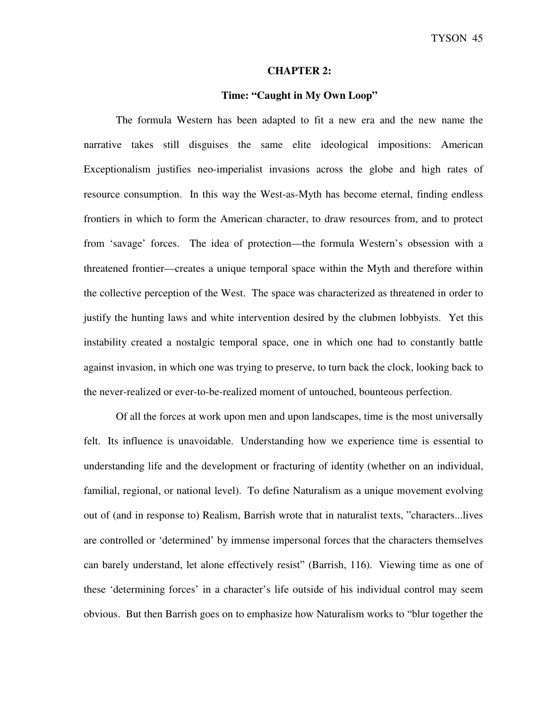## **CHAPTER 2:**

## **Time: "Caught in My Own Loop"**

 The formula Western has been adapted to fit a new era and the new name the narrative takes still disguises the same elite ideological impositions: American Exceptionalism justifies neo-imperialist invasions across the globe and high rates of resource consumption. In this way the West-as-Myth has become eternal, finding endless frontiers in which to form the American character, to draw resources from, and to protect from 'savage' forces. The idea of protection—the formula Western's obsession with a threatened frontier—creates a unique temporal space within the Myth and therefore within the collective perception of the West. The space was characterized as threatened in order to justify the hunting laws and white intervention desired by the clubmen lobbyists. Yet this instability created a nostalgic temporal space, one in which one had to constantly battle against invasion, in which one was trying to preserve, to turn back the clock, looking back to the never-realized or ever-to-be-realized moment of untouched, bounteous perfection.

Of all the forces at work upon men and upon landscapes, time is the most universally felt. Its influence is unavoidable. Understanding how we experience time is essential to understanding life and the development or fracturing of identity (whether on an individual, familial, regional, or national level). To define Naturalism as a unique movement evolving out of (and in response to) Realism, Barrish wrote that in naturalist texts, "characters...lives are controlled or 'determined' by immense impersonal forces that the characters themselves can barely understand, let alone effectively resist" (Barrish, 116). Viewing time as one of these 'determining forces' in a character's life outside of his individual control may seem obvious. But then Barrish goes on to emphasize how Naturalism works to "blur together the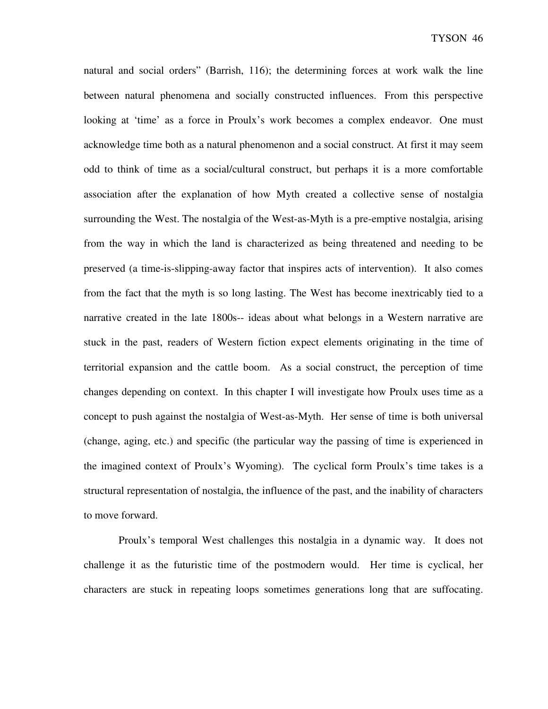natural and social orders" (Barrish, 116); the determining forces at work walk the line between natural phenomena and socially constructed influences. From this perspective looking at 'time' as a force in Proulx's work becomes a complex endeavor. One must acknowledge time both as a natural phenomenon and a social construct. At first it may seem odd to think of time as a social/cultural construct, but perhaps it is a more comfortable association after the explanation of how Myth created a collective sense of nostalgia surrounding the West. The nostalgia of the West-as-Myth is a pre-emptive nostalgia, arising from the way in which the land is characterized as being threatened and needing to be preserved (a time-is-slipping-away factor that inspires acts of intervention). It also comes from the fact that the myth is so long lasting. The West has become inextricably tied to a narrative created in the late 1800s-- ideas about what belongs in a Western narrative are stuck in the past, readers of Western fiction expect elements originating in the time of territorial expansion and the cattle boom. As a social construct, the perception of time changes depending on context. In this chapter I will investigate how Proulx uses time as a concept to push against the nostalgia of West-as-Myth. Her sense of time is both universal (change, aging, etc.) and specific (the particular way the passing of time is experienced in the imagined context of Proulx's Wyoming). The cyclical form Proulx's time takes is a structural representation of nostalgia, the influence of the past, and the inability of characters to move forward.

 Proulx's temporal West challenges this nostalgia in a dynamic way. It does not challenge it as the futuristic time of the postmodern would. Her time is cyclical, her characters are stuck in repeating loops sometimes generations long that are suffocating.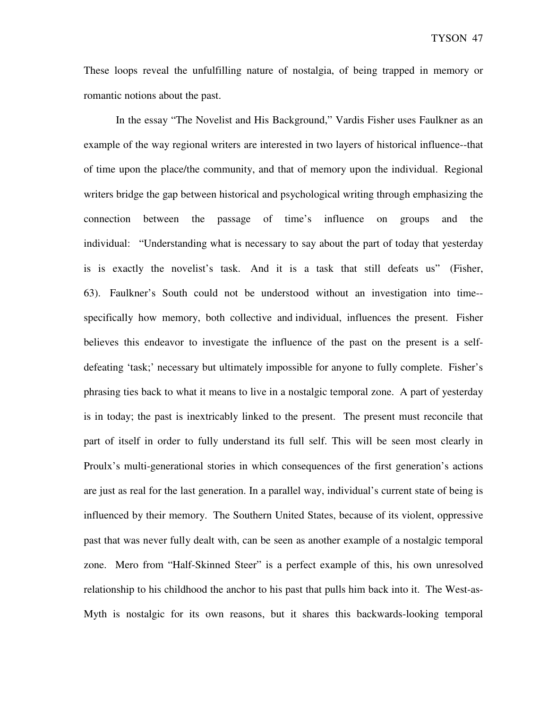These loops reveal the unfulfilling nature of nostalgia, of being trapped in memory or romantic notions about the past.

In the essay "The Novelist and His Background," Vardis Fisher uses Faulkner as an example of the way regional writers are interested in two layers of historical influence--that of time upon the place/the community, and that of memory upon the individual. Regional writers bridge the gap between historical and psychological writing through emphasizing the connection between the passage of time's influence on groups and the individual: "Understanding what is necessary to say about the part of today that yesterday is is exactly the novelist's task. And it is a task that still defeats us" (Fisher, 63). Faulkner's South could not be understood without an investigation into time- specifically how memory, both collective and individual, influences the present. Fisher believes this endeavor to investigate the influence of the past on the present is a selfdefeating 'task;' necessary but ultimately impossible for anyone to fully complete. Fisher's phrasing ties back to what it means to live in a nostalgic temporal zone. A part of yesterday is in today; the past is inextricably linked to the present. The present must reconcile that part of itself in order to fully understand its full self. This will be seen most clearly in Proulx's multi-generational stories in which consequences of the first generation's actions are just as real for the last generation. In a parallel way, individual's current state of being is influenced by their memory. The Southern United States, because of its violent, oppressive past that was never fully dealt with, can be seen as another example of a nostalgic temporal zone. Mero from "Half-Skinned Steer" is a perfect example of this, his own unresolved relationship to his childhood the anchor to his past that pulls him back into it. The West-as-Myth is nostalgic for its own reasons, but it shares this backwards-looking temporal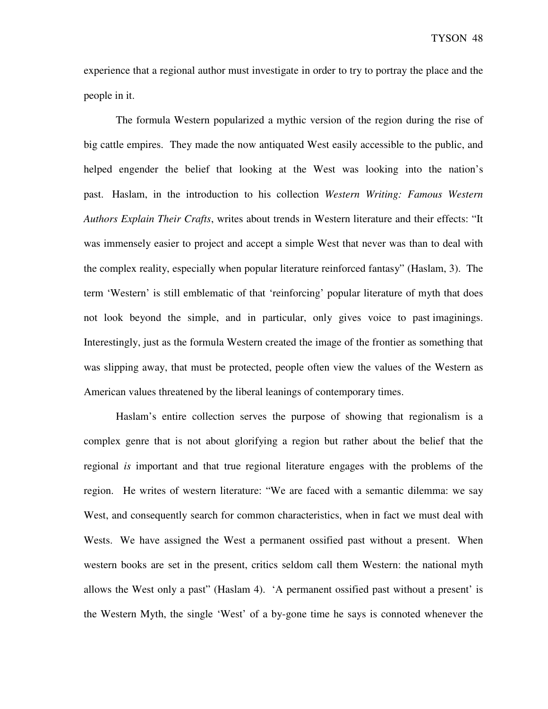experience that a regional author must investigate in order to try to portray the place and the people in it.

The formula Western popularized a mythic version of the region during the rise of big cattle empires. They made the now antiquated West easily accessible to the public, and helped engender the belief that looking at the West was looking into the nation's past. Haslam, in the introduction to his collection *Western Writing: Famous Western Authors Explain Their Crafts*, writes about trends in Western literature and their effects: "It was immensely easier to project and accept a simple West that never was than to deal with the complex reality, especially when popular literature reinforced fantasy" (Haslam, 3). The term 'Western' is still emblematic of that 'reinforcing' popular literature of myth that does not look beyond the simple, and in particular, only gives voice to past imaginings. Interestingly, just as the formula Western created the image of the frontier as something that was slipping away, that must be protected, people often view the values of the Western as American values threatened by the liberal leanings of contemporary times.

Haslam's entire collection serves the purpose of showing that regionalism is a complex genre that is not about glorifying a region but rather about the belief that the regional *is* important and that true regional literature engages with the problems of the region. He writes of western literature: "We are faced with a semantic dilemma: we say West, and consequently search for common characteristics, when in fact we must deal with Wests. We have assigned the West a permanent ossified past without a present. When western books are set in the present, critics seldom call them Western: the national myth allows the West only a past" (Haslam 4). 'A permanent ossified past without a present' is the Western Myth, the single 'West' of a by-gone time he says is connoted whenever the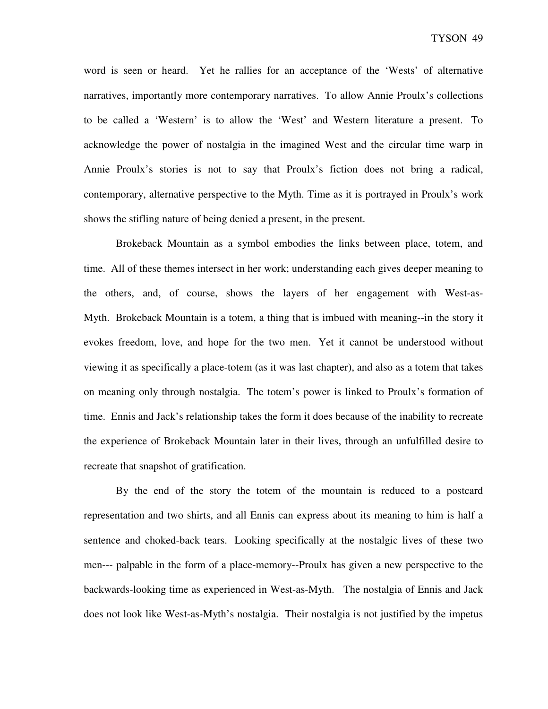word is seen or heard. Yet he rallies for an acceptance of the 'Wests' of alternative narratives, importantly more contemporary narratives. To allow Annie Proulx's collections to be called a 'Western' is to allow the 'West' and Western literature a present. To acknowledge the power of nostalgia in the imagined West and the circular time warp in Annie Proulx's stories is not to say that Proulx's fiction does not bring a radical, contemporary, alternative perspective to the Myth. Time as it is portrayed in Proulx's work shows the stifling nature of being denied a present, in the present.

Brokeback Mountain as a symbol embodies the links between place, totem, and time. All of these themes intersect in her work; understanding each gives deeper meaning to the others, and, of course, shows the layers of her engagement with West-as-Myth. Brokeback Mountain is a totem, a thing that is imbued with meaning--in the story it evokes freedom, love, and hope for the two men. Yet it cannot be understood without viewing it as specifically a place-totem (as it was last chapter), and also as a totem that takes on meaning only through nostalgia. The totem's power is linked to Proulx's formation of time. Ennis and Jack's relationship takes the form it does because of the inability to recreate the experience of Brokeback Mountain later in their lives, through an unfulfilled desire to recreate that snapshot of gratification.

By the end of the story the totem of the mountain is reduced to a postcard representation and two shirts, and all Ennis can express about its meaning to him is half a sentence and choked-back tears. Looking specifically at the nostalgic lives of these two men--- palpable in the form of a place-memory--Proulx has given a new perspective to the backwards-looking time as experienced in West-as-Myth. The nostalgia of Ennis and Jack does not look like West-as-Myth's nostalgia. Their nostalgia is not justified by the impetus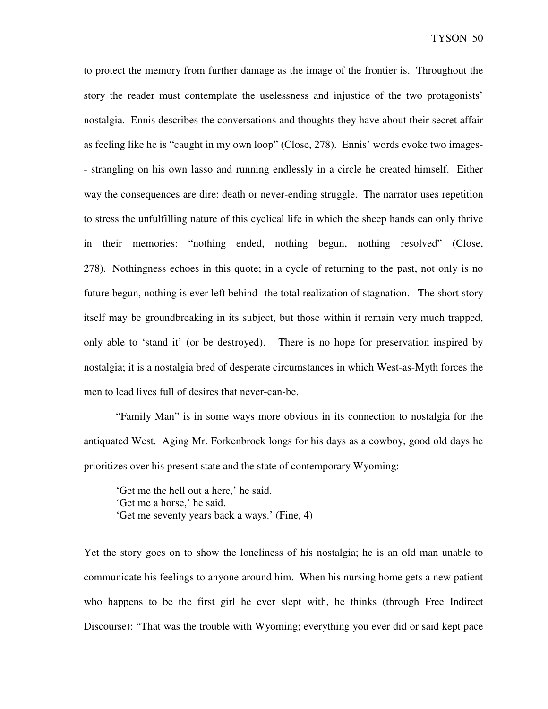to protect the memory from further damage as the image of the frontier is. Throughout the story the reader must contemplate the uselessness and injustice of the two protagonists' nostalgia. Ennis describes the conversations and thoughts they have about their secret affair as feeling like he is "caught in my own loop" (Close, 278). Ennis' words evoke two images- - strangling on his own lasso and running endlessly in a circle he created himself. Either way the consequences are dire: death or never-ending struggle. The narrator uses repetition to stress the unfulfilling nature of this cyclical life in which the sheep hands can only thrive in their memories: "nothing ended, nothing begun, nothing resolved" (Close, 278). Nothingness echoes in this quote; in a cycle of returning to the past, not only is no future begun, nothing is ever left behind--the total realization of stagnation. The short story itself may be groundbreaking in its subject, but those within it remain very much trapped, only able to 'stand it' (or be destroyed). There is no hope for preservation inspired by nostalgia; it is a nostalgia bred of desperate circumstances in which West-as-Myth forces the men to lead lives full of desires that never-can-be.

"Family Man" is in some ways more obvious in its connection to nostalgia for the antiquated West. Aging Mr. Forkenbrock longs for his days as a cowboy, good old days he prioritizes over his present state and the state of contemporary Wyoming:

'Get me the hell out a here,' he said. 'Get me a horse,' he said. 'Get me seventy years back a ways.' (Fine, 4)

Yet the story goes on to show the loneliness of his nostalgia; he is an old man unable to communicate his feelings to anyone around him. When his nursing home gets a new patient who happens to be the first girl he ever slept with, he thinks (through Free Indirect Discourse): "That was the trouble with Wyoming; everything you ever did or said kept pace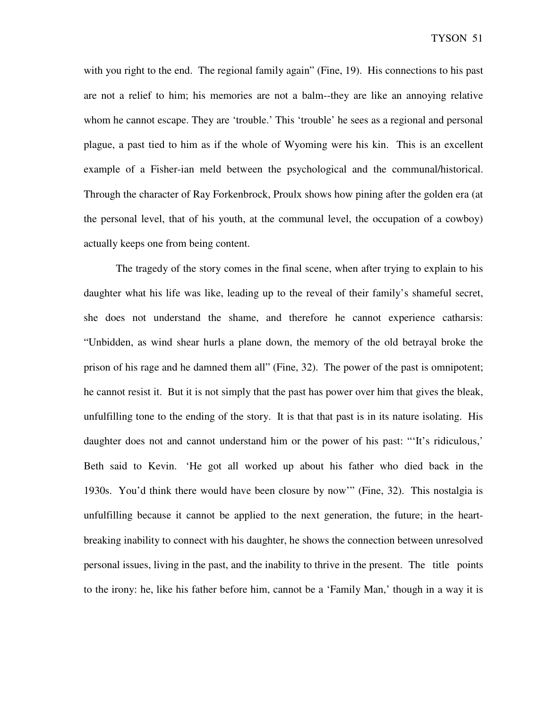with you right to the end. The regional family again" (Fine, 19). His connections to his past are not a relief to him; his memories are not a balm--they are like an annoying relative whom he cannot escape. They are 'trouble.' This 'trouble' he sees as a regional and personal plague, a past tied to him as if the whole of Wyoming were his kin. This is an excellent example of a Fisher-ian meld between the psychological and the communal/historical. Through the character of Ray Forkenbrock, Proulx shows how pining after the golden era (at the personal level, that of his youth, at the communal level, the occupation of a cowboy) actually keeps one from being content.

The tragedy of the story comes in the final scene, when after trying to explain to his daughter what his life was like, leading up to the reveal of their family's shameful secret, she does not understand the shame, and therefore he cannot experience catharsis: "Unbidden, as wind shear hurls a plane down, the memory of the old betrayal broke the prison of his rage and he damned them all" (Fine, 32). The power of the past is omnipotent; he cannot resist it. But it is not simply that the past has power over him that gives the bleak, unfulfilling tone to the ending of the story. It is that that past is in its nature isolating. His daughter does not and cannot understand him or the power of his past: "'It's ridiculous,' Beth said to Kevin. 'He got all worked up about his father who died back in the 1930s. You'd think there would have been closure by now'" (Fine, 32). This nostalgia is unfulfilling because it cannot be applied to the next generation, the future; in the heartbreaking inability to connect with his daughter, he shows the connection between unresolved personal issues, living in the past, and the inability to thrive in the present. The title points to the irony: he, like his father before him, cannot be a 'Family Man,' though in a way it is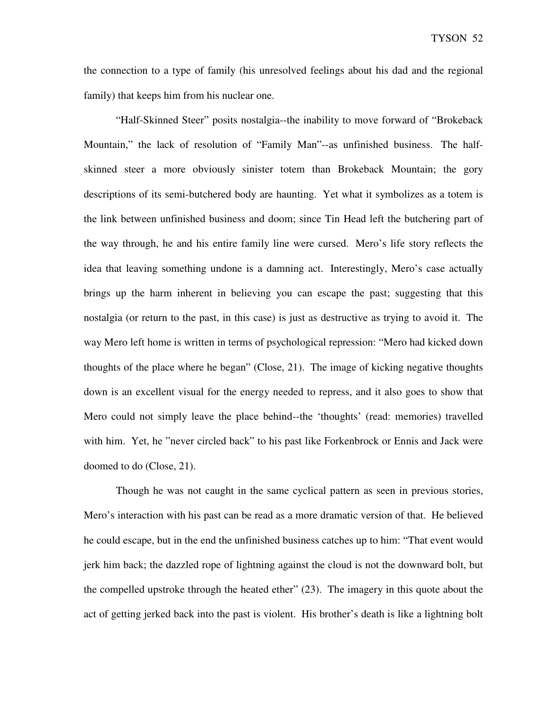the connection to a type of family (his unresolved feelings about his dad and the regional family) that keeps him from his nuclear one.

 "Half-Skinned Steer" posits nostalgia--the inability to move forward of "Brokeback Mountain," the lack of resolution of "Family Man"--as unfinished business. The halfskinned steer a more obviously sinister totem than Brokeback Mountain; the gory descriptions of its semi-butchered body are haunting. Yet what it symbolizes as a totem is the link between unfinished business and doom; since Tin Head left the butchering part of the way through, he and his entire family line were cursed. Mero's life story reflects the idea that leaving something undone is a damning act. Interestingly, Mero's case actually brings up the harm inherent in believing you can escape the past; suggesting that this nostalgia (or return to the past, in this case) is just as destructive as trying to avoid it. The way Mero left home is written in terms of psychological repression: "Mero had kicked down thoughts of the place where he began" (Close, 21). The image of kicking negative thoughts down is an excellent visual for the energy needed to repress, and it also goes to show that Mero could not simply leave the place behind--the 'thoughts' (read: memories) travelled with him. Yet, he "never circled back" to his past like Forkenbrock or Ennis and Jack were doomed to do (Close, 21).

 Though he was not caught in the same cyclical pattern as seen in previous stories, Mero's interaction with his past can be read as a more dramatic version of that. He believed he could escape, but in the end the unfinished business catches up to him: "That event would jerk him back; the dazzled rope of lightning against the cloud is not the downward bolt, but the compelled upstroke through the heated ether" (23). The imagery in this quote about the act of getting jerked back into the past is violent. His brother's death is like a lightning bolt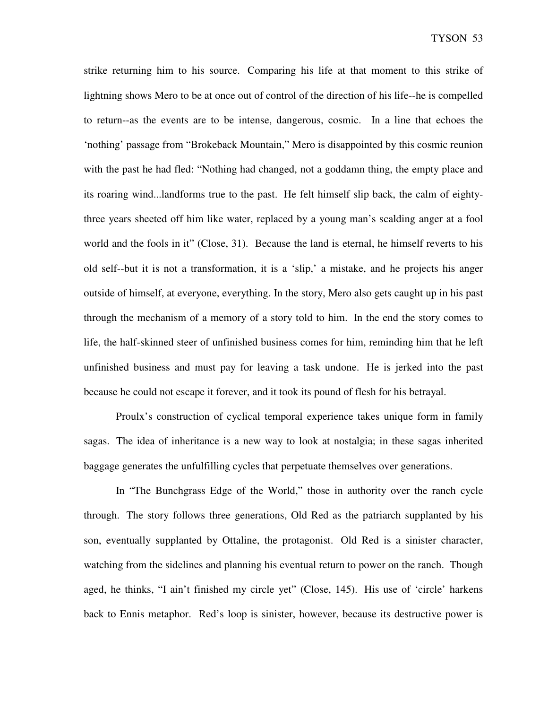strike returning him to his source. Comparing his life at that moment to this strike of lightning shows Mero to be at once out of control of the direction of his life--he is compelled to return--as the events are to be intense, dangerous, cosmic. In a line that echoes the 'nothing' passage from "Brokeback Mountain," Mero is disappointed by this cosmic reunion with the past he had fled: "Nothing had changed, not a goddamn thing, the empty place and its roaring wind...landforms true to the past. He felt himself slip back, the calm of eightythree years sheeted off him like water, replaced by a young man's scalding anger at a fool world and the fools in it" (Close, 31). Because the land is eternal, he himself reverts to his old self--but it is not a transformation, it is a 'slip,' a mistake, and he projects his anger outside of himself, at everyone, everything. In the story, Mero also gets caught up in his past through the mechanism of a memory of a story told to him. In the end the story comes to life, the half-skinned steer of unfinished business comes for him, reminding him that he left unfinished business and must pay for leaving a task undone. He is jerked into the past because he could not escape it forever, and it took its pound of flesh for his betrayal.

 Proulx's construction of cyclical temporal experience takes unique form in family sagas. The idea of inheritance is a new way to look at nostalgia; in these sagas inherited baggage generates the unfulfilling cycles that perpetuate themselves over generations.

 In "The Bunchgrass Edge of the World," those in authority over the ranch cycle through. The story follows three generations, Old Red as the patriarch supplanted by his son, eventually supplanted by Ottaline, the protagonist. Old Red is a sinister character, watching from the sidelines and planning his eventual return to power on the ranch. Though aged, he thinks, "I ain't finished my circle yet" (Close, 145). His use of 'circle' harkens back to Ennis metaphor. Red's loop is sinister, however, because its destructive power is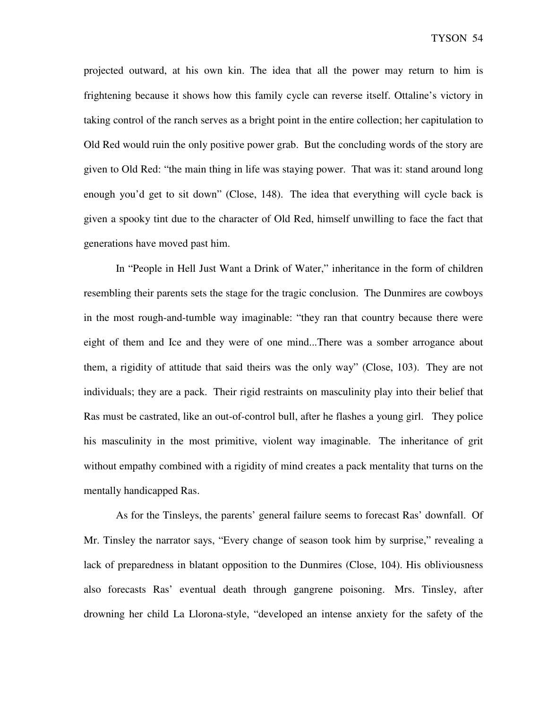projected outward, at his own kin. The idea that all the power may return to him is frightening because it shows how this family cycle can reverse itself. Ottaline's victory in taking control of the ranch serves as a bright point in the entire collection; her capitulation to Old Red would ruin the only positive power grab. But the concluding words of the story are given to Old Red: "the main thing in life was staying power. That was it: stand around long enough you'd get to sit down" (Close, 148). The idea that everything will cycle back is given a spooky tint due to the character of Old Red, himself unwilling to face the fact that generations have moved past him.

 In "People in Hell Just Want a Drink of Water," inheritance in the form of children resembling their parents sets the stage for the tragic conclusion. The Dunmires are cowboys in the most rough-and-tumble way imaginable: "they ran that country because there were eight of them and Ice and they were of one mind...There was a somber arrogance about them, a rigidity of attitude that said theirs was the only way" (Close, 103). They are not individuals; they are a pack. Their rigid restraints on masculinity play into their belief that Ras must be castrated, like an out-of-control bull, after he flashes a young girl. They police his masculinity in the most primitive, violent way imaginable. The inheritance of grit without empathy combined with a rigidity of mind creates a pack mentality that turns on the mentally handicapped Ras.

 As for the Tinsleys, the parents' general failure seems to forecast Ras' downfall. Of Mr. Tinsley the narrator says, "Every change of season took him by surprise," revealing a lack of preparedness in blatant opposition to the Dunmires (Close, 104). His obliviousness also forecasts Ras' eventual death through gangrene poisoning. Mrs. Tinsley, after drowning her child La Llorona-style, "developed an intense anxiety for the safety of the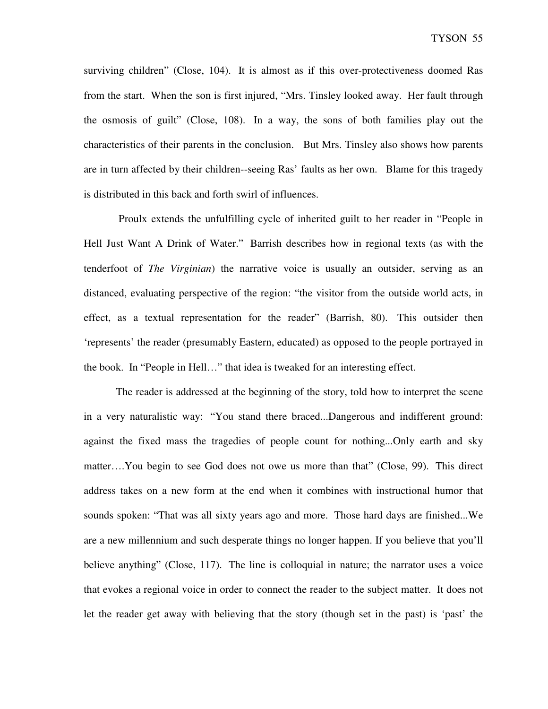surviving children" (Close, 104). It is almost as if this over-protectiveness doomed Ras from the start. When the son is first injured, "Mrs. Tinsley looked away. Her fault through the osmosis of guilt" (Close, 108). In a way, the sons of both families play out the characteristics of their parents in the conclusion. But Mrs. Tinsley also shows how parents are in turn affected by their children--seeing Ras' faults as her own. Blame for this tragedy is distributed in this back and forth swirl of influences.

 Proulx extends the unfulfilling cycle of inherited guilt to her reader in "People in Hell Just Want A Drink of Water." Barrish describes how in regional texts (as with the tenderfoot of *The Virginian*) the narrative voice is usually an outsider, serving as an distanced, evaluating perspective of the region: "the visitor from the outside world acts, in effect, as a textual representation for the reader" (Barrish, 80). This outsider then 'represents' the reader (presumably Eastern, educated) as opposed to the people portrayed in the book. In "People in Hell…" that idea is tweaked for an interesting effect.

 The reader is addressed at the beginning of the story, told how to interpret the scene in a very naturalistic way: "You stand there braced...Dangerous and indifferent ground: against the fixed mass the tragedies of people count for nothing...Only earth and sky matter….You begin to see God does not owe us more than that" (Close, 99). This direct address takes on a new form at the end when it combines with instructional humor that sounds spoken: "That was all sixty years ago and more. Those hard days are finished...We are a new millennium and such desperate things no longer happen. If you believe that you'll believe anything" (Close, 117). The line is colloquial in nature; the narrator uses a voice that evokes a regional voice in order to connect the reader to the subject matter. It does not let the reader get away with believing that the story (though set in the past) is 'past' the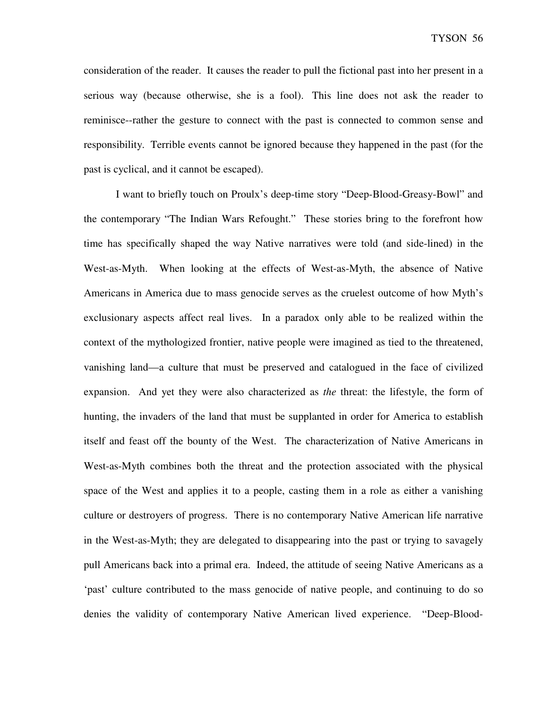consideration of the reader. It causes the reader to pull the fictional past into her present in a serious way (because otherwise, she is a fool). This line does not ask the reader to reminisce--rather the gesture to connect with the past is connected to common sense and responsibility. Terrible events cannot be ignored because they happened in the past (for the past is cyclical, and it cannot be escaped).

 I want to briefly touch on Proulx's deep-time story "Deep-Blood-Greasy-Bowl" and the contemporary "The Indian Wars Refought." These stories bring to the forefront how time has specifically shaped the way Native narratives were told (and side-lined) in the West-as-Myth. When looking at the effects of West-as-Myth, the absence of Native Americans in America due to mass genocide serves as the cruelest outcome of how Myth's exclusionary aspects affect real lives. In a paradox only able to be realized within the context of the mythologized frontier, native people were imagined as tied to the threatened, vanishing land—a culture that must be preserved and catalogued in the face of civilized expansion. And yet they were also characterized as *the* threat: the lifestyle, the form of hunting, the invaders of the land that must be supplanted in order for America to establish itself and feast off the bounty of the West. The characterization of Native Americans in West-as-Myth combines both the threat and the protection associated with the physical space of the West and applies it to a people, casting them in a role as either a vanishing culture or destroyers of progress. There is no contemporary Native American life narrative in the West-as-Myth; they are delegated to disappearing into the past or trying to savagely pull Americans back into a primal era. Indeed, the attitude of seeing Native Americans as a 'past' culture contributed to the mass genocide of native people, and continuing to do so denies the validity of contemporary Native American lived experience. "Deep-Blood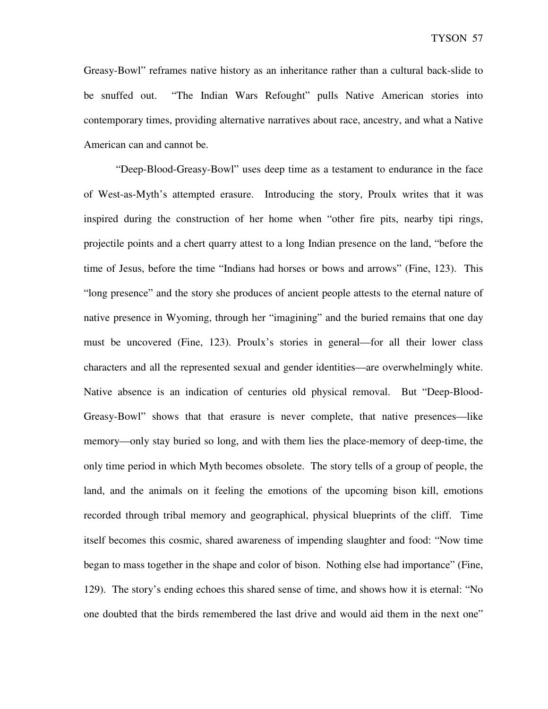Greasy-Bowl" reframes native history as an inheritance rather than a cultural back-slide to be snuffed out. "The Indian Wars Refought" pulls Native American stories into contemporary times, providing alternative narratives about race, ancestry, and what a Native American can and cannot be.

 "Deep-Blood-Greasy-Bowl" uses deep time as a testament to endurance in the face of West-as-Myth's attempted erasure. Introducing the story, Proulx writes that it was inspired during the construction of her home when "other fire pits, nearby tipi rings, projectile points and a chert quarry attest to a long Indian presence on the land, "before the time of Jesus, before the time "Indians had horses or bows and arrows" (Fine, 123). This "long presence" and the story she produces of ancient people attests to the eternal nature of native presence in Wyoming, through her "imagining" and the buried remains that one day must be uncovered (Fine, 123). Proulx's stories in general—for all their lower class characters and all the represented sexual and gender identities—are overwhelmingly white. Native absence is an indication of centuries old physical removal. But "Deep-Blood-Greasy-Bowl" shows that that erasure is never complete, that native presences—like memory—only stay buried so long, and with them lies the place-memory of deep-time, the only time period in which Myth becomes obsolete. The story tells of a group of people, the land, and the animals on it feeling the emotions of the upcoming bison kill, emotions recorded through tribal memory and geographical, physical blueprints of the cliff. Time itself becomes this cosmic, shared awareness of impending slaughter and food: "Now time began to mass together in the shape and color of bison. Nothing else had importance" (Fine, 129). The story's ending echoes this shared sense of time, and shows how it is eternal: "No one doubted that the birds remembered the last drive and would aid them in the next one"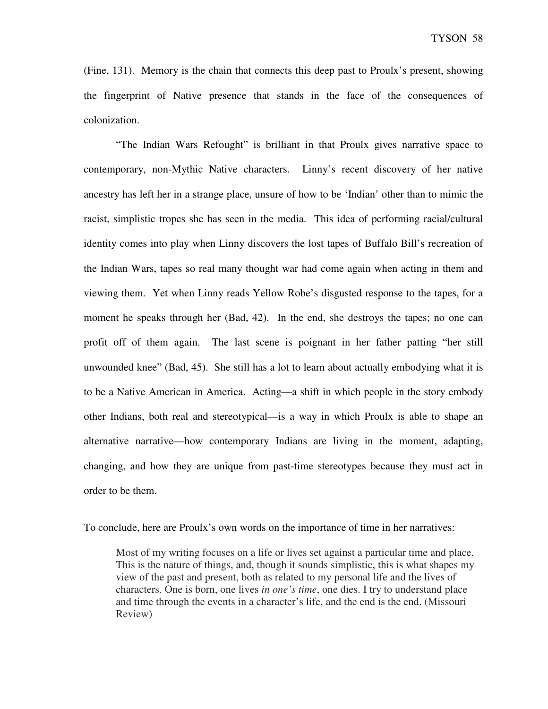(Fine, 131). Memory is the chain that connects this deep past to Proulx's present, showing the fingerprint of Native presence that stands in the face of the consequences of colonization.

 "The Indian Wars Refought" is brilliant in that Proulx gives narrative space to contemporary, non-Mythic Native characters. Linny's recent discovery of her native ancestry has left her in a strange place, unsure of how to be 'Indian' other than to mimic the racist, simplistic tropes she has seen in the media. This idea of performing racial/cultural identity comes into play when Linny discovers the lost tapes of Buffalo Bill's recreation of the Indian Wars, tapes so real many thought war had come again when acting in them and viewing them. Yet when Linny reads Yellow Robe's disgusted response to the tapes, for a moment he speaks through her (Bad, 42). In the end, she destroys the tapes; no one can profit off of them again. The last scene is poignant in her father patting "her still unwounded knee" (Bad, 45). She still has a lot to learn about actually embodying what it is to be a Native American in America. Acting—a shift in which people in the story embody other Indians, both real and stereotypical—is a way in which Proulx is able to shape an alternative narrative—how contemporary Indians are living in the moment, adapting, changing, and how they are unique from past-time stereotypes because they must act in order to be them.

To conclude, here are Proulx's own words on the importance of time in her narratives:

Most of my writing focuses on a life or lives set against a particular time and place. This is the nature of things, and, though it sounds simplistic, this is what shapes my view of the past and present, both as related to my personal life and the lives of characters. One is born, one lives *in one's time*, one dies. I try to understand place and time through the events in a character's life, and the end is the end. (Missouri Review)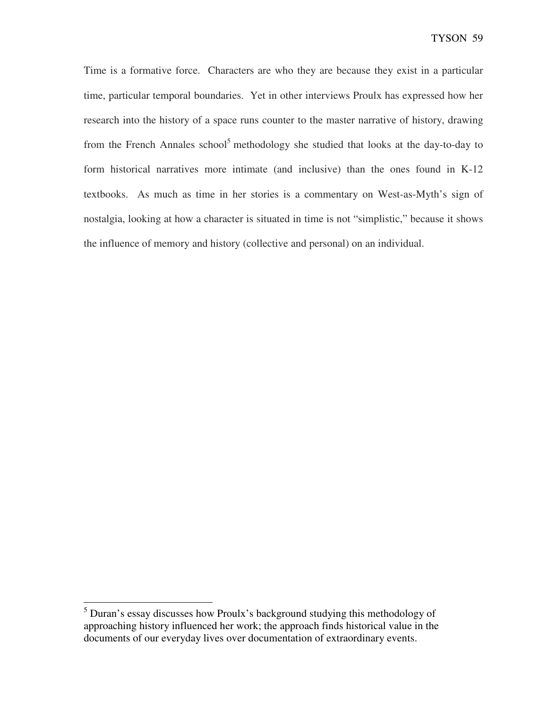Time is a formative force. Characters are who they are because they exist in a particular time, particular temporal boundaries. Yet in other interviews Proulx has expressed how her research into the history of a space runs counter to the master narrative of history, drawing from the French Annales school<sup>5</sup> methodology she studied that looks at the day-to-day to form historical narratives more intimate (and inclusive) than the ones found in K-12 textbooks. As much as time in her stories is a commentary on West-as-Myth's sign of nostalgia, looking at how a character is situated in time is not "simplistic," because it shows the influence of memory and history (collective and personal) on an individual.

 5 Duran's essay discusses how Proulx's background studying this methodology of approaching history influenced her work; the approach finds historical value in the documents of our everyday lives over documentation of extraordinary events.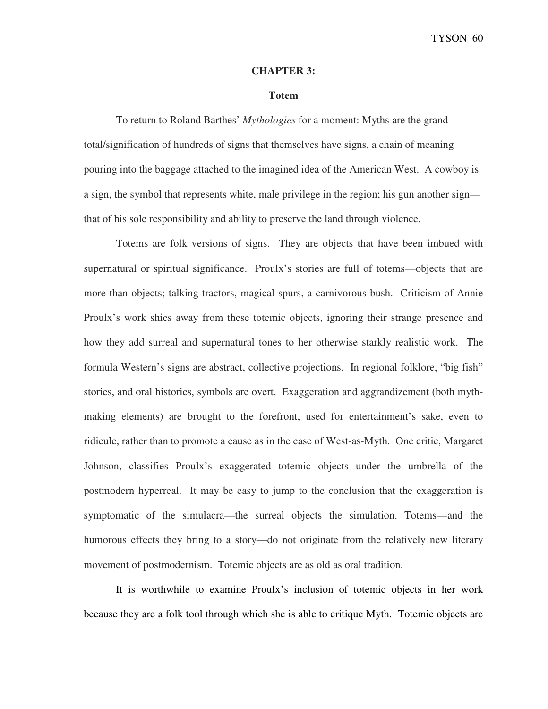## **CHAPTER 3:**

## **Totem**

 To return to Roland Barthes' *Mythologies* for a moment: Myths are the grand total/signification of hundreds of signs that themselves have signs, a chain of meaning pouring into the baggage attached to the imagined idea of the American West. A cowboy is a sign, the symbol that represents white, male privilege in the region; his gun another sign that of his sole responsibility and ability to preserve the land through violence.

 Totems are folk versions of signs. They are objects that have been imbued with supernatural or spiritual significance. Proulx's stories are full of totems—objects that are more than objects; talking tractors, magical spurs, a carnivorous bush. Criticism of Annie Proulx's work shies away from these totemic objects, ignoring their strange presence and how they add surreal and supernatural tones to her otherwise starkly realistic work. The formula Western's signs are abstract, collective projections. In regional folklore, "big fish" stories, and oral histories, symbols are overt. Exaggeration and aggrandizement (both mythmaking elements) are brought to the forefront, used for entertainment's sake, even to ridicule, rather than to promote a cause as in the case of West-as-Myth. One critic, Margaret Johnson, classifies Proulx's exaggerated totemic objects under the umbrella of the postmodern hyperreal. It may be easy to jump to the conclusion that the exaggeration is symptomatic of the simulacra—the surreal objects the simulation. Totems—and the humorous effects they bring to a story—do not originate from the relatively new literary movement of postmodernism. Totemic objects are as old as oral tradition.

It is worthwhile to examine Proulx's inclusion of totemic objects in her work because they are a folk tool through which she is able to critique Myth. Totemic objects are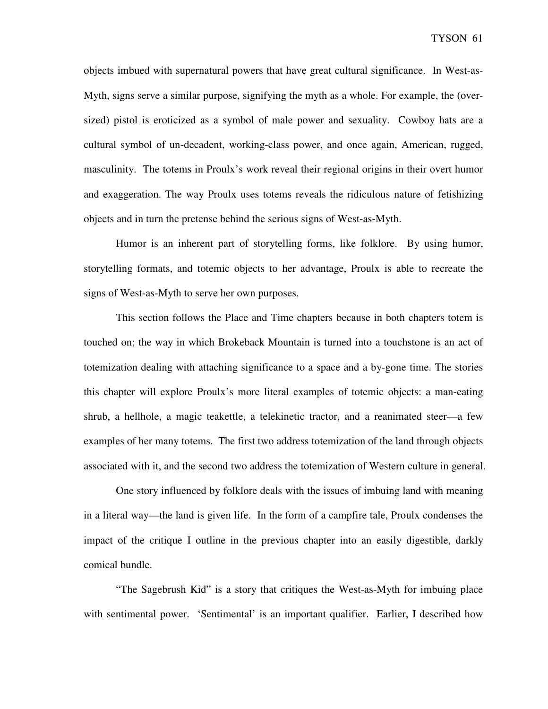objects imbued with supernatural powers that have great cultural significance. In West-as-Myth, signs serve a similar purpose, signifying the myth as a whole. For example, the (oversized) pistol is eroticized as a symbol of male power and sexuality. Cowboy hats are a cultural symbol of un-decadent, working-class power, and once again, American, rugged, masculinity. The totems in Proulx's work reveal their regional origins in their overt humor and exaggeration. The way Proulx uses totems reveals the ridiculous nature of fetishizing objects and in turn the pretense behind the serious signs of West-as-Myth.

Humor is an inherent part of storytelling forms, like folklore. By using humor, storytelling formats, and totemic objects to her advantage, Proulx is able to recreate the signs of West-as-Myth to serve her own purposes.

 This section follows the Place and Time chapters because in both chapters totem is touched on; the way in which Brokeback Mountain is turned into a touchstone is an act of totemization dealing with attaching significance to a space and a by-gone time. The stories this chapter will explore Proulx's more literal examples of totemic objects: a man-eating shrub, a hellhole, a magic teakettle, a telekinetic tractor, and a reanimated steer—a few examples of her many totems. The first two address totemization of the land through objects associated with it, and the second two address the totemization of Western culture in general.

One story influenced by folklore deals with the issues of imbuing land with meaning in a literal way—the land is given life. In the form of a campfire tale, Proulx condenses the impact of the critique I outline in the previous chapter into an easily digestible, darkly comical bundle.

"The Sagebrush Kid" is a story that critiques the West-as-Myth for imbuing place with sentimental power. 'Sentimental' is an important qualifier. Earlier, I described how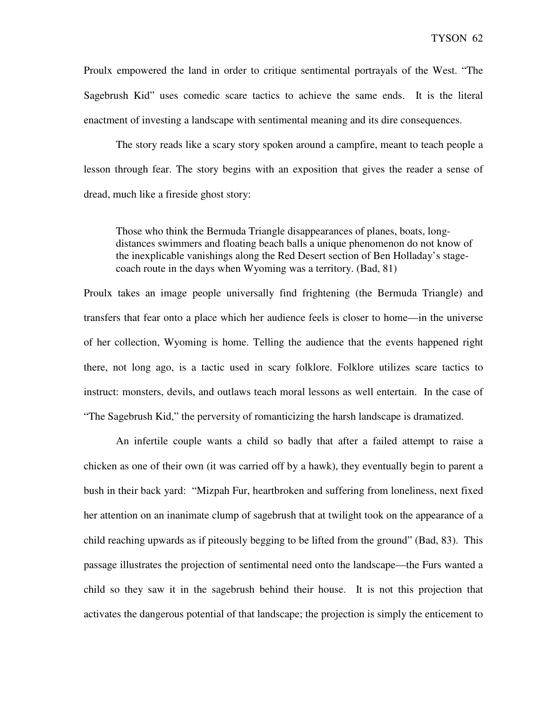Proulx empowered the land in order to critique sentimental portrayals of the West. "The Sagebrush Kid" uses comedic scare tactics to achieve the same ends. It is the literal enactment of investing a landscape with sentimental meaning and its dire consequences.

The story reads like a scary story spoken around a campfire, meant to teach people a lesson through fear. The story begins with an exposition that gives the reader a sense of dread, much like a fireside ghost story:

Those who think the Bermuda Triangle disappearances of planes, boats, longdistances swimmers and floating beach balls a unique phenomenon do not know of the inexplicable vanishings along the Red Desert section of Ben Holladay's stagecoach route in the days when Wyoming was a territory. (Bad, 81)

Proulx takes an image people universally find frightening (the Bermuda Triangle) and transfers that fear onto a place which her audience feels is closer to home—in the universe of her collection, Wyoming is home. Telling the audience that the events happened right there, not long ago, is a tactic used in scary folklore. Folklore utilizes scare tactics to instruct: monsters, devils, and outlaws teach moral lessons as well entertain. In the case of "The Sagebrush Kid," the perversity of romanticizing the harsh landscape is dramatized.

An infertile couple wants a child so badly that after a failed attempt to raise a chicken as one of their own (it was carried off by a hawk), they eventually begin to parent a bush in their back yard: "Mizpah Fur, heartbroken and suffering from loneliness, next fixed her attention on an inanimate clump of sagebrush that at twilight took on the appearance of a child reaching upwards as if piteously begging to be lifted from the ground" (Bad, 83). This passage illustrates the projection of sentimental need onto the landscape—the Furs wanted a child so they saw it in the sagebrush behind their house. It is not this projection that activates the dangerous potential of that landscape; the projection is simply the enticement to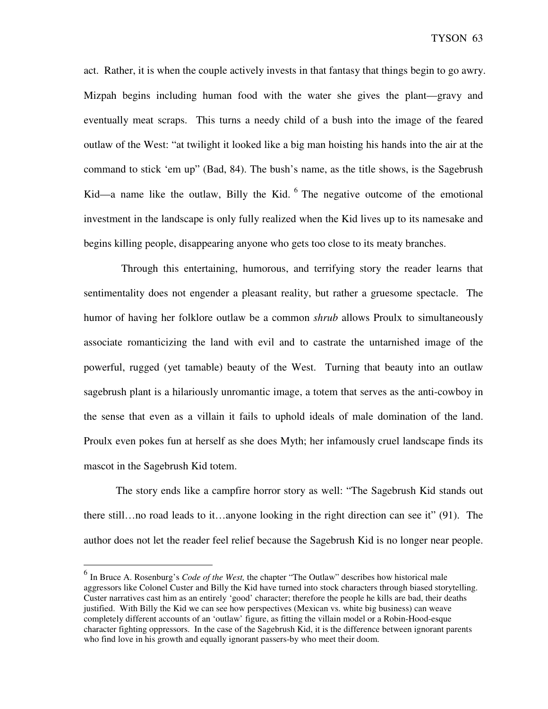act. Rather, it is when the couple actively invests in that fantasy that things begin to go awry. Mizpah begins including human food with the water she gives the plant—gravy and eventually meat scraps. This turns a needy child of a bush into the image of the feared outlaw of the West: "at twilight it looked like a big man hoisting his hands into the air at the command to stick 'em up" (Bad, 84). The bush's name, as the title shows, is the Sagebrush Kid—a name like the outlaw, Billy the Kid.  $6$  The negative outcome of the emotional investment in the landscape is only fully realized when the Kid lives up to its namesake and begins killing people, disappearing anyone who gets too close to its meaty branches.

 Through this entertaining, humorous, and terrifying story the reader learns that sentimentality does not engender a pleasant reality, but rather a gruesome spectacle. The humor of having her folklore outlaw be a common *shrub* allows Proulx to simultaneously associate romanticizing the land with evil and to castrate the untarnished image of the powerful, rugged (yet tamable) beauty of the West. Turning that beauty into an outlaw sagebrush plant is a hilariously unromantic image, a totem that serves as the anti-cowboy in the sense that even as a villain it fails to uphold ideals of male domination of the land. Proulx even pokes fun at herself as she does Myth; her infamously cruel landscape finds its mascot in the Sagebrush Kid totem.

The story ends like a campfire horror story as well: "The Sagebrush Kid stands out there still…no road leads to it…anyone looking in the right direction can see it" (91). The author does not let the reader feel relief because the Sagebrush Kid is no longer near people.

<u>.</u>

<sup>6</sup> In Bruce A. Rosenburg's *Code of the West,* the chapter "The Outlaw" describes how historical male aggressors like Colonel Custer and Billy the Kid have turned into stock characters through biased storytelling. Custer narratives cast him as an entirely 'good' character; therefore the people he kills are bad, their deaths justified. With Billy the Kid we can see how perspectives (Mexican vs. white big business) can weave completely different accounts of an 'outlaw' figure, as fitting the villain model or a Robin-Hood-esque character fighting oppressors. In the case of the Sagebrush Kid, it is the difference between ignorant parents who find love in his growth and equally ignorant passers-by who meet their doom.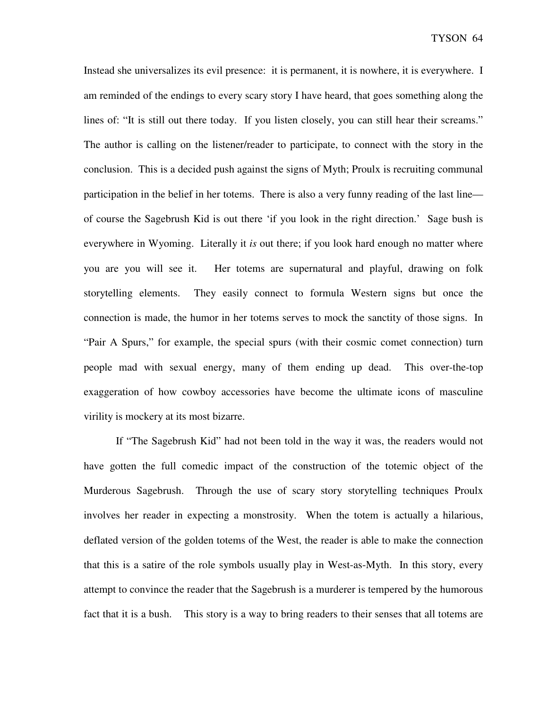Instead she universalizes its evil presence: it is permanent, it is nowhere, it is everywhere. I am reminded of the endings to every scary story I have heard, that goes something along the lines of: "It is still out there today. If you listen closely, you can still hear their screams." The author is calling on the listener/reader to participate, to connect with the story in the conclusion. This is a decided push against the signs of Myth; Proulx is recruiting communal participation in the belief in her totems. There is also a very funny reading of the last line of course the Sagebrush Kid is out there 'if you look in the right direction.' Sage bush is everywhere in Wyoming. Literally it *is* out there; if you look hard enough no matter where you are you will see it. Her totems are supernatural and playful, drawing on folk storytelling elements. They easily connect to formula Western signs but once the connection is made, the humor in her totems serves to mock the sanctity of those signs. In "Pair A Spurs," for example, the special spurs (with their cosmic comet connection) turn people mad with sexual energy, many of them ending up dead. This over-the-top exaggeration of how cowboy accessories have become the ultimate icons of masculine virility is mockery at its most bizarre.

If "The Sagebrush Kid" had not been told in the way it was, the readers would not have gotten the full comedic impact of the construction of the totemic object of the Murderous Sagebrush. Through the use of scary story storytelling techniques Proulx involves her reader in expecting a monstrosity. When the totem is actually a hilarious, deflated version of the golden totems of the West, the reader is able to make the connection that this is a satire of the role symbols usually play in West-as-Myth. In this story, every attempt to convince the reader that the Sagebrush is a murderer is tempered by the humorous fact that it is a bush. This story is a way to bring readers to their senses that all totems are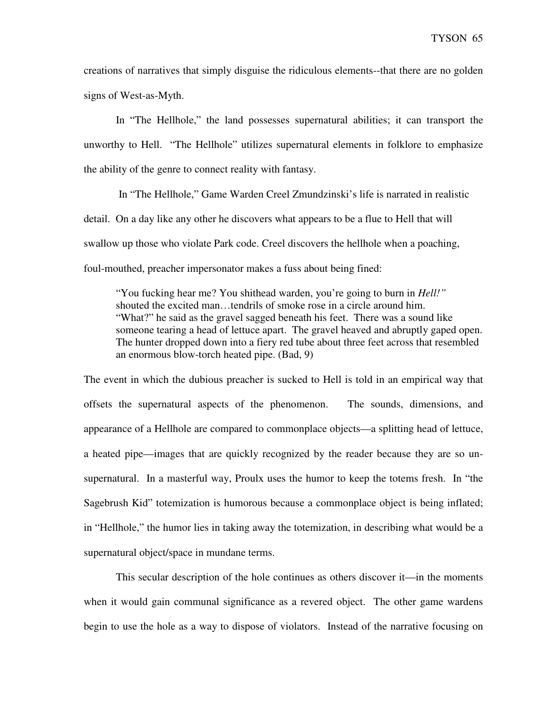creations of narratives that simply disguise the ridiculous elements--that there are no golden signs of West-as-Myth.

In "The Hellhole," the land possesses supernatural abilities; it can transport the unworthy to Hell. "The Hellhole" utilizes supernatural elements in folklore to emphasize the ability of the genre to connect reality with fantasy.

 In "The Hellhole," Game Warden Creel Zmundzinski's life is narrated in realistic detail. On a day like any other he discovers what appears to be a flue to Hell that will swallow up those who violate Park code. Creel discovers the hellhole when a poaching, foul-mouthed, preacher impersonator makes a fuss about being fined:

"You fucking hear me? You shithead warden, you're going to burn in *Hell!"* shouted the excited man…tendrils of smoke rose in a circle around him. "What?" he said as the gravel sagged beneath his feet. There was a sound like someone tearing a head of lettuce apart. The gravel heaved and abruptly gaped open. The hunter dropped down into a fiery red tube about three feet across that resembled an enormous blow-torch heated pipe. (Bad, 9)

The event in which the dubious preacher is sucked to Hell is told in an empirical way that offsets the supernatural aspects of the phenomenon. The sounds, dimensions, and appearance of a Hellhole are compared to commonplace objects—a splitting head of lettuce, a heated pipe—images that are quickly recognized by the reader because they are so unsupernatural. In a masterful way, Proulx uses the humor to keep the totems fresh. In "the Sagebrush Kid" totemization is humorous because a commonplace object is being inflated; in "Hellhole," the humor lies in taking away the totemization, in describing what would be a supernatural object/space in mundane terms.

This secular description of the hole continues as others discover it—in the moments when it would gain communal significance as a revered object. The other game wardens begin to use the hole as a way to dispose of violators. Instead of the narrative focusing on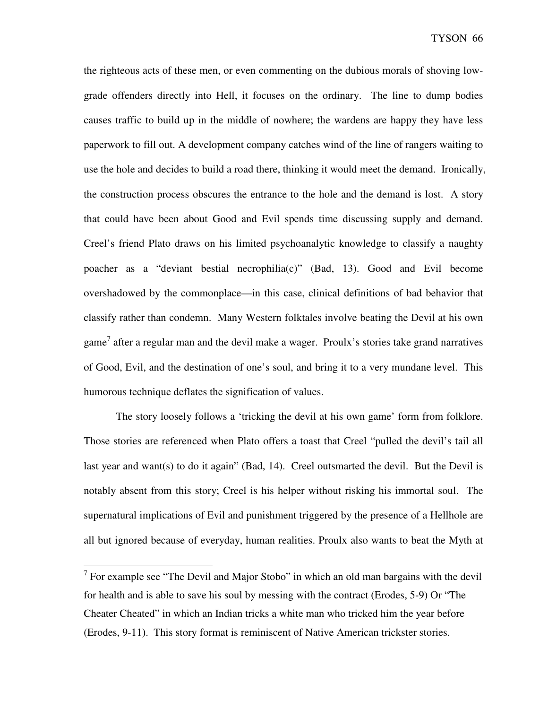the righteous acts of these men, or even commenting on the dubious morals of shoving lowgrade offenders directly into Hell, it focuses on the ordinary. The line to dump bodies causes traffic to build up in the middle of nowhere; the wardens are happy they have less paperwork to fill out. A development company catches wind of the line of rangers waiting to use the hole and decides to build a road there, thinking it would meet the demand. Ironically, the construction process obscures the entrance to the hole and the demand is lost. A story that could have been about Good and Evil spends time discussing supply and demand. Creel's friend Plato draws on his limited psychoanalytic knowledge to classify a naughty poacher as a "deviant bestial necrophilia(c)" (Bad, 13). Good and Evil become overshadowed by the commonplace—in this case, clinical definitions of bad behavior that classify rather than condemn. Many Western folktales involve beating the Devil at his own game<sup>7</sup> after a regular man and the devil make a wager. Proulx's stories take grand narratives of Good, Evil, and the destination of one's soul, and bring it to a very mundane level. This humorous technique deflates the signification of values.

The story loosely follows a 'tricking the devil at his own game' form from folklore. Those stories are referenced when Plato offers a toast that Creel "pulled the devil's tail all last year and want(s) to do it again" (Bad, 14). Creel outsmarted the devil. But the Devil is notably absent from this story; Creel is his helper without risking his immortal soul. The supernatural implications of Evil and punishment triggered by the presence of a Hellhole are all but ignored because of everyday, human realities. Proulx also wants to beat the Myth at

<u>.</u>

 $7$  For example see "The Devil and Major Stobo" in which an old man bargains with the devil for health and is able to save his soul by messing with the contract (Erodes, 5-9) Or "The Cheater Cheated" in which an Indian tricks a white man who tricked him the year before (Erodes, 9-11). This story format is reminiscent of Native American trickster stories.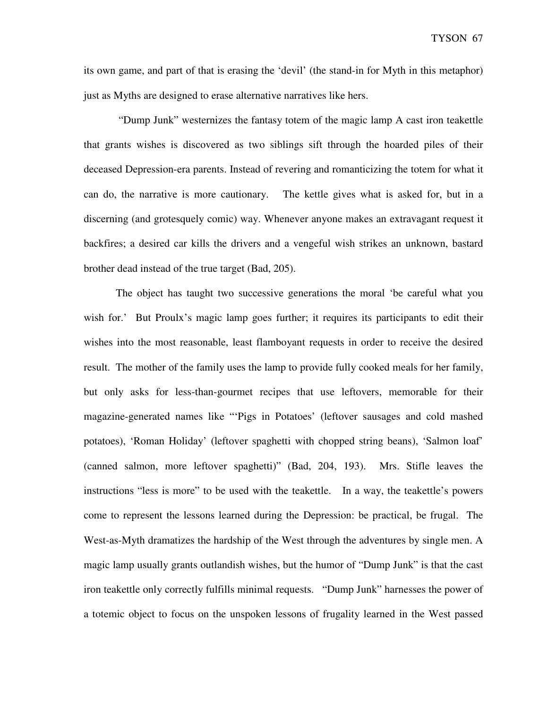its own game, and part of that is erasing the 'devil' (the stand-in for Myth in this metaphor) just as Myths are designed to erase alternative narratives like hers.

 "Dump Junk" westernizes the fantasy totem of the magic lamp A cast iron teakettle that grants wishes is discovered as two siblings sift through the hoarded piles of their deceased Depression-era parents. Instead of revering and romanticizing the totem for what it can do, the narrative is more cautionary. The kettle gives what is asked for, but in a discerning (and grotesquely comic) way. Whenever anyone makes an extravagant request it backfires; a desired car kills the drivers and a vengeful wish strikes an unknown, bastard brother dead instead of the true target (Bad, 205).

The object has taught two successive generations the moral 'be careful what you wish for.' But Proulx's magic lamp goes further; it requires its participants to edit their wishes into the most reasonable, least flamboyant requests in order to receive the desired result. The mother of the family uses the lamp to provide fully cooked meals for her family, but only asks for less-than-gourmet recipes that use leftovers, memorable for their magazine-generated names like "'Pigs in Potatoes' (leftover sausages and cold mashed potatoes), 'Roman Holiday' (leftover spaghetti with chopped string beans), 'Salmon loaf' (canned salmon, more leftover spaghetti)" (Bad, 204, 193). Mrs. Stifle leaves the instructions "less is more" to be used with the teakettle. In a way, the teakettle's powers come to represent the lessons learned during the Depression: be practical, be frugal. The West-as-Myth dramatizes the hardship of the West through the adventures by single men. A magic lamp usually grants outlandish wishes, but the humor of "Dump Junk" is that the cast iron teakettle only correctly fulfills minimal requests. "Dump Junk" harnesses the power of a totemic object to focus on the unspoken lessons of frugality learned in the West passed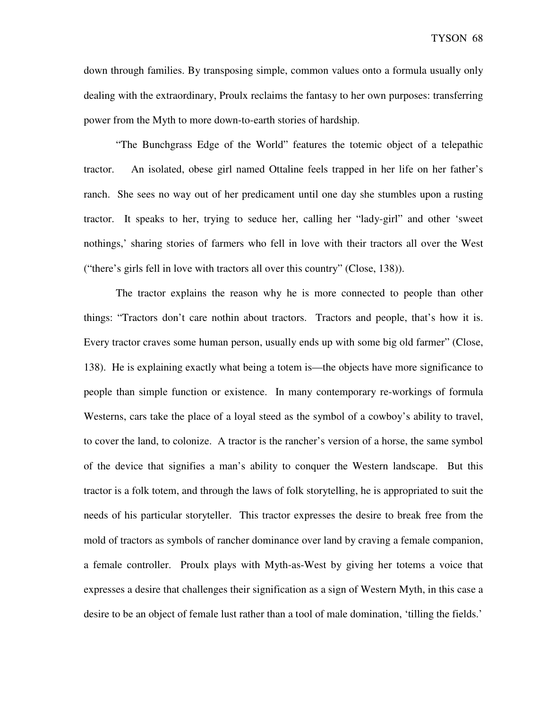down through families. By transposing simple, common values onto a formula usually only dealing with the extraordinary, Proulx reclaims the fantasy to her own purposes: transferring power from the Myth to more down-to-earth stories of hardship.

 "The Bunchgrass Edge of the World" features the totemic object of a telepathic tractor. An isolated, obese girl named Ottaline feels trapped in her life on her father's ranch. She sees no way out of her predicament until one day she stumbles upon a rusting tractor. It speaks to her, trying to seduce her, calling her "lady-girl" and other 'sweet nothings,' sharing stories of farmers who fell in love with their tractors all over the West ("there's girls fell in love with tractors all over this country" (Close, 138)).

The tractor explains the reason why he is more connected to people than other things: "Tractors don't care nothin about tractors. Tractors and people, that's how it is. Every tractor craves some human person, usually ends up with some big old farmer" (Close, 138). He is explaining exactly what being a totem is—the objects have more significance to people than simple function or existence. In many contemporary re-workings of formula Westerns, cars take the place of a loyal steed as the symbol of a cowboy's ability to travel, to cover the land, to colonize. A tractor is the rancher's version of a horse, the same symbol of the device that signifies a man's ability to conquer the Western landscape. But this tractor is a folk totem, and through the laws of folk storytelling, he is appropriated to suit the needs of his particular storyteller. This tractor expresses the desire to break free from the mold of tractors as symbols of rancher dominance over land by craving a female companion, a female controller. Proulx plays with Myth-as-West by giving her totems a voice that expresses a desire that challenges their signification as a sign of Western Myth, in this case a desire to be an object of female lust rather than a tool of male domination, 'tilling the fields.'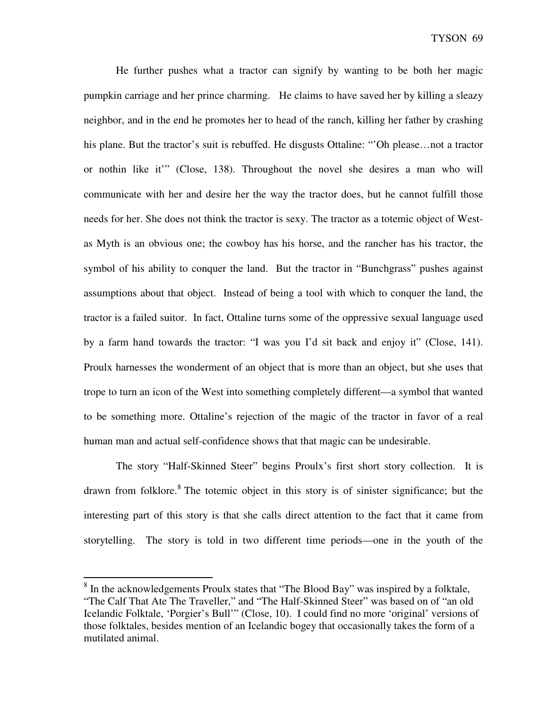He further pushes what a tractor can signify by wanting to be both her magic pumpkin carriage and her prince charming. He claims to have saved her by killing a sleazy neighbor, and in the end he promotes her to head of the ranch, killing her father by crashing his plane. But the tractor's suit is rebuffed. He disgusts Ottaline: "Oh please...not a tractor or nothin like it'" (Close, 138). Throughout the novel she desires a man who will communicate with her and desire her the way the tractor does, but he cannot fulfill those needs for her. She does not think the tractor is sexy. The tractor as a totemic object of Westas Myth is an obvious one; the cowboy has his horse, and the rancher has his tractor, the symbol of his ability to conquer the land. But the tractor in "Bunchgrass" pushes against assumptions about that object. Instead of being a tool with which to conquer the land, the tractor is a failed suitor. In fact, Ottaline turns some of the oppressive sexual language used by a farm hand towards the tractor: "I was you I'd sit back and enjoy it" (Close, 141). Proulx harnesses the wonderment of an object that is more than an object, but she uses that trope to turn an icon of the West into something completely different—a symbol that wanted to be something more. Ottaline's rejection of the magic of the tractor in favor of a real human man and actual self-confidence shows that that magic can be undesirable.

The story "Half-Skinned Steer" begins Proulx's first short story collection. It is drawn from folklore.<sup>8</sup> The totemic object in this story is of sinister significance; but the interesting part of this story is that she calls direct attention to the fact that it came from storytelling. The story is told in two different time periods—one in the youth of the

<sup>&</sup>lt;sup>8</sup> In the acknowledgements Proulx states that "The Blood Bay" was inspired by a folktale, "The Calf That Ate The Traveller," and "The Half-Skinned Steer" was based on of "an old Icelandic Folktale, 'Porgier's Bull'" (Close, 10). I could find no more 'original' versions of those folktales, besides mention of an Icelandic bogey that occasionally takes the form of a mutilated animal.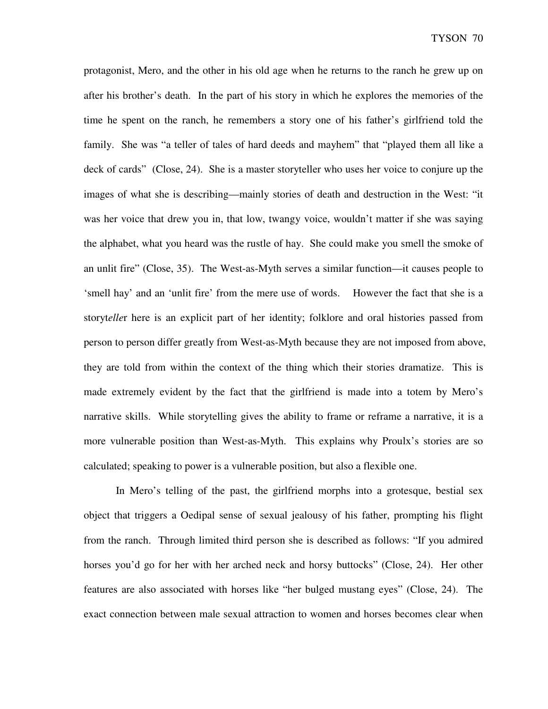protagonist, Mero, and the other in his old age when he returns to the ranch he grew up on after his brother's death. In the part of his story in which he explores the memories of the time he spent on the ranch, he remembers a story one of his father's girlfriend told the family. She was "a teller of tales of hard deeds and mayhem" that "played them all like a deck of cards" (Close, 24). She is a master storyteller who uses her voice to conjure up the images of what she is describing—mainly stories of death and destruction in the West: "it was her voice that drew you in, that low, twangy voice, wouldn't matter if she was saying the alphabet, what you heard was the rustle of hay. She could make you smell the smoke of an unlit fire" (Close, 35). The West-as-Myth serves a similar function—it causes people to 'smell hay' and an 'unlit fire' from the mere use of words. However the fact that she is a storyt*elle*r here is an explicit part of her identity; folklore and oral histories passed from person to person differ greatly from West-as-Myth because they are not imposed from above, they are told from within the context of the thing which their stories dramatize. This is made extremely evident by the fact that the girlfriend is made into a totem by Mero's narrative skills. While storytelling gives the ability to frame or reframe a narrative, it is a more vulnerable position than West-as-Myth. This explains why Proulx's stories are so calculated; speaking to power is a vulnerable position, but also a flexible one.

In Mero's telling of the past, the girlfriend morphs into a grotesque, bestial sex object that triggers a Oedipal sense of sexual jealousy of his father, prompting his flight from the ranch. Through limited third person she is described as follows: "If you admired horses you'd go for her with her arched neck and horsy buttocks" (Close, 24). Her other features are also associated with horses like "her bulged mustang eyes" (Close, 24). The exact connection between male sexual attraction to women and horses becomes clear when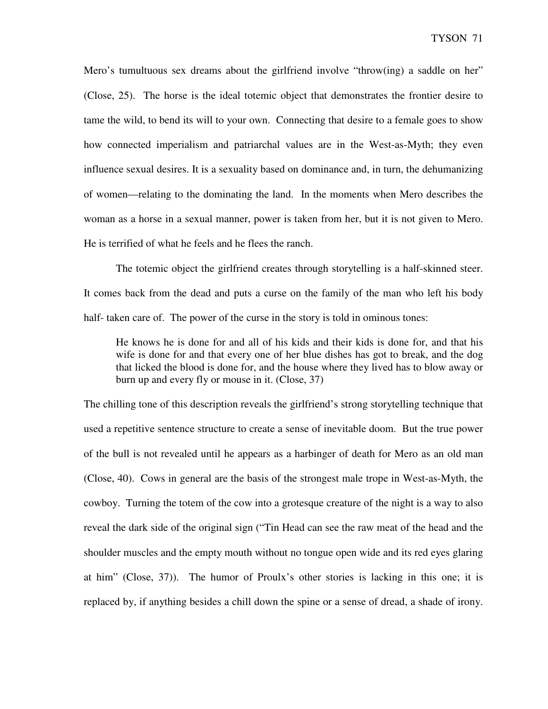Mero's tumultuous sex dreams about the girlfriend involve "throw(ing) a saddle on her" (Close, 25). The horse is the ideal totemic object that demonstrates the frontier desire to tame the wild, to bend its will to your own. Connecting that desire to a female goes to show how connected imperialism and patriarchal values are in the West-as-Myth; they even influence sexual desires. It is a sexuality based on dominance and, in turn, the dehumanizing of women—relating to the dominating the land. In the moments when Mero describes the woman as a horse in a sexual manner, power is taken from her, but it is not given to Mero. He is terrified of what he feels and he flees the ranch.

The totemic object the girlfriend creates through storytelling is a half-skinned steer. It comes back from the dead and puts a curse on the family of the man who left his body half- taken care of. The power of the curse in the story is told in ominous tones:

He knows he is done for and all of his kids and their kids is done for, and that his wife is done for and that every one of her blue dishes has got to break, and the dog that licked the blood is done for, and the house where they lived has to blow away or burn up and every fly or mouse in it. (Close, 37)

The chilling tone of this description reveals the girlfriend's strong storytelling technique that used a repetitive sentence structure to create a sense of inevitable doom. But the true power of the bull is not revealed until he appears as a harbinger of death for Mero as an old man (Close, 40). Cows in general are the basis of the strongest male trope in West-as-Myth, the cowboy. Turning the totem of the cow into a grotesque creature of the night is a way to also reveal the dark side of the original sign ("Tin Head can see the raw meat of the head and the shoulder muscles and the empty mouth without no tongue open wide and its red eyes glaring at him" (Close, 37)). The humor of Proulx's other stories is lacking in this one; it is replaced by, if anything besides a chill down the spine or a sense of dread, a shade of irony.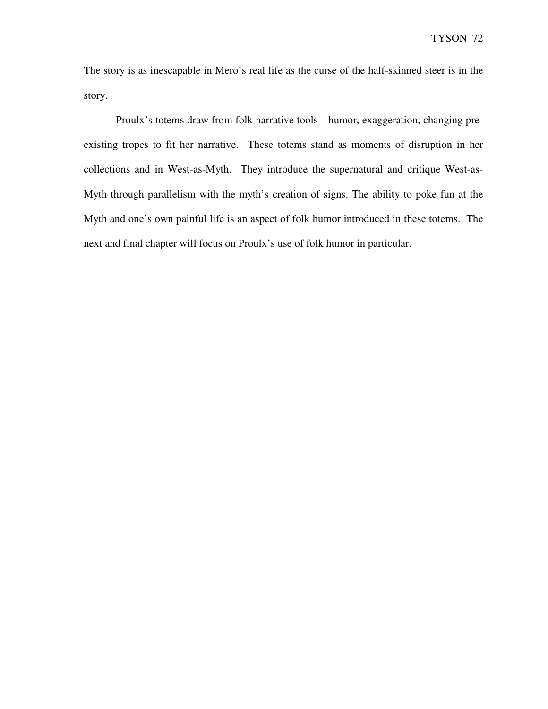The story is as inescapable in Mero's real life as the curse of the half-skinned steer is in the story.

 Proulx's totems draw from folk narrative tools—humor, exaggeration, changing preexisting tropes to fit her narrative. These totems stand as moments of disruption in her collections and in West-as-Myth. They introduce the supernatural and critique West-as-Myth through parallelism with the myth's creation of signs. The ability to poke fun at the Myth and one's own painful life is an aspect of folk humor introduced in these totems. The next and final chapter will focus on Proulx's use of folk humor in particular.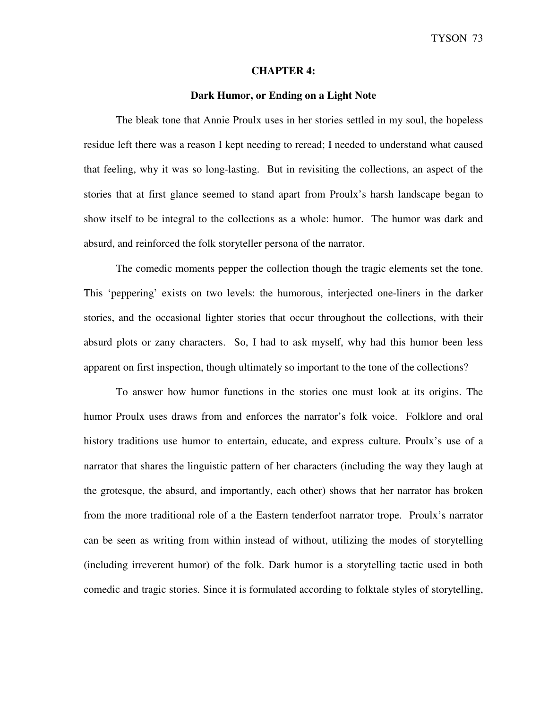### **CHAPTER 4:**

### **Dark Humor, or Ending on a Light Note**

 The bleak tone that Annie Proulx uses in her stories settled in my soul, the hopeless residue left there was a reason I kept needing to reread; I needed to understand what caused that feeling, why it was so long-lasting. But in revisiting the collections, an aspect of the stories that at first glance seemed to stand apart from Proulx's harsh landscape began to show itself to be integral to the collections as a whole: humor. The humor was dark and absurd, and reinforced the folk storyteller persona of the narrator.

The comedic moments pepper the collection though the tragic elements set the tone. This 'peppering' exists on two levels: the humorous, interjected one-liners in the darker stories, and the occasional lighter stories that occur throughout the collections, with their absurd plots or zany characters. So, I had to ask myself, why had this humor been less apparent on first inspection, though ultimately so important to the tone of the collections?

To answer how humor functions in the stories one must look at its origins. The humor Proulx uses draws from and enforces the narrator's folk voice. Folklore and oral history traditions use humor to entertain, educate, and express culture. Proulx's use of a narrator that shares the linguistic pattern of her characters (including the way they laugh at the grotesque, the absurd, and importantly, each other) shows that her narrator has broken from the more traditional role of a the Eastern tenderfoot narrator trope. Proulx's narrator can be seen as writing from within instead of without, utilizing the modes of storytelling (including irreverent humor) of the folk. Dark humor is a storytelling tactic used in both comedic and tragic stories. Since it is formulated according to folktale styles of storytelling,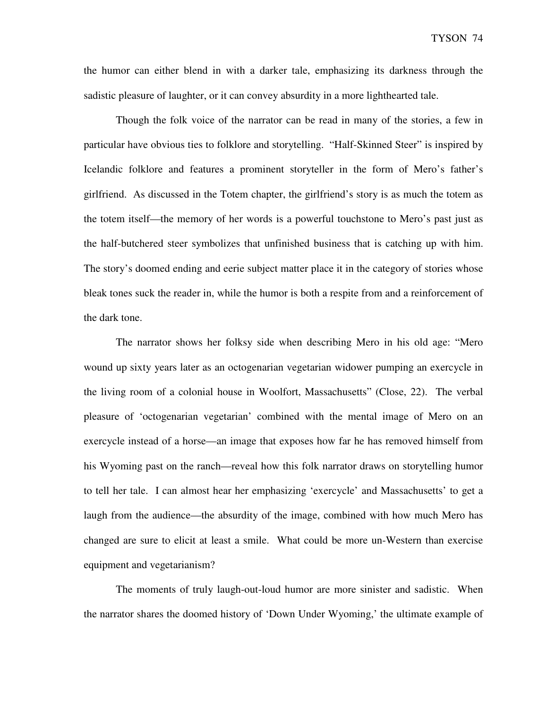the humor can either blend in with a darker tale, emphasizing its darkness through the sadistic pleasure of laughter, or it can convey absurdity in a more lighthearted tale.

 Though the folk voice of the narrator can be read in many of the stories, a few in particular have obvious ties to folklore and storytelling. "Half-Skinned Steer" is inspired by Icelandic folklore and features a prominent storyteller in the form of Mero's father's girlfriend. As discussed in the Totem chapter, the girlfriend's story is as much the totem as the totem itself—the memory of her words is a powerful touchstone to Mero's past just as the half-butchered steer symbolizes that unfinished business that is catching up with him. The story's doomed ending and eerie subject matter place it in the category of stories whose bleak tones suck the reader in, while the humor is both a respite from and a reinforcement of the dark tone.

The narrator shows her folksy side when describing Mero in his old age: "Mero wound up sixty years later as an octogenarian vegetarian widower pumping an exercycle in the living room of a colonial house in Woolfort, Massachusetts" (Close, 22). The verbal pleasure of 'octogenarian vegetarian' combined with the mental image of Mero on an exercycle instead of a horse—an image that exposes how far he has removed himself from his Wyoming past on the ranch—reveal how this folk narrator draws on storytelling humor to tell her tale. I can almost hear her emphasizing 'exercycle' and Massachusetts' to get a laugh from the audience—the absurdity of the image, combined with how much Mero has changed are sure to elicit at least a smile. What could be more un-Western than exercise equipment and vegetarianism?

The moments of truly laugh-out-loud humor are more sinister and sadistic. When the narrator shares the doomed history of 'Down Under Wyoming,' the ultimate example of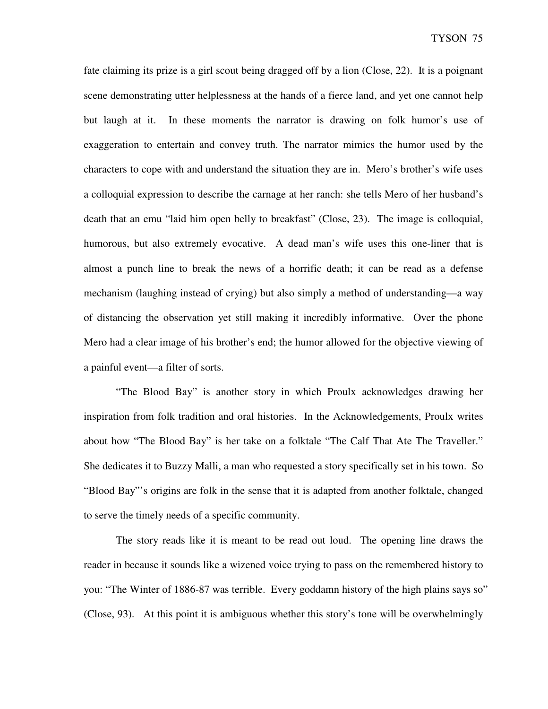fate claiming its prize is a girl scout being dragged off by a lion (Close, 22). It is a poignant scene demonstrating utter helplessness at the hands of a fierce land, and yet one cannot help but laugh at it. In these moments the narrator is drawing on folk humor's use of exaggeration to entertain and convey truth. The narrator mimics the humor used by the characters to cope with and understand the situation they are in. Mero's brother's wife uses a colloquial expression to describe the carnage at her ranch: she tells Mero of her husband's death that an emu "laid him open belly to breakfast" (Close, 23). The image is colloquial, humorous, but also extremely evocative. A dead man's wife uses this one-liner that is almost a punch line to break the news of a horrific death; it can be read as a defense mechanism (laughing instead of crying) but also simply a method of understanding—a way of distancing the observation yet still making it incredibly informative. Over the phone Mero had a clear image of his brother's end; the humor allowed for the objective viewing of a painful event—a filter of sorts.

"The Blood Bay" is another story in which Proulx acknowledges drawing her inspiration from folk tradition and oral histories. In the Acknowledgements, Proulx writes about how "The Blood Bay" is her take on a folktale "The Calf That Ate The Traveller." She dedicates it to Buzzy Malli, a man who requested a story specifically set in his town. So "Blood Bay"'s origins are folk in the sense that it is adapted from another folktale, changed to serve the timely needs of a specific community.

The story reads like it is meant to be read out loud. The opening line draws the reader in because it sounds like a wizened voice trying to pass on the remembered history to you: "The Winter of 1886-87 was terrible. Every goddamn history of the high plains says so" (Close, 93). At this point it is ambiguous whether this story's tone will be overwhelmingly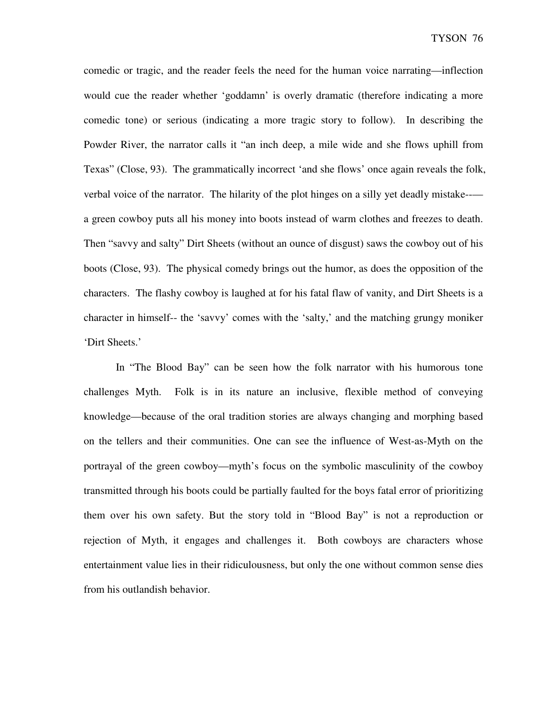comedic or tragic, and the reader feels the need for the human voice narrating—inflection would cue the reader whether 'goddamn' is overly dramatic (therefore indicating a more comedic tone) or serious (indicating a more tragic story to follow). In describing the Powder River, the narrator calls it "an inch deep, a mile wide and she flows uphill from Texas" (Close, 93). The grammatically incorrect 'and she flows' once again reveals the folk, verbal voice of the narrator. The hilarity of the plot hinges on a silly yet deadly mistake-- a green cowboy puts all his money into boots instead of warm clothes and freezes to death. Then "savvy and salty" Dirt Sheets (without an ounce of disgust) saws the cowboy out of his boots (Close, 93). The physical comedy brings out the humor, as does the opposition of the characters. The flashy cowboy is laughed at for his fatal flaw of vanity, and Dirt Sheets is a character in himself-- the 'savvy' comes with the 'salty,' and the matching grungy moniker 'Dirt Sheets.'

In "The Blood Bay" can be seen how the folk narrator with his humorous tone challenges Myth. Folk is in its nature an inclusive, flexible method of conveying knowledge—because of the oral tradition stories are always changing and morphing based on the tellers and their communities. One can see the influence of West-as-Myth on the portrayal of the green cowboy—myth's focus on the symbolic masculinity of the cowboy transmitted through his boots could be partially faulted for the boys fatal error of prioritizing them over his own safety. But the story told in "Blood Bay" is not a reproduction or rejection of Myth, it engages and challenges it. Both cowboys are characters whose entertainment value lies in their ridiculousness, but only the one without common sense dies from his outlandish behavior.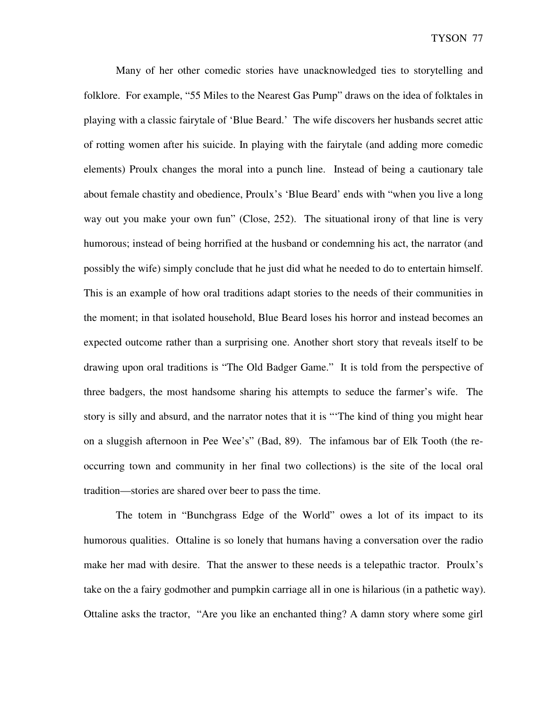Many of her other comedic stories have unacknowledged ties to storytelling and folklore. For example, "55 Miles to the Nearest Gas Pump" draws on the idea of folktales in playing with a classic fairytale of 'Blue Beard.' The wife discovers her husbands secret attic of rotting women after his suicide. In playing with the fairytale (and adding more comedic elements) Proulx changes the moral into a punch line. Instead of being a cautionary tale about female chastity and obedience, Proulx's 'Blue Beard' ends with "when you live a long way out you make your own fun" (Close, 252). The situational irony of that line is very humorous; instead of being horrified at the husband or condemning his act, the narrator (and possibly the wife) simply conclude that he just did what he needed to do to entertain himself. This is an example of how oral traditions adapt stories to the needs of their communities in the moment; in that isolated household, Blue Beard loses his horror and instead becomes an expected outcome rather than a surprising one. Another short story that reveals itself to be drawing upon oral traditions is "The Old Badger Game." It is told from the perspective of three badgers, the most handsome sharing his attempts to seduce the farmer's wife. The story is silly and absurd, and the narrator notes that it is "'The kind of thing you might hear on a sluggish afternoon in Pee Wee's" (Bad, 89). The infamous bar of Elk Tooth (the reoccurring town and community in her final two collections) is the site of the local oral tradition—stories are shared over beer to pass the time.

 The totem in "Bunchgrass Edge of the World" owes a lot of its impact to its humorous qualities. Ottaline is so lonely that humans having a conversation over the radio make her mad with desire. That the answer to these needs is a telepathic tractor. Proulx's take on the a fairy godmother and pumpkin carriage all in one is hilarious (in a pathetic way). Ottaline asks the tractor, "Are you like an enchanted thing? A damn story where some girl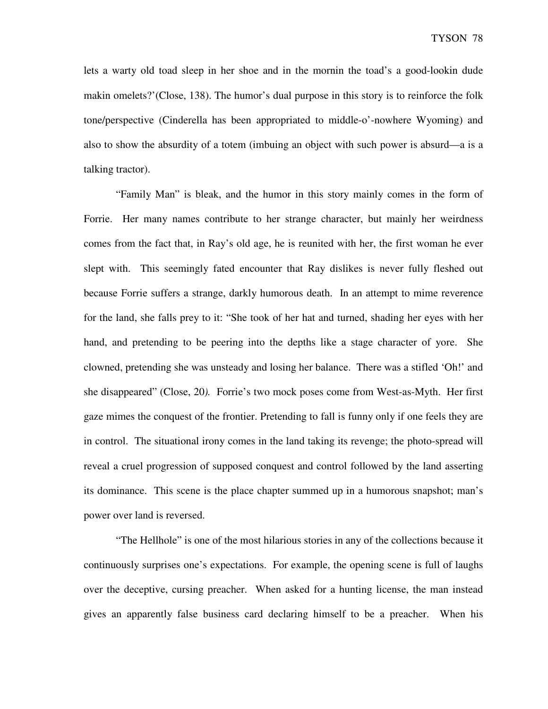lets a warty old toad sleep in her shoe and in the mornin the toad's a good-lookin dude makin omelets?'(Close, 138). The humor's dual purpose in this story is to reinforce the folk tone/perspective (Cinderella has been appropriated to middle-o'-nowhere Wyoming) and also to show the absurdity of a totem (imbuing an object with such power is absurd—a is a talking tractor).

"Family Man" is bleak, and the humor in this story mainly comes in the form of Forrie. Her many names contribute to her strange character, but mainly her weirdness comes from the fact that, in Ray's old age, he is reunited with her, the first woman he ever slept with. This seemingly fated encounter that Ray dislikes is never fully fleshed out because Forrie suffers a strange, darkly humorous death. In an attempt to mime reverence for the land, she falls prey to it: "She took of her hat and turned, shading her eyes with her hand, and pretending to be peering into the depths like a stage character of yore. She clowned, pretending she was unsteady and losing her balance. There was a stifled 'Oh!' and she disappeared" (Close, 20*).* Forrie's two mock poses come from West-as-Myth. Her first gaze mimes the conquest of the frontier. Pretending to fall is funny only if one feels they are in control. The situational irony comes in the land taking its revenge; the photo-spread will reveal a cruel progression of supposed conquest and control followed by the land asserting its dominance. This scene is the place chapter summed up in a humorous snapshot; man's power over land is reversed.

"The Hellhole" is one of the most hilarious stories in any of the collections because it continuously surprises one's expectations. For example, the opening scene is full of laughs over the deceptive, cursing preacher. When asked for a hunting license, the man instead gives an apparently false business card declaring himself to be a preacher. When his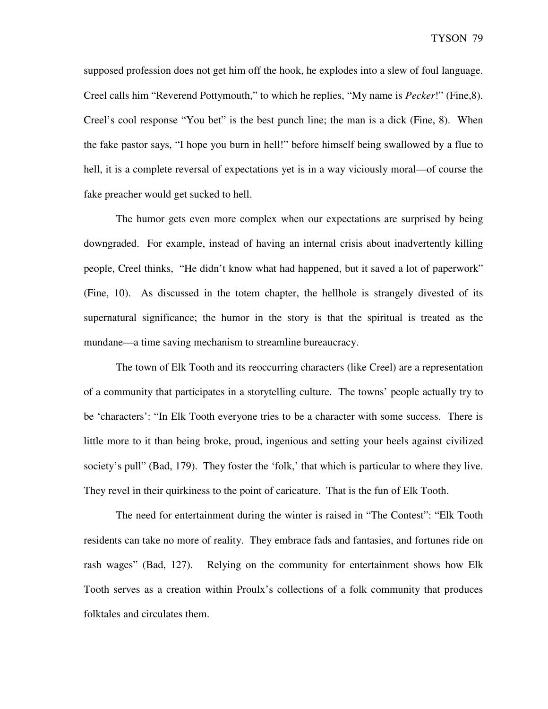supposed profession does not get him off the hook, he explodes into a slew of foul language. Creel calls him "Reverend Pottymouth," to which he replies, "My name is *Pecker*!" (Fine,8). Creel's cool response "You bet" is the best punch line; the man is a dick (Fine, 8). When the fake pastor says, "I hope you burn in hell!" before himself being swallowed by a flue to hell, it is a complete reversal of expectations yet is in a way viciously moral—of course the fake preacher would get sucked to hell.

The humor gets even more complex when our expectations are surprised by being downgraded. For example, instead of having an internal crisis about inadvertently killing people, Creel thinks, "He didn't know what had happened, but it saved a lot of paperwork" (Fine, 10). As discussed in the totem chapter, the hellhole is strangely divested of its supernatural significance; the humor in the story is that the spiritual is treated as the mundane—a time saving mechanism to streamline bureaucracy.

 The town of Elk Tooth and its reoccurring characters (like Creel) are a representation of a community that participates in a storytelling culture. The towns' people actually try to be 'characters': "In Elk Tooth everyone tries to be a character with some success. There is little more to it than being broke, proud, ingenious and setting your heels against civilized society's pull" (Bad, 179). They foster the 'folk,' that which is particular to where they live. They revel in their quirkiness to the point of caricature. That is the fun of Elk Tooth.

 The need for entertainment during the winter is raised in "The Contest": "Elk Tooth residents can take no more of reality. They embrace fads and fantasies, and fortunes ride on rash wages" (Bad, 127). Relying on the community for entertainment shows how Elk Tooth serves as a creation within Proulx's collections of a folk community that produces folktales and circulates them.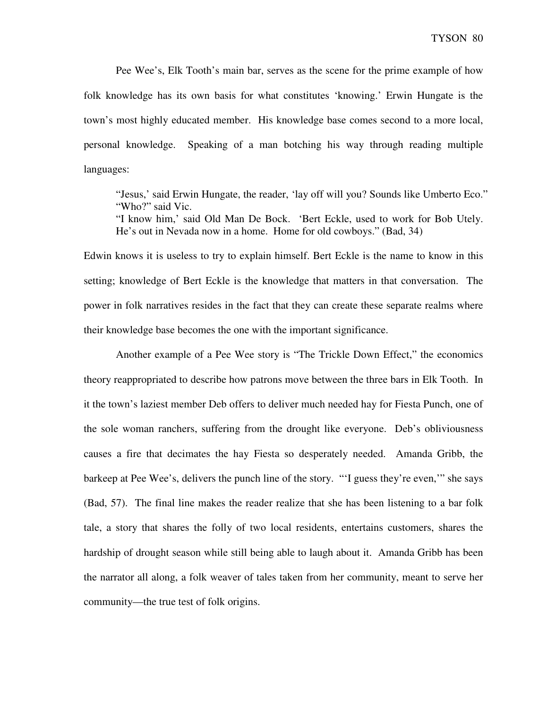Pee Wee's, Elk Tooth's main bar, serves as the scene for the prime example of how folk knowledge has its own basis for what constitutes 'knowing.' Erwin Hungate is the town's most highly educated member. His knowledge base comes second to a more local, personal knowledge. Speaking of a man botching his way through reading multiple languages:

"Jesus,' said Erwin Hungate, the reader, 'lay off will you? Sounds like Umberto Eco." "Who?" said Vic.

"I know him,' said Old Man De Bock. 'Bert Eckle, used to work for Bob Utely. He's out in Nevada now in a home. Home for old cowboys." (Bad, 34)

Edwin knows it is useless to try to explain himself. Bert Eckle is the name to know in this setting; knowledge of Bert Eckle is the knowledge that matters in that conversation. The power in folk narratives resides in the fact that they can create these separate realms where their knowledge base becomes the one with the important significance.

 Another example of a Pee Wee story is "The Trickle Down Effect," the economics theory reappropriated to describe how patrons move between the three bars in Elk Tooth. In it the town's laziest member Deb offers to deliver much needed hay for Fiesta Punch, one of the sole woman ranchers, suffering from the drought like everyone. Deb's obliviousness causes a fire that decimates the hay Fiesta so desperately needed. Amanda Gribb, the barkeep at Pee Wee's, delivers the punch line of the story. "'I guess they're even,'" she says (Bad, 57). The final line makes the reader realize that she has been listening to a bar folk tale, a story that shares the folly of two local residents, entertains customers, shares the hardship of drought season while still being able to laugh about it. Amanda Gribb has been the narrator all along, a folk weaver of tales taken from her community, meant to serve her community—the true test of folk origins.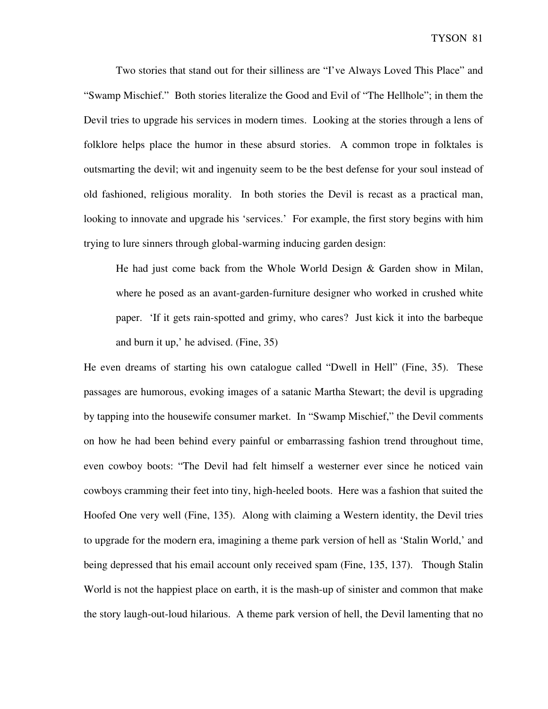Two stories that stand out for their silliness are "I've Always Loved This Place" and "Swamp Mischief." Both stories literalize the Good and Evil of "The Hellhole"; in them the Devil tries to upgrade his services in modern times. Looking at the stories through a lens of folklore helps place the humor in these absurd stories. A common trope in folktales is outsmarting the devil; wit and ingenuity seem to be the best defense for your soul instead of old fashioned, religious morality. In both stories the Devil is recast as a practical man, looking to innovate and upgrade his 'services.' For example, the first story begins with him trying to lure sinners through global-warming inducing garden design:

He had just come back from the Whole World Design & Garden show in Milan, where he posed as an avant-garden-furniture designer who worked in crushed white paper. 'If it gets rain-spotted and grimy, who cares? Just kick it into the barbeque and burn it up,' he advised. (Fine, 35)

He even dreams of starting his own catalogue called "Dwell in Hell" (Fine, 35). These passages are humorous, evoking images of a satanic Martha Stewart; the devil is upgrading by tapping into the housewife consumer market. In "Swamp Mischief," the Devil comments on how he had been behind every painful or embarrassing fashion trend throughout time, even cowboy boots: "The Devil had felt himself a westerner ever since he noticed vain cowboys cramming their feet into tiny, high-heeled boots. Here was a fashion that suited the Hoofed One very well (Fine, 135). Along with claiming a Western identity, the Devil tries to upgrade for the modern era, imagining a theme park version of hell as 'Stalin World,' and being depressed that his email account only received spam (Fine, 135, 137). Though Stalin World is not the happiest place on earth, it is the mash-up of sinister and common that make the story laugh-out-loud hilarious. A theme park version of hell, the Devil lamenting that no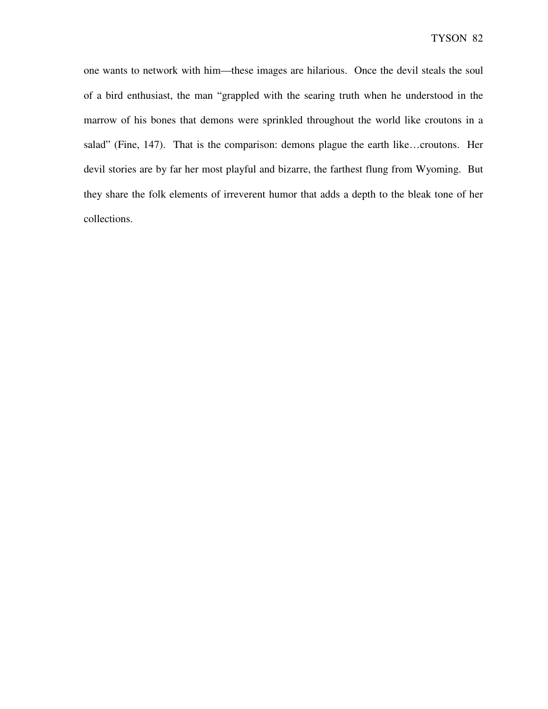one wants to network with him—these images are hilarious. Once the devil steals the soul of a bird enthusiast, the man "grappled with the searing truth when he understood in the marrow of his bones that demons were sprinkled throughout the world like croutons in a salad" (Fine, 147). That is the comparison: demons plague the earth like…croutons. Her devil stories are by far her most playful and bizarre, the farthest flung from Wyoming. But they share the folk elements of irreverent humor that adds a depth to the bleak tone of her collections.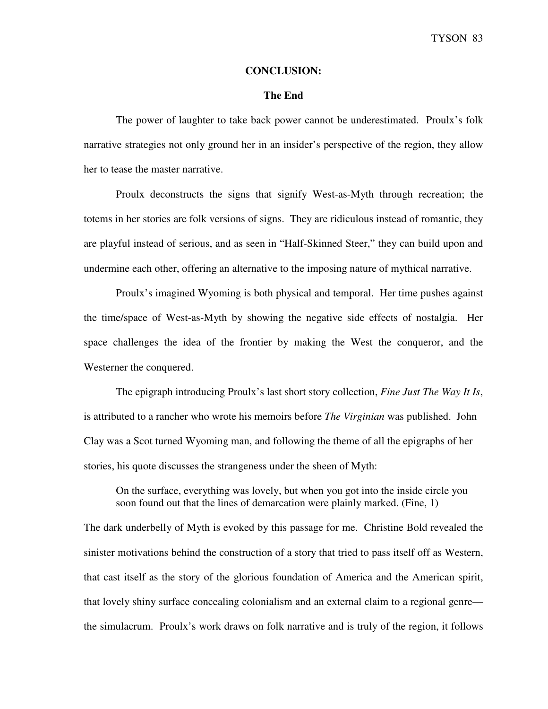# **CONCLUSION:**

# **The End**

 The power of laughter to take back power cannot be underestimated. Proulx's folk narrative strategies not only ground her in an insider's perspective of the region, they allow her to tease the master narrative.

Proulx deconstructs the signs that signify West-as-Myth through recreation; the totems in her stories are folk versions of signs. They are ridiculous instead of romantic, they are playful instead of serious, and as seen in "Half-Skinned Steer," they can build upon and undermine each other, offering an alternative to the imposing nature of mythical narrative.

 Proulx's imagined Wyoming is both physical and temporal. Her time pushes against the time/space of West-as-Myth by showing the negative side effects of nostalgia. Her space challenges the idea of the frontier by making the West the conqueror, and the Westerner the conquered.

 The epigraph introducing Proulx's last short story collection, *Fine Just The Way It Is*, is attributed to a rancher who wrote his memoirs before *The Virginian* was published. John Clay was a Scot turned Wyoming man, and following the theme of all the epigraphs of her stories, his quote discusses the strangeness under the sheen of Myth:

On the surface, everything was lovely, but when you got into the inside circle you soon found out that the lines of demarcation were plainly marked. (Fine, 1)

The dark underbelly of Myth is evoked by this passage for me. Christine Bold revealed the sinister motivations behind the construction of a story that tried to pass itself off as Western, that cast itself as the story of the glorious foundation of America and the American spirit, that lovely shiny surface concealing colonialism and an external claim to a regional genre the simulacrum. Proulx's work draws on folk narrative and is truly of the region, it follows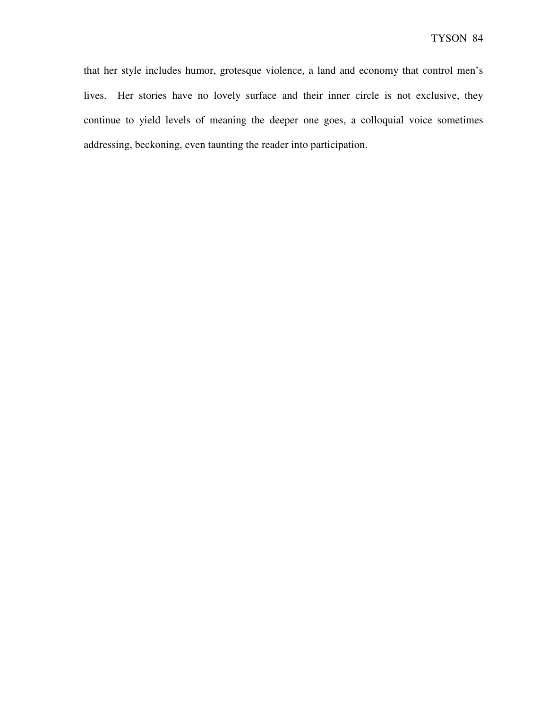that her style includes humor, grotesque violence, a land and economy that control men's lives. Her stories have no lovely surface and their inner circle is not exclusive, they continue to yield levels of meaning the deeper one goes, a colloquial voice sometimes addressing, beckoning, even taunting the reader into participation.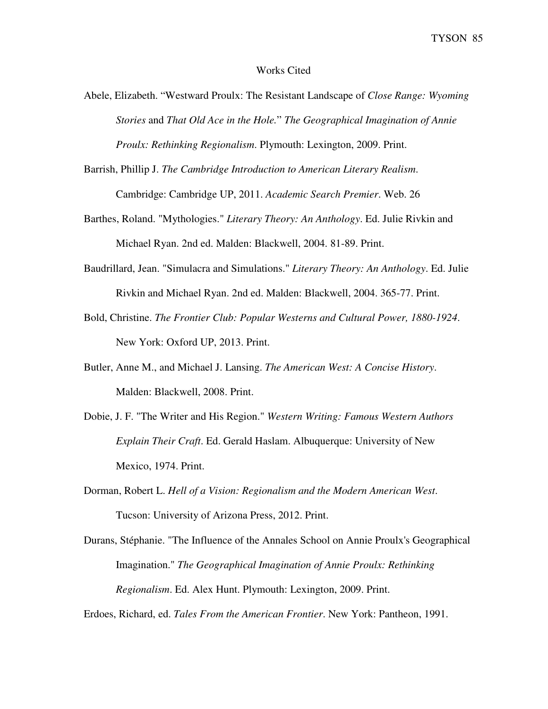#### Works Cited

- Abele, Elizabeth. "Westward Proulx: The Resistant Landscape of *Close Range: Wyoming Stories* and *That Old Ace in the Hole.*" *The Geographical Imagination of Annie Proulx: Rethinking Regionalism*. Plymouth: Lexington, 2009. Print.
- Barrish, Phillip J. *The Cambridge Introduction to American Literary Realism*. Cambridge: Cambridge UP, 2011. *Academic Search Premier*. Web. 26
- Barthes, Roland. "Mythologies." *Literary Theory: An Anthology*. Ed. Julie Rivkin and Michael Ryan. 2nd ed. Malden: Blackwell, 2004. 81-89. Print.
- Baudrillard, Jean. "Simulacra and Simulations." *Literary Theory: An Anthology*. Ed. Julie Rivkin and Michael Ryan. 2nd ed. Malden: Blackwell, 2004. 365-77. Print.
- Bold, Christine. *The Frontier Club: Popular Westerns and Cultural Power, 1880-1924*. New York: Oxford UP, 2013. Print.
- Butler, Anne M., and Michael J. Lansing. *The American West: A Concise History*. Malden: Blackwell, 2008. Print.
- Dobie, J. F. "The Writer and His Region." *Western Writing: Famous Western Authors Explain Their Craft*. Ed. Gerald Haslam. Albuquerque: University of New Mexico, 1974. Print.
- Dorman, Robert L. *Hell of a Vision: Regionalism and the Modern American West*. Tucson: University of Arizona Press, 2012. Print.
- Durans, Stéphanie. "The Influence of the Annales School on Annie Proulx's Geographical Imagination." *The Geographical Imagination of Annie Proulx: Rethinking Regionalism*. Ed. Alex Hunt. Plymouth: Lexington, 2009. Print.

Erdoes, Richard, ed. *Tales From the American Frontier*. New York: Pantheon, 1991.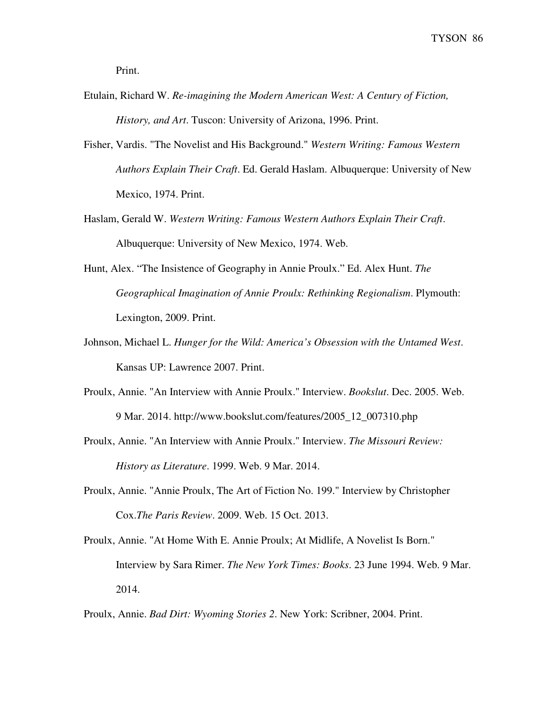Print.

- Etulain, Richard W. *Re-imagining the Modern American West: A Century of Fiction, History, and Art*. Tuscon: University of Arizona, 1996. Print.
- Fisher, Vardis. "The Novelist and His Background." *Western Writing: Famous Western Authors Explain Their Craft*. Ed. Gerald Haslam. Albuquerque: University of New Mexico, 1974. Print.
- Haslam, Gerald W. *Western Writing: Famous Western Authors Explain Their Craft*. Albuquerque: University of New Mexico, 1974. Web.
- Hunt, Alex. "The Insistence of Geography in Annie Proulx." Ed. Alex Hunt. *The Geographical Imagination of Annie Proulx: Rethinking Regionalism*. Plymouth: Lexington, 2009. Print.
- Johnson, Michael L. *Hunger for the Wild: America's Obsession with the Untamed West*. Kansas UP: Lawrence 2007. Print.
- Proulx, Annie. "An Interview with Annie Proulx." Interview. *Bookslut*. Dec. 2005. Web. 9 Mar. 2014. http://www.bookslut.com/features/2005\_12\_007310.php
- Proulx, Annie. "An Interview with Annie Proulx." Interview. *The Missouri Review: History as Literature*. 1999. Web. 9 Mar. 2014.
- Proulx, Annie. "Annie Proulx, The Art of Fiction No. 199." Interview by Christopher Cox.*The Paris Review*. 2009. Web. 15 Oct. 2013.
- Proulx, Annie. "At Home With E. Annie Proulx; At Midlife, A Novelist Is Born." Interview by Sara Rimer. *The New York Times: Books*. 23 June 1994. Web. 9 Mar. 2014.

Proulx, Annie. *Bad Dirt: Wyoming Stories 2*. New York: Scribner, 2004. Print.